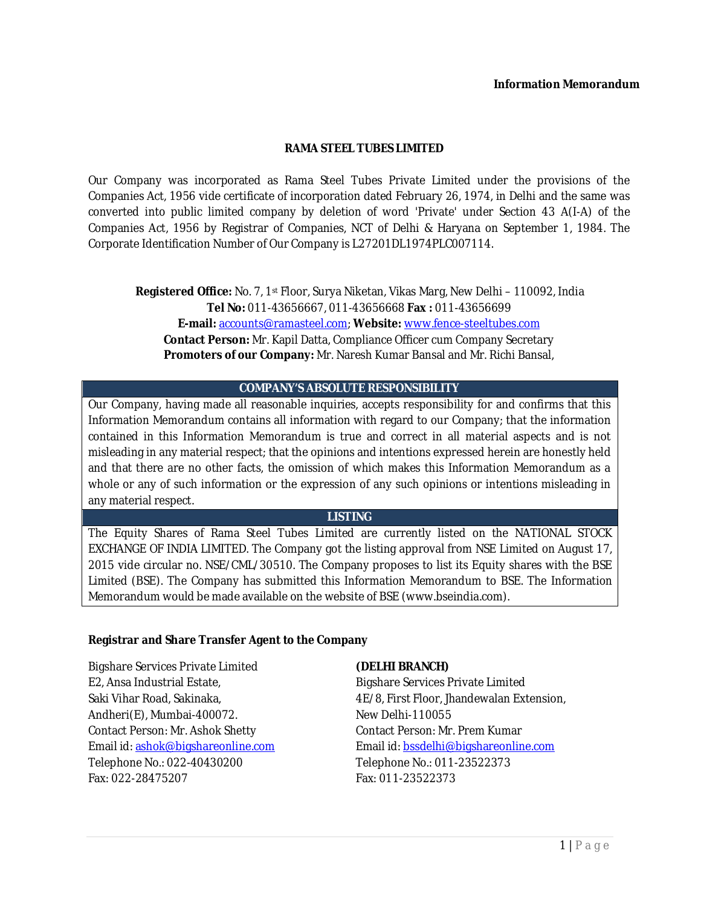#### **Information Memorandum**

### **RAMA STEEL TUBES LIMITED**

Our Company was incorporated as Rama Steel Tubes Private Limited under the provisions of the Companies Act, 1956 vide certificate of incorporation dated February 26, 1974, in Delhi and the same was converted into public limited company by deletion of word 'Private' under Section 43 A(I-A) of the Companies Act, 1956 by Registrar of Companies, NCT of Delhi & Haryana on September 1, 1984. The Corporate Identification Number of Our Company is L27201DL1974PLC007114.

**Registered Office:** No. 7, 1st Floor, Surya Niketan, Vikas Marg, New Delhi – 110092, India **Tel No:** 011-43656667, 011-43656668 **Fax :** 011-43656699 **E-mail:** accounts@ramasteel.com; **Website:** www.fence-steeltubes.com **Contact Person:** Mr. Kapil Datta, Compliance Officer cum Company Secretary **Promoters of our Company:** Mr. Naresh Kumar Bansal and Mr. Richi Bansal,

#### **COMPANY'S ABSOLUTE RESPONSIBILITY**

Our Company, having made all reasonable inquiries, accepts responsibility for and confirms that this Information Memorandum contains all information with regard to our Company; that the information contained in this Information Memorandum is true and correct in all material aspects and is not misleading in any material respect; that the opinions and intentions expressed herein are honestly held and that there are no other facts, the omission of which makes this Information Memorandum as a whole or any of such information or the expression of any such opinions or intentions misleading in any material respect.

#### **LISTING**

The Equity Shares of Rama Steel Tubes Limited are currently listed on the NATIONAL STOCK EXCHANGE OF INDIA LIMITED. The Company got the listing approval from NSE Limited on August 17, 2015 vide circular no. NSE/CML/30510. The Company proposes to list its Equity shares with the BSE Limited (BSE). The Company has submitted this Information Memorandum to BSE. The Information Memorandum would be made available on the website of BSE (www.bseindia.com).

#### **Registrar and Share Transfer Agent to the Company**

Bigshare Services Private Limited E2, Ansa Industrial Estate, Saki Vihar Road, Sakinaka, Andheri(E), Mumbai-400072. Contact Person: Mr. Ashok Shetty Email id: ashok@bigshareonline.com Telephone No.: 022-40430200 Fax: 022-28475207

#### **(DELHI BRANCH)**

Bigshare Services Private Limited 4E/8, First Floor, Jhandewalan Extension, New Delhi-110055 Contact Person: Mr. Prem Kumar Email id: bssdelhi@bigshareonline.com Telephone No.: 011-23522373 Fax: 011-23522373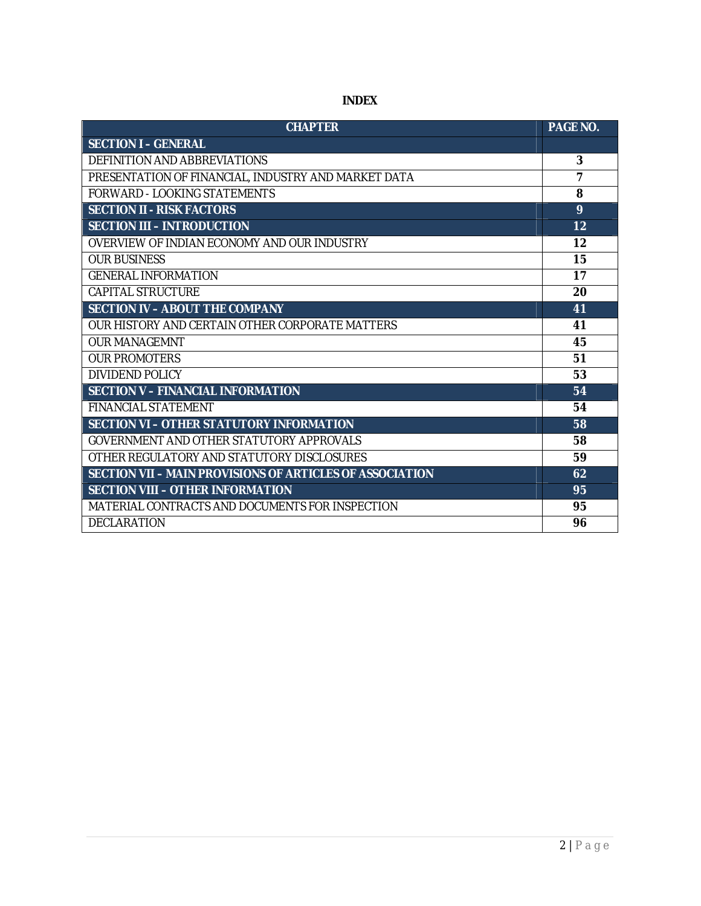| <b>CHAPTER</b>                                           | <b>PAGE NO.</b> |
|----------------------------------------------------------|-----------------|
| <b>SECTION I-GENERAL</b>                                 |                 |
| DEFINITION AND ABBREVIATIONS                             | 3               |
| PRESENTATION OF FINANCIAL, INDUSTRY AND MARKET DATA      | $\overline{7}$  |
| FORWARD - LOOKING STATEMENTS                             | 8               |
| <b>SECTION II - RISK FACTORS</b>                         | 9               |
| <b>SECTION III - INTRODUCTION</b>                        | 12              |
| OVERVIEW OF INDIAN ECONOMY AND OUR INDUSTRY              | 12              |
| <b>OUR BUSINESS</b>                                      | 15              |
| <b>GENERAL INFORMATION</b>                               | 17              |
| <b>CAPITAL STRUCTURE</b>                                 | 20              |
| <b>SECTION IV - ABOUT THE COMPANY</b>                    | 41              |
| OUR HISTORY AND CERTAIN OTHER CORPORATE MATTERS          | 41              |
| <b>OUR MANAGEMNT</b>                                     | 45              |
| <b>OUR PROMOTERS</b>                                     | 51              |
| DIVIDEND POLICY                                          | 53              |
| <b>SECTION V - FINANCIAL INFORMATION</b>                 | 54              |
| <b>FINANCIAL STATEMENT</b>                               | 54              |
| SECTION VI - OTHER STATUTORY INFORMATION                 | 58              |
| GOVERNMENT AND OTHER STATUTORY APPROVALS                 | 58              |
| OTHER REGULATORY AND STATUTORY DISCLOSURES               | 59              |
| SECTION VII - MAIN PROVISIONS OF ARTICLES OF ASSOCIATION | 62              |
| <b>SECTION VIII - OTHER INFORMATION</b>                  | 95              |
| MATERIAL CONTRACTS AND DOCUMENTS FOR INSPECTION          | 95              |
| DECLARATION                                              | 96              |

# **INDEX**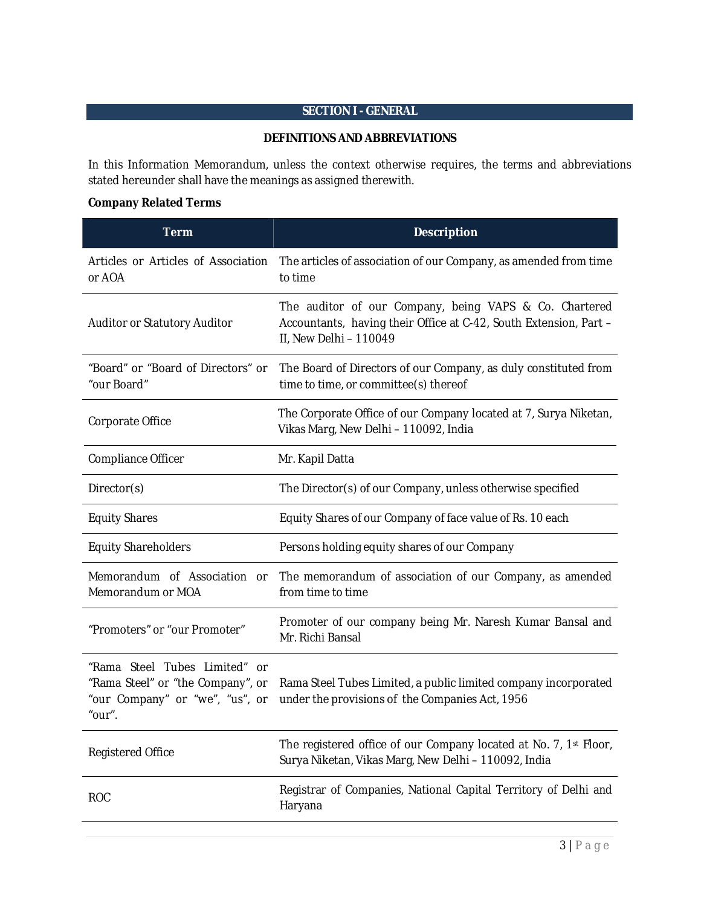# **SECTION I - GENERAL**

#### **DEFINITIONS AND ABBREVIATIONS**

In this Information Memorandum, unless the context otherwise requires, the terms and abbreviations stated hereunder shall have the meanings as assigned therewith.

## **Company Related Terms**

| <b>Term</b>                                                                                                     | <b>Description</b>                                                                                                                                    |
|-----------------------------------------------------------------------------------------------------------------|-------------------------------------------------------------------------------------------------------------------------------------------------------|
| Articles or Articles of Association<br>or AOA                                                                   | The articles of association of our Company, as amended from time<br>to time                                                                           |
| Auditor or Statutory Auditor                                                                                    | The auditor of our Company, being VAPS & Co. Chartered<br>Accountants, having their Office at C-42, South Extension, Part -<br>II, New Delhi - 110049 |
| "Board" or "Board of Directors" or<br>"our Board"                                                               | The Board of Directors of our Company, as duly constituted from<br>time to time, or committee(s) thereof                                              |
| Corporate Office                                                                                                | The Corporate Office of our Company located at 7, Surya Niketan,<br>Vikas Marg, New Delhi - 110092, India                                             |
| Compliance Officer                                                                                              | Mr. Kapil Datta                                                                                                                                       |
| Director(s)                                                                                                     | The Director(s) of our Company, unless otherwise specified                                                                                            |
| <b>Equity Shares</b>                                                                                            | Equity Shares of our Company of face value of Rs. 10 each                                                                                             |
| <b>Equity Shareholders</b>                                                                                      | Persons holding equity shares of our Company                                                                                                          |
| Memorandum of Association or<br>Memorandum or MOA                                                               | The memorandum of association of our Company, as amended<br>from time to time                                                                         |
| "Promoters" or "our Promoter"                                                                                   | Promoter of our company being Mr. Naresh Kumar Bansal and<br>Mr. Richi Bansal                                                                         |
| "Rama Steel Tubes Limited" or<br>"Rama Steel" or "the Company", or<br>"our Company" or "we", "us", or<br>"our". | Rama Steel Tubes Limited, a public limited company incorporated<br>under the provisions of the Companies Act, 1956                                    |
| <b>Registered Office</b>                                                                                        | The registered office of our Company located at No. 7, 1st Floor,<br>Surya Niketan, Vikas Marg, New Delhi - 110092, India                             |
| <b>ROC</b>                                                                                                      | Registrar of Companies, National Capital Territory of Delhi and<br>Haryana                                                                            |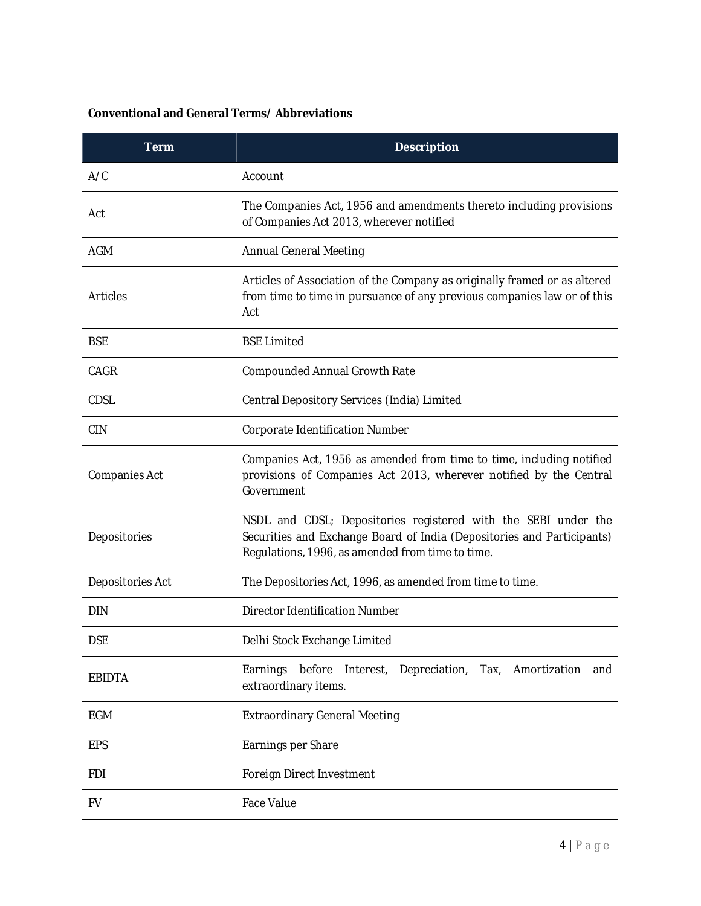# **Conventional and General Terms/ Abbreviations**

| <b>Term</b>      | <b>Description</b>                                                                                                                                                                           |  |  |  |  |  |
|------------------|----------------------------------------------------------------------------------------------------------------------------------------------------------------------------------------------|--|--|--|--|--|
| A/C              | Account                                                                                                                                                                                      |  |  |  |  |  |
| Act              | The Companies Act, 1956 and amendments thereto including provisions<br>of Companies Act 2013, wherever notified                                                                              |  |  |  |  |  |
| AGM              | <b>Annual General Meeting</b>                                                                                                                                                                |  |  |  |  |  |
| <b>Articles</b>  | Articles of Association of the Company as originally framed or as altered<br>from time to time in pursuance of any previous companies law or of this<br>Act                                  |  |  |  |  |  |
| <b>BSE</b>       | <b>BSE Limited</b>                                                                                                                                                                           |  |  |  |  |  |
| CAGR             | <b>Compounded Annual Growth Rate</b>                                                                                                                                                         |  |  |  |  |  |
| CDSL             | Central Depository Services (India) Limited                                                                                                                                                  |  |  |  |  |  |
| <b>CIN</b>       | Corporate Identification Number                                                                                                                                                              |  |  |  |  |  |
| Companies Act    | Companies Act, 1956 as amended from time to time, including notified<br>provisions of Companies Act 2013, wherever notified by the Central<br>Government                                     |  |  |  |  |  |
| Depositories     | NSDL and CDSL; Depositories registered with the SEBI under the<br>Securities and Exchange Board of India (Depositories and Participants)<br>Regulations, 1996, as amended from time to time. |  |  |  |  |  |
| Depositories Act | The Depositories Act, 1996, as amended from time to time.                                                                                                                                    |  |  |  |  |  |
| <b>DIN</b>       | <b>Director Identification Number</b>                                                                                                                                                        |  |  |  |  |  |
| <b>DSE</b>       | Delhi Stock Exchange Limited                                                                                                                                                                 |  |  |  |  |  |
| <b>EBIDTA</b>    | Earnings<br>before<br>Interest,<br>Depreciation,<br>Tax,<br>Amortization<br>and<br>extraordinary items.                                                                                      |  |  |  |  |  |
| <b>EGM</b>       | <b>Extraordinary General Meeting</b>                                                                                                                                                         |  |  |  |  |  |
| <b>EPS</b>       | Earnings per Share                                                                                                                                                                           |  |  |  |  |  |
| <b>FDI</b>       | Foreign Direct Investment                                                                                                                                                                    |  |  |  |  |  |
| <b>FV</b>        | <b>Face Value</b>                                                                                                                                                                            |  |  |  |  |  |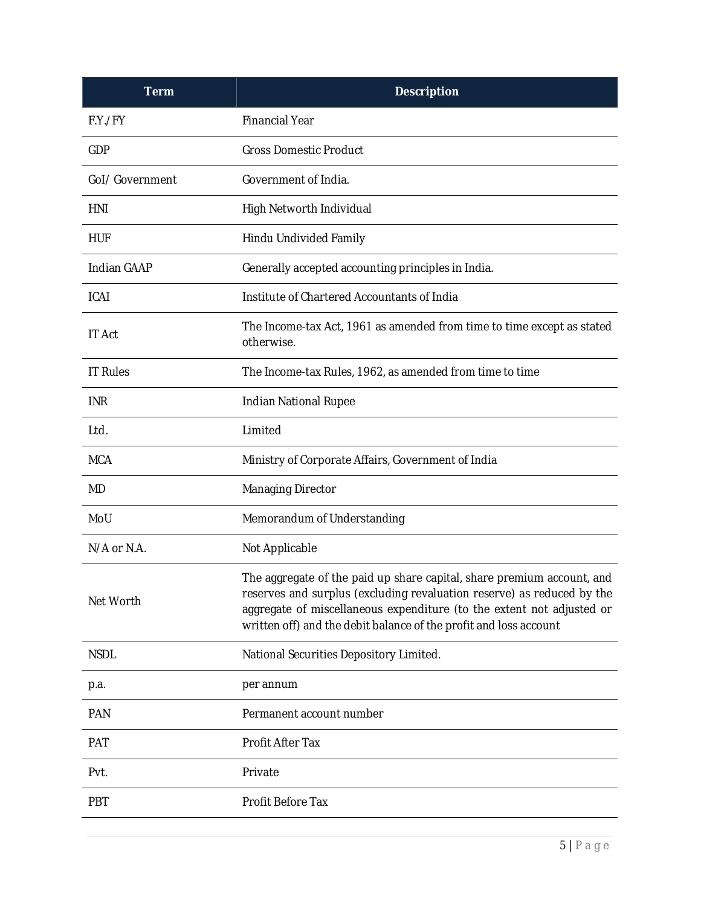| <b>Term</b>        | <b>Description</b>                                                                                                                                                                                                                                                                             |
|--------------------|------------------------------------------------------------------------------------------------------------------------------------------------------------------------------------------------------------------------------------------------------------------------------------------------|
| F.Y./FY            | <b>Financial Year</b>                                                                                                                                                                                                                                                                          |
| GDP                | <b>Gross Domestic Product</b>                                                                                                                                                                                                                                                                  |
| Gol/Government     | Government of India.                                                                                                                                                                                                                                                                           |
| HNI                | High Networth Individual                                                                                                                                                                                                                                                                       |
| HUF                | Hindu Undivided Family                                                                                                                                                                                                                                                                         |
| <b>Indian GAAP</b> | Generally accepted accounting principles in India.                                                                                                                                                                                                                                             |
| <b>ICAI</b>        | Institute of Chartered Accountants of India                                                                                                                                                                                                                                                    |
| <b>IT Act</b>      | The Income-tax Act, 1961 as amended from time to time except as stated<br>otherwise.                                                                                                                                                                                                           |
| <b>IT Rules</b>    | The Income-tax Rules, 1962, as amended from time to time                                                                                                                                                                                                                                       |
| <b>INR</b>         | <b>Indian National Rupee</b>                                                                                                                                                                                                                                                                   |
| Ltd.               | Limited                                                                                                                                                                                                                                                                                        |
| <b>MCA</b>         | Ministry of Corporate Affairs, Government of India                                                                                                                                                                                                                                             |
| MD                 | <b>Managing Director</b>                                                                                                                                                                                                                                                                       |
| MoU                | Memorandum of Understanding                                                                                                                                                                                                                                                                    |
| N/A or N.A.        | Not Applicable                                                                                                                                                                                                                                                                                 |
| Net Worth          | The aggregate of the paid up share capital, share premium account, and<br>reserves and surplus (excluding revaluation reserve) as reduced by the<br>aggregate of miscellaneous expenditure (to the extent not adjusted or<br>written off) and the debit balance of the profit and loss account |
| <b>NSDL</b>        | National Securities Depository Limited.                                                                                                                                                                                                                                                        |
| p.a.               | per annum                                                                                                                                                                                                                                                                                      |
| <b>PAN</b>         | Permanent account number                                                                                                                                                                                                                                                                       |
| PAT                | Profit After Tax                                                                                                                                                                                                                                                                               |
| Pvt.               | Private                                                                                                                                                                                                                                                                                        |
| PBT                | Profit Before Tax                                                                                                                                                                                                                                                                              |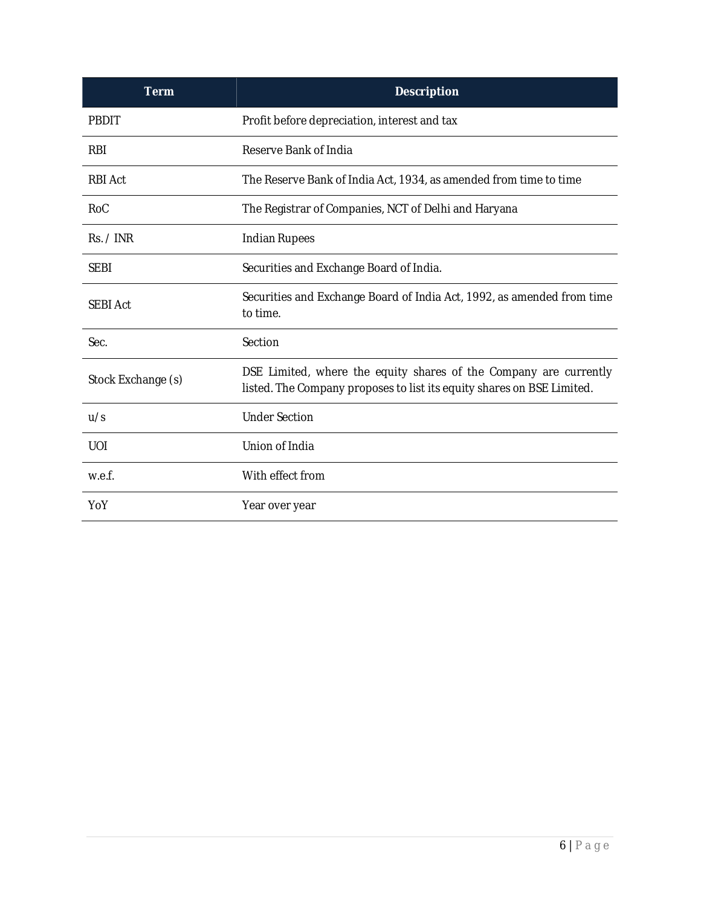| <b>Term</b>        | <b>Description</b>                                                                                                                          |
|--------------------|---------------------------------------------------------------------------------------------------------------------------------------------|
| PBDIT              | Profit before depreciation, interest and tax                                                                                                |
| <b>RBI</b>         | Reserve Bank of India                                                                                                                       |
| <b>RBI Act</b>     | The Reserve Bank of India Act, 1934, as amended from time to time                                                                           |
| RoC                | The Registrar of Companies, NCT of Delhi and Haryana                                                                                        |
| Rs. / INR          | <b>Indian Rupees</b>                                                                                                                        |
| <b>SEBI</b>        | Securities and Exchange Board of India.                                                                                                     |
| <b>SEBI Act</b>    | Securities and Exchange Board of India Act, 1992, as amended from time<br>to time.                                                          |
| Sec.               | Section                                                                                                                                     |
| Stock Exchange (s) | DSE Limited, where the equity shares of the Company are currently<br>listed. The Company proposes to list its equity shares on BSE Limited. |
| u/s                | <b>Under Section</b>                                                                                                                        |
| <b>UOI</b>         | Union of India                                                                                                                              |
| w.e.f.             | With effect from                                                                                                                            |
| YoY                | Year over year                                                                                                                              |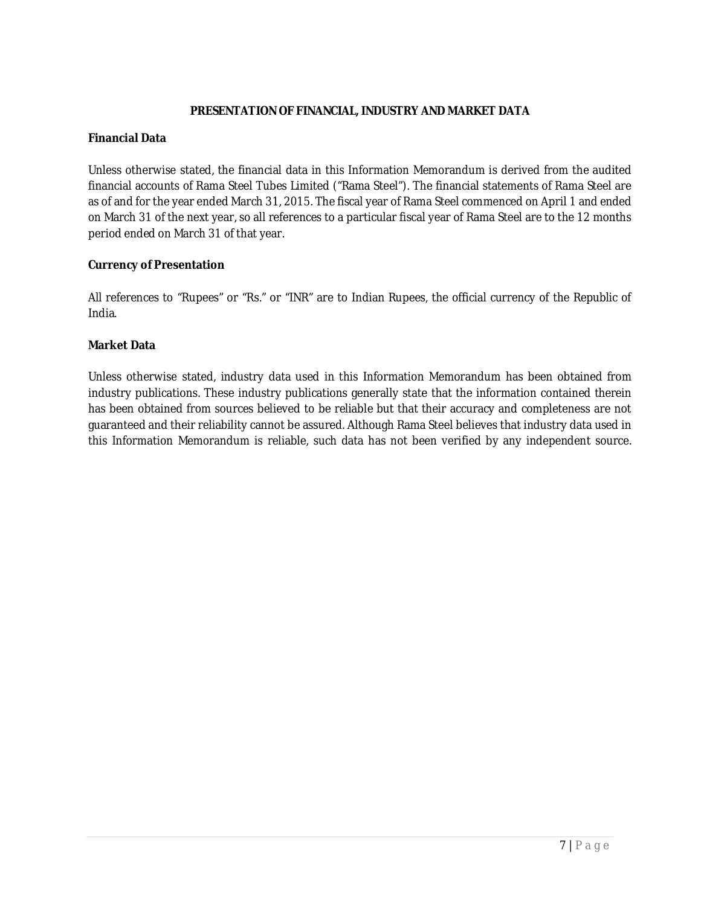## **PRESENTATION OF FINANCIAL, INDUSTRY AND MARKET DATA**

#### **Financial Data**

Unless otherwise stated, the financial data in this Information Memorandum is derived from the audited financial accounts of Rama Steel Tubes Limited ("Rama Steel"). The financial statements of Rama Steel are as of and for the year ended March 31, 2015. The fiscal year of Rama Steel commenced on April 1 and ended on March 31 of the next year, so all references to a particular fiscal year of Rama Steel are to the 12 months period ended on March 31 of that year.

### **Currency of Presentation**

All references to "Rupees" or "Rs." or "INR" are to Indian Rupees, the official currency of the Republic of India.

#### **Market Data**

Unless otherwise stated, industry data used in this Information Memorandum has been obtained from industry publications. These industry publications generally state that the information contained therein has been obtained from sources believed to be reliable but that their accuracy and completeness are not guaranteed and their reliability cannot be assured. Although Rama Steel believes that industry data used in this Information Memorandum is reliable, such data has not been verified by any independent source.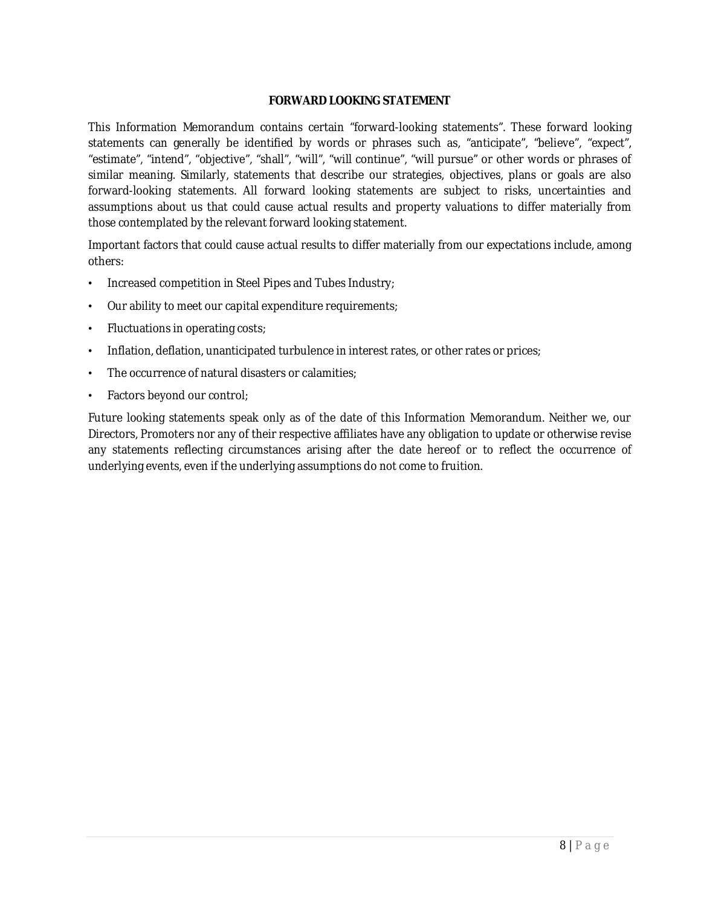## **FORWARD LOOKING STATEMENT**

This Information Memorandum contains certain "forward-looking statements". These forward looking statements can generally be identified by words or phrases such as, "anticipate", "believe", "expect", "estimate", "intend", "objective", "shall", "will", "will continue", "will pursue" or other words or phrases of similar meaning. Similarly, statements that describe our strategies, objectives, plans or goals are also forward-looking statements. All forward looking statements are subject to risks, uncertainties and assumptions about us that could cause actual results and property valuations to differ materially from those contemplated by the relevant forward looking statement.

Important factors that could cause actual results to differ materially from our expectations include, among others:

- Increased competition in Steel Pipes and Tubes Industry;
- Our ability to meet our capital expenditure requirements;
- Fluctuations in operating costs;
- Inflation, deflation, unanticipated turbulence in interest rates, or other rates or prices;
- The occurrence of natural disasters or calamities;
- Factors beyond our control;

Future looking statements speak only as of the date of this Information Memorandum. Neither we, our Directors, Promoters nor any of their respective affiliates have any obligation to update or otherwise revise any statements reflecting circumstances arising after the date hereof or to reflect the occurrence of underlying events, even if the underlying assumptions do not come to fruition.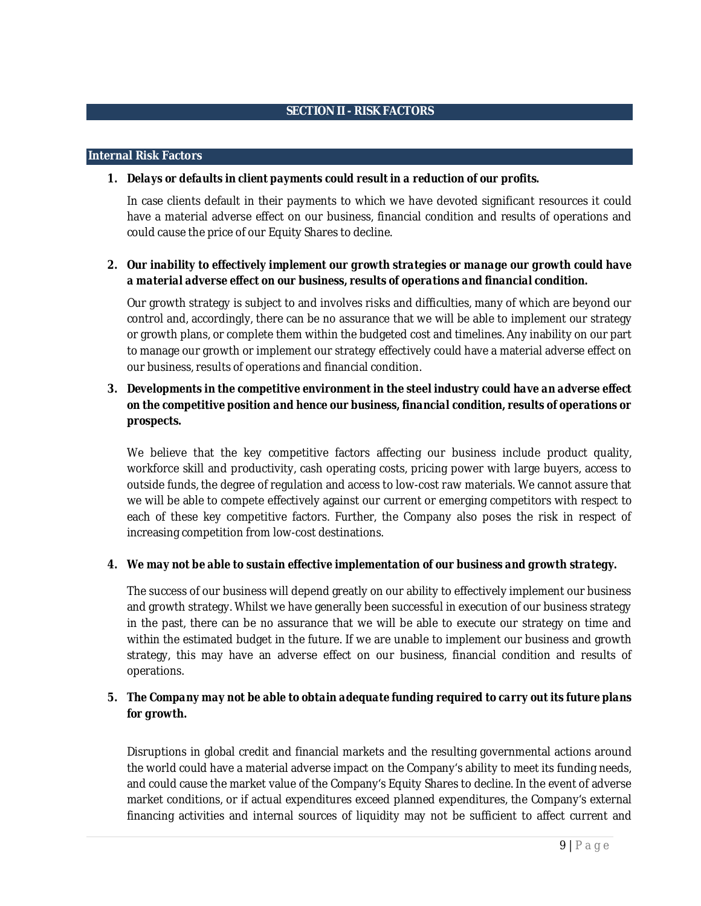#### **Internal Risk Factors**

### *1. Delays or defaults in client payments could result in a reduction of our profits.*

In case clients default in their payments to which we have devoted significant resources it could have a material adverse effect on our business, financial condition and results of operations and could cause the price of our Equity Shares to decline.

## *2. Our inability to effectively implement our growth strategies or manage our growth could have a material adverse effect on our business, results of operations and financial condition.*

Our growth strategy is subject to and involves risks and difficulties, many of which are beyond our control and, accordingly, there can be no assurance that we will be able to implement our strategy or growth plans, or complete them within the budgeted cost and timelines. Any inability on our part to manage our growth or implement our strategy effectively could have a material adverse effect on our business, results of operations and financial condition.

## *3. Developments in the competitive environment in the steel industry could have an adverse effect on the competitive position and hence our business, financial condition, results of operations or prospects.*

We believe that the key competitive factors affecting our business include product quality, workforce skill and productivity, cash operating costs, pricing power with large buyers, access to outside funds, the degree of regulation and access to low-cost raw materials. We cannot assure that we will be able to compete effectively against our current or emerging competitors with respect to each of these key competitive factors. Further, the Company also poses the risk in respect of increasing competition from low-cost destinations.

#### *4. We may not be able to sustain effective implementation of our business and growth strategy.*

The success of our business will depend greatly on our ability to effectively implement our business and growth strategy. Whilst we have generally been successful in execution of our business strategy in the past, there can be no assurance that we will be able to execute our strategy on time and within the estimated budget in the future. If we are unable to implement our business and growth strategy, this may have an adverse effect on our business, financial condition and results of operations.

## *5. The Company may not be able to obtain adequate funding required to carry out its future plans for growth.*

Disruptions in global credit and financial markets and the resulting governmental actions around the world could have a material adverse impact on the Company's ability to meet its funding needs, and could cause the market value of the Company's Equity Shares to decline. In the event of adverse market conditions, or if actual expenditures exceed planned expenditures, the Company's external financing activities and internal sources of liquidity may not be sufficient to affect current and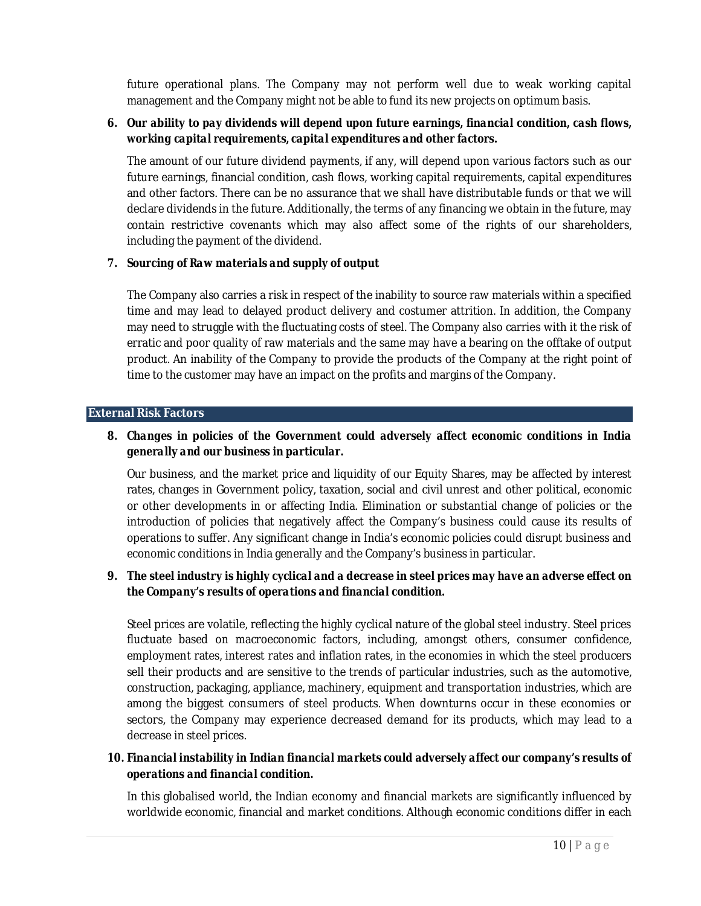future operational plans. The Company may not perform well due to weak working capital management and the Company might not be able to fund its new projects on optimum basis.

## *6. Our ability to pay dividends will depend upon future earnings, financial condition, cash flows, working capital requirements, capital expenditures and other factors.*

The amount of our future dividend payments, if any, will depend upon various factors such as our future earnings, financial condition, cash flows, working capital requirements, capital expenditures and other factors. There can be no assurance that we shall have distributable funds or that we will declare dividends in the future. Additionally, the terms of any financing we obtain in the future, may contain restrictive covenants which may also affect some of the rights of our shareholders, including the payment of the dividend.

## *7. Sourcing of Raw materials and supply of output*

The Company also carries a risk in respect of the inability to source raw materials within a specified time and may lead to delayed product delivery and costumer attrition. In addition, the Company may need to struggle with the fluctuating costs of steel. The Company also carries with it the risk of erratic and poor quality of raw materials and the same may have a bearing on the offtake of output product. An inability of the Company to provide the products of the Company at the right point of time to the customer may have an impact on the profits and margins of the Company.

#### **External Risk Factors**

## *8. Changes in policies of the Government could adversely affect economic conditions in India generally and our business in particular.*

Our business, and the market price and liquidity of our Equity Shares, may be affected by interest rates, changes in Government policy, taxation, social and civil unrest and other political, economic or other developments in or affecting India. Elimination or substantial change of policies or the introduction of policies that negatively affect the Company's business could cause its results of operations to suffer. Any significant change in India's economic policies could disrupt business and economic conditions in India generally and the Company's business in particular.

## *9. The steel industry is highly cyclical and a decrease in steel prices may have an adverse effect on the Company's results of operations and financial condition.*

Steel prices are volatile, reflecting the highly cyclical nature of the global steel industry. Steel prices fluctuate based on macroeconomic factors, including, amongst others, consumer confidence, employment rates, interest rates and inflation rates, in the economies in which the steel producers sell their products and are sensitive to the trends of particular industries, such as the automotive, construction, packaging, appliance, machinery, equipment and transportation industries, which are among the biggest consumers of steel products. When downturns occur in these economies or sectors, the Company may experience decreased demand for its products, which may lead to a decrease in steel prices.

## *10. Financial instability in Indian financial markets could adversely affect our company's results of operations and financial condition.*

In this globalised world, the Indian economy and financial markets are significantly influenced by worldwide economic, financial and market conditions. Although economic conditions differ in each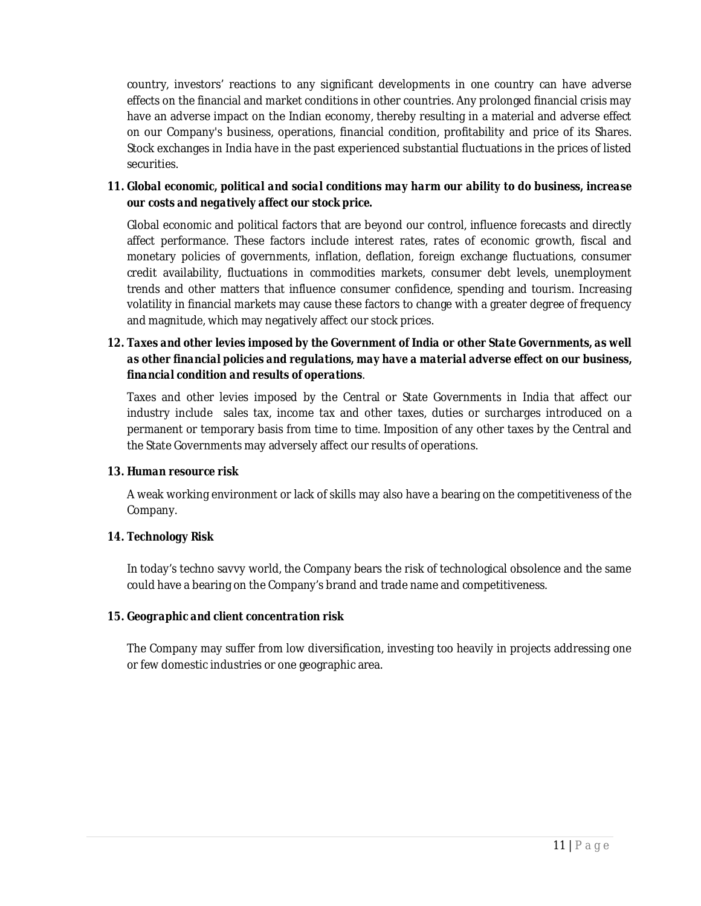country, investors' reactions to any significant developments in one country can have adverse effects on the financial and market conditions in other countries. Any prolonged financial crisis may have an adverse impact on the Indian economy, thereby resulting in a material and adverse effect on our Company's business, operations, financial condition, profitability and price of its Shares. Stock exchanges in India have in the past experienced substantial fluctuations in the prices of listed securities.

## *11. Global economic, political and social conditions may harm our ability to do business, increase our costs and negatively affect our stock price.*

Global economic and political factors that are beyond our control, influence forecasts and directly affect performance. These factors include interest rates, rates of economic growth, fiscal and monetary policies of governments, inflation, deflation, foreign exchange fluctuations, consumer credit availability, fluctuations in commodities markets, consumer debt levels, unemployment trends and other matters that influence consumer confidence, spending and tourism. Increasing volatility in financial markets may cause these factors to change with a greater degree of frequency and magnitude, which may negatively affect our stock prices.

# *12. Taxes and other levies imposed by the Government of India or other State Governments, as well as other financial policies and regulations, may have a material adverse effect on our business, financial condition and results of operations*.

Taxes and other levies imposed by the Central or State Governments in India that affect our industry include sales tax, income tax and other taxes, duties or surcharges introduced on a permanent or temporary basis from time to time. Imposition of any other taxes by the Central and the State Governments may adversely affect our results of operations.

## *13. Human resource risk*

A weak working environment or lack of skills may also have a bearing on the competitiveness of the Company.

## *14. Technology Risk*

In today's techno savvy world, the Company bears the risk of technological obsolence and the same could have a bearing on the Company's brand and trade name and competitiveness.

## *15. Geographic and client concentration risk*

The Company may suffer from low diversification, investing too heavily in projects addressing one or few domestic industries or one geographic area.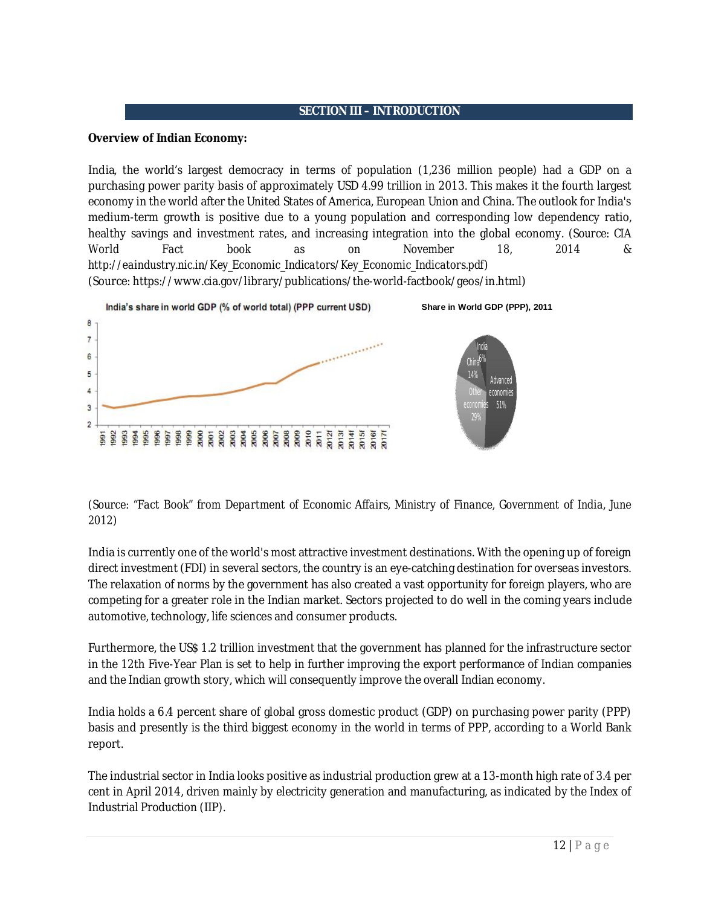## **SECTION III – INTRODUCTION**

#### **Overview of Indian Economy:**

India, the world's largest democracy in terms of population (1,236 million people) had a GDP on a purchasing power parity basis of approximately USD 4.99 trillion in 2013. This makes it the fourth largest economy in the world after the United States of America, European Union and China. The outlook for India's medium-term growth is positive due to a young population and corresponding low dependency ratio, healthy savings and investment rates, and increasing integration into the global economy. (*Source: CIA World Fact book as on November 18, 2014 & http://eaindustry.nic.in/Key\_Economic\_Indicators/Key\_Economic\_Indicators.pdf*) (Source: https://www.cia.gov/library/publications/the-world-factbook/geos/in.html)



## *(Source: "Fact Book" from Department of Economic Affairs, Ministry of Finance, Government of India, June 2012)*

India is currently one of the world's most attractive investment destinations. With the opening up of foreign direct investment (FDI) in several sectors, the country is an eye-catching destination for overseas investors. The relaxation of norms by the government has also created a vast opportunity for foreign players, who are competing for a greater role in the Indian market. Sectors projected to do well in the coming years include automotive, technology, life sciences and consumer products.

Furthermore, the US\$ 1.2 trillion investment that the government has planned for the infrastructure sector in the 12th Five-Year Plan is set to help in further improving the export performance of Indian companies and the Indian growth story, which will consequently improve the overall Indian economy.

India holds a 6.4 percent share of global gross domestic product (GDP) on purchasing power parity (PPP) basis and presently is the third biggest economy in the world in terms of PPP, according to a World Bank report.

The industrial sector in India looks positive as industrial production grew at a 13-month high rate of 3.4 per cent in April 2014, driven mainly by electricity generation and manufacturing, as indicated by the Index of Industrial Production (IIP).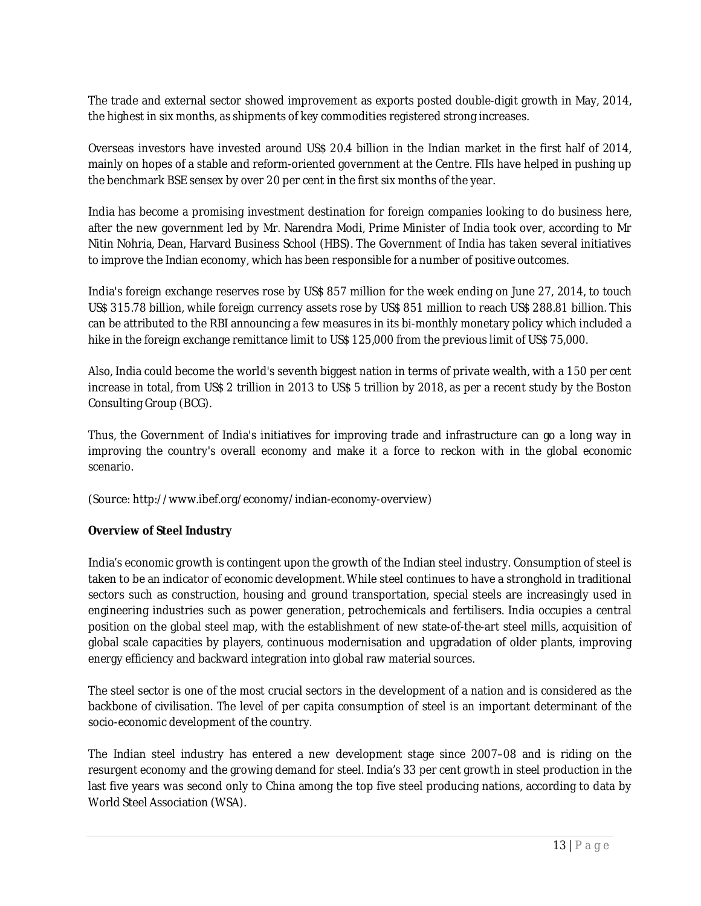The trade and external sector showed improvement as exports posted double-digit growth in May, 2014, the highest in six months, as shipments of key commodities registered strong increases.

Overseas investors have invested around US\$ 20.4 billion in the Indian market in the first half of 2014, mainly on hopes of a stable and reform-oriented government at the Centre. FIIs have helped in pushing up the benchmark BSE sensex by over 20 per cent in the first six months of the year.

India has become a promising investment destination for foreign companies looking to do business here, after the new government led by Mr. Narendra Modi, Prime Minister of India took over, according to Mr Nitin Nohria, Dean, Harvard Business School (HBS). The Government of India has taken several initiatives to improve the Indian economy, which has been responsible for a number of positive outcomes.

India's foreign exchange reserves rose by US\$ 857 million for the week ending on June 27, 2014, to touch US\$ 315.78 billion, while foreign currency assets rose by US\$ 851 million to reach US\$ 288.81 billion. This can be attributed to the RBI announcing a few measures in its bi-monthly monetary policy which included a hike in the foreign exchange remittance limit to US\$ 125,000 from the previous limit of US\$ 75,000.

Also, India could become the world's seventh biggest nation in terms of private wealth, with a 150 per cent increase in total, from US\$ 2 trillion in 2013 to US\$ 5 trillion by 2018, as per a recent study by the Boston Consulting Group (BCG).

Thus, the Government of India's initiatives for improving trade and infrastructure can go a long way in improving the country's overall economy and make it a force to reckon with in the global economic scenario.

(Source: http://www.ibef.org/economy/indian-economy-overview)

## **Overview of Steel Industry**

India's economic growth is contingent upon the growth of the Indian steel industry. Consumption of steel is taken to be an indicator of economic development. While steel continues to have a stronghold in traditional sectors such as construction, housing and ground transportation, special steels are increasingly used in engineering industries such as power generation, petrochemicals and fertilisers. India occupies a central position on the global steel map, with the establishment of new state-of-the-art steel mills, acquisition of global scale capacities by players, continuous modernisation and upgradation of older plants, improving energy efficiency and backward integration into global raw material sources.

The steel sector is one of the most crucial sectors in the development of a nation and is considered as the backbone of civilisation. The level of per capita consumption of steel is an important determinant of the socio-economic development of the country.

The Indian steel industry has entered a new development stage since 2007–08 and is riding on the resurgent economy and the growing demand for steel. India's 33 per cent growth in steel production in the last five years was second only to China among the top five steel producing nations, according to data by World Steel Association (WSA).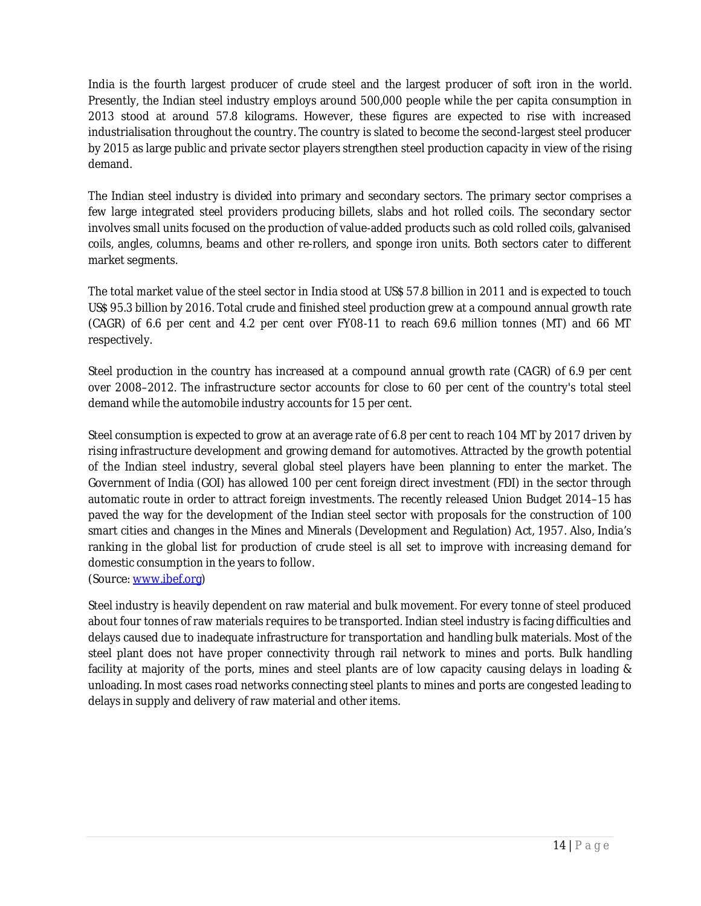India is the fourth largest producer of crude steel and the largest producer of soft iron in the world. Presently, the Indian steel industry employs around 500,000 people while the per capita consumption in 2013 stood at around 57.8 kilograms. However, these figures are expected to rise with increased industrialisation throughout the country. The country is slated to become the second-largest steel producer by 2015 as large public and private sector players strengthen steel production capacity in view of the rising demand.

The Indian steel industry is divided into primary and secondary sectors. The primary sector comprises a few large integrated steel providers producing billets, slabs and hot rolled coils. The secondary sector involves small units focused on the production of value-added products such as cold rolled coils, galvanised coils, angles, columns, beams and other re-rollers, and sponge iron units. Both sectors cater to different market segments.

The total market value of the steel sector in India stood at US\$ 57.8 billion in 2011 and is expected to touch US\$ 95.3 billion by 2016. Total crude and finished steel production grew at a compound annual growth rate (CAGR) of 6.6 per cent and 4.2 per cent over FY08-11 to reach 69.6 million tonnes (MT) and 66 MT respectively.

Steel production in the country has increased at a compound annual growth rate (CAGR) of 6.9 per cent over 2008–2012. The infrastructure sector accounts for close to 60 per cent of the country's total steel demand while the automobile industry accounts for 15 per cent.

Steel consumption is expected to grow at an average rate of 6.8 per cent to reach 104 MT by 2017 driven by rising infrastructure development and growing demand for automotives. Attracted by the growth potential of the Indian steel industry, several global steel players have been planning to enter the market. The Government of India (GOI) has allowed 100 per cent foreign direct investment (FDI) in the sector through automatic route in order to attract foreign investments. The recently released Union Budget 2014–15 has paved the way for the development of the Indian steel sector with proposals for the construction of 100 smart cities and changes in the Mines and Minerals (Development and Regulation) Act, 1957. Also, India's ranking in the global list for production of crude steel is all set to improve with increasing demand for domestic consumption in the years to follow.

(Source: www.ibef.org)

Steel industry is heavily dependent on raw material and bulk movement. For every tonne of steel produced about four tonnes of raw materials requires to be transported. Indian steel industry is facing difficulties and delays caused due to inadequate infrastructure for transportation and handling bulk materials. Most of the steel plant does not have proper connectivity through rail network to mines and ports. Bulk handling facility at majority of the ports, mines and steel plants are of low capacity causing delays in loading & unloading. In most cases road networks connecting steel plants to mines and ports are congested leading to delays in supply and delivery of raw material and other items.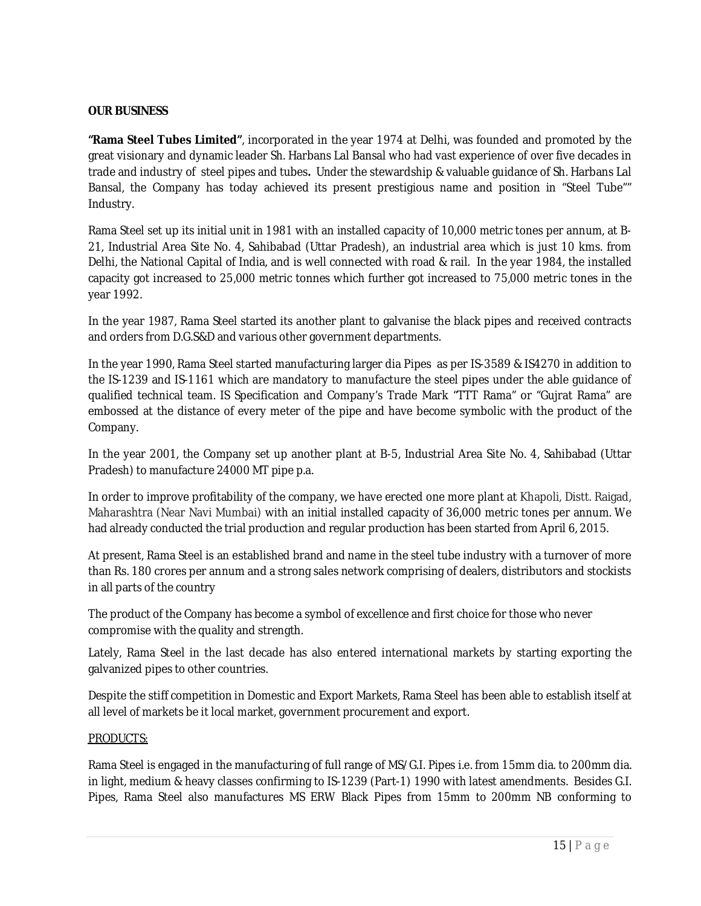## **OUR BUSINESS**

**"Rama Steel Tubes Limited"**, incorporated in the year 1974 at Delhi, was founded and promoted by the great visionary and dynamic leader Sh. Harbans Lal Bansal who had vast experience of over five decades in trade and industry of steel pipes and tubes**.** Under the stewardship & valuable guidance of Sh. Harbans Lal Bansal, the Company has today achieved its present prestigious name and position in "Steel Tube"" Industry.

Rama Steel set up its initial unit in 1981 with an installed capacity of 10,000 metric tones per annum, at B-21, Industrial Area Site No. 4, Sahibabad (Uttar Pradesh), an industrial area which is just 10 kms. from Delhi, the National Capital of India, and is well connected with road & rail. In the year 1984, the installed capacity got increased to 25,000 metric tonnes which further got increased to 75,000 metric tones in the year 1992.

In the year 1987, Rama Steel started its another plant to galvanise the black pipes and received contracts and orders from D.G.S&D and various other government departments.

In the year 1990, Rama Steel started manufacturing larger dia Pipes as per IS-3589 & IS4270 in addition to the IS-1239 and IS-1161 which are mandatory to manufacture the steel pipes under the able guidance of qualified technical team. IS Specification and Company's Trade Mark "TTT Rama" or "Gujrat Rama" are embossed at the distance of every meter of the pipe and have become symbolic with the product of the Company.

In the year 2001, the Company set up another plant at B-5, Industrial Area Site No. 4, Sahibabad (Uttar Pradesh) to manufacture 24000 MT pipe p.a.

In order to improve profitability of the company, we have erected one more plant at Khapoli, Distt. Raigad, Maharashtra (Near Navi Mumbai) with an initial installed capacity of 36,000 metric tones per annum. We had already conducted the trial production and regular production has been started from April 6, 2015.

At present, Rama Steel is an established brand and name in the steel tube industry with a turnover of more than Rs. 180 crores per annum and a strong sales network comprising of dealers, distributors and stockists in all parts of the country

The product of the Company has become a symbol of excellence and first choice for those who never compromise with the quality and strength.

Lately, Rama Steel in the last decade has also entered international markets by starting exporting the galvanized pipes to other countries.

Despite the stiff competition in Domestic and Export Markets, Rama Steel has been able to establish itself at all level of markets be it local market, government procurement and export.

#### PRODUCTS:

Rama Steel is engaged in the manufacturing of full range of MS/G.I. Pipes i.e. from 15mm dia. to 200mm dia. in light, medium & heavy classes confirming to IS-1239 (Part-1) 1990 with latest amendments. Besides G.I. Pipes, Rama Steel also manufactures MS ERW Black Pipes from 15mm to 200mm NB conforming to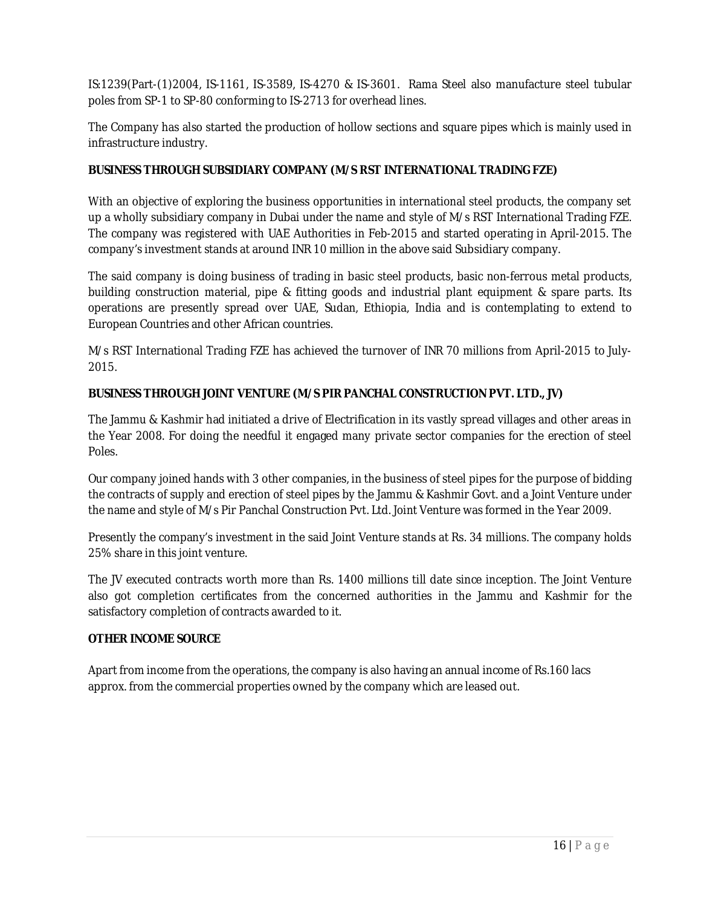IS:1239(Part-(1)2004, IS-1161, IS-3589, IS-4270 & IS-3601. Rama Steel also manufacture steel tubular poles from SP-1 to SP-80 conforming to IS-2713 for overhead lines.

The Company has also started the production of hollow sections and square pipes which is mainly used in infrastructure industry.

## **BUSINESS THROUGH SUBSIDIARY COMPANY (M/S RST INTERNATIONAL TRADING FZE)**

With an objective of exploring the business opportunities in international steel products, the company set up a wholly subsidiary company in Dubai under the name and style of M/s RST International Trading FZE. The company was registered with UAE Authorities in Feb-2015 and started operating in April-2015. The company's investment stands at around INR 10 million in the above said Subsidiary company.

The said company is doing business of trading in basic steel products, basic non-ferrous metal products, building construction material, pipe & fitting goods and industrial plant equipment & spare parts. Its operations are presently spread over UAE, Sudan, Ethiopia, India and is contemplating to extend to European Countries and other African countries.

M/s RST International Trading FZE has achieved the turnover of INR 70 millions from April-2015 to July-2015.

## **BUSINESS THROUGH JOINT VENTURE (M/S PIR PANCHAL CONSTRUCTION PVT. LTD., JV)**

The Jammu & Kashmir had initiated a drive of Electrification in its vastly spread villages and other areas in the Year 2008. For doing the needful it engaged many private sector companies for the erection of steel Poles.

Our company joined hands with 3 other companies, in the business of steel pipes for the purpose of bidding the contracts of supply and erection of steel pipes by the Jammu & Kashmir Govt. and a Joint Venture under the name and style of M/s Pir Panchal Construction Pvt. Ltd. Joint Venture was formed in the Year 2009.

Presently the company's investment in the said Joint Venture stands at Rs. 34 millions. The company holds 25% share in this joint venture.

The JV executed contracts worth more than Rs. 1400 millions till date since inception. The Joint Venture also got completion certificates from the concerned authorities in the Jammu and Kashmir for the satisfactory completion of contracts awarded to it.

## **OTHER INCOME SOURCE**

Apart from income from the operations, the company is also having an annual income of Rs.160 lacs approx. from the commercial properties owned by the company which are leased out.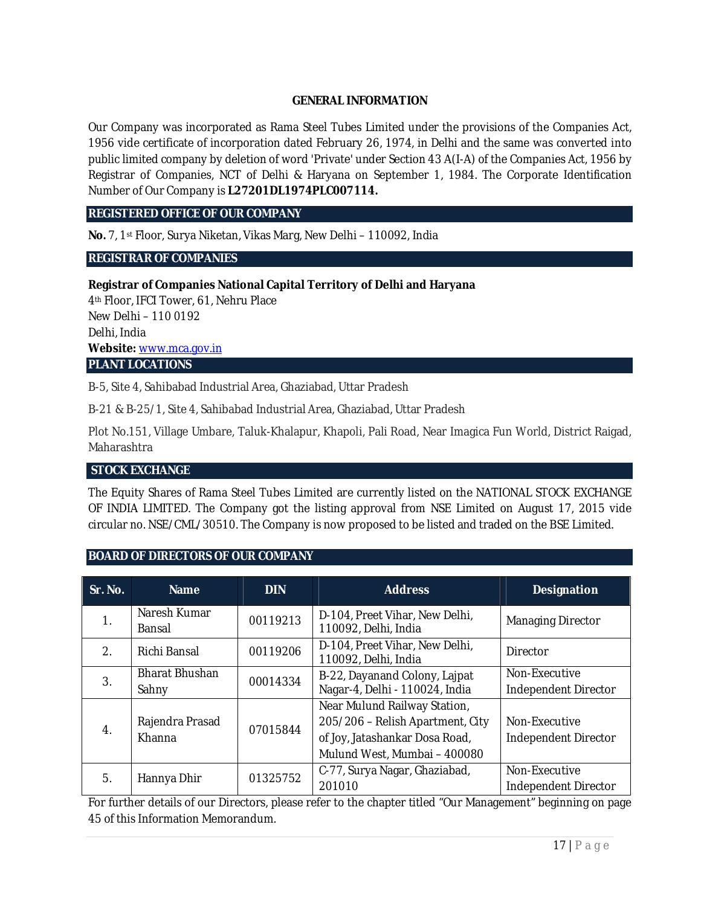## **GENERAL INFORMATION**

Our Company was incorporated as Rama Steel Tubes Limited under the provisions of the Companies Act, 1956 vide certificate of incorporation dated February 26, 1974, in Delhi and the same was converted into public limited company by deletion of word 'Private' under Section 43 A(I-A) of the Companies Act, 1956 by Registrar of Companies, NCT of Delhi & Haryana on September 1, 1984. The Corporate Identification Number of Our Company is **L27201DL1974PLC007114.**

### **REGISTERED OFFICE OF OUR COMPANY**

**No.** 7, 1st Floor, Surya Niketan, Vikas Marg, New Delhi – 110092, India

### **REGISTRAR OF COMPANIES**

### **Registrar of Companies National Capital Territory of Delhi and Haryana**

4th Floor, IFCI Tower, 61, Nehru Place New Delhi – 110 0192 Delhi, India **Website:** www.mca.gov.in **PLANT LOCATIONS** 

B-5, Site 4, Sahibabad Industrial Area, Ghaziabad, Uttar Pradesh

B-21 & B-25/1, Site 4, Sahibabad Industrial Area, Ghaziabad, Uttar Pradesh

Plot No.151, Village Umbare, Taluk-Khalapur, Khapoli, Pali Road, Near Imagica Fun World, District Raigad, Maharashtra

#### **STOCK EXCHANGE**

The Equity Shares of Rama Steel Tubes Limited are currently listed on the NATIONAL STOCK EXCHANGE OF INDIA LIMITED. The Company got the listing approval from NSE Limited on August 17, 2015 vide circular no. NSE/CML/30510. The Company is now proposed to be listed and traded on the BSE Limited.

#### **BOARD OF DIRECTORS OF OUR COMPANY**

| Sr. No.          | <b>Name</b>                    | <b>DIN</b>                                                         | <b>Address</b>                                                                                                                     | <b>Designation</b>                    |
|------------------|--------------------------------|--------------------------------------------------------------------|------------------------------------------------------------------------------------------------------------------------------------|---------------------------------------|
| $\mathbf{1}$ .   | Naresh Kumar<br>Bansal         | 00119213                                                           | D-104, Preet Vihar, New Delhi,<br>110092, Delhi, India                                                                             | <b>Managing Director</b>              |
| 2 <sub>1</sub>   | Richi Bansal                   | D-104, Preet Vihar, New Delhi,<br>00119206<br>110092, Delhi, India |                                                                                                                                    | Director                              |
| 3.               | <b>Bharat Bhushan</b><br>Sahny | 00014334                                                           | B-22, Dayanand Colony, Lajpat<br>Nagar-4, Delhi - 110024, India                                                                    | Non-Executive<br>Independent Director |
| $\overline{4}$ . | Rajendra Prasad<br>Khanna      | 07015844                                                           | Near Mulund Railway Station,<br>205/206 - Relish Apartment, City<br>of Joy, Jatashankar Dosa Road,<br>Mulund West, Mumbai - 400080 | Non-Executive<br>Independent Director |
| 5.               | Hannya Dhir                    | 01325752                                                           | C-77, Surya Nagar, Ghaziabad,<br>201010                                                                                            | Non-Executive<br>Independent Director |

For further details of our Directors, please refer to the chapter titled "Our Management" beginning on page 45 of this Information Memorandum.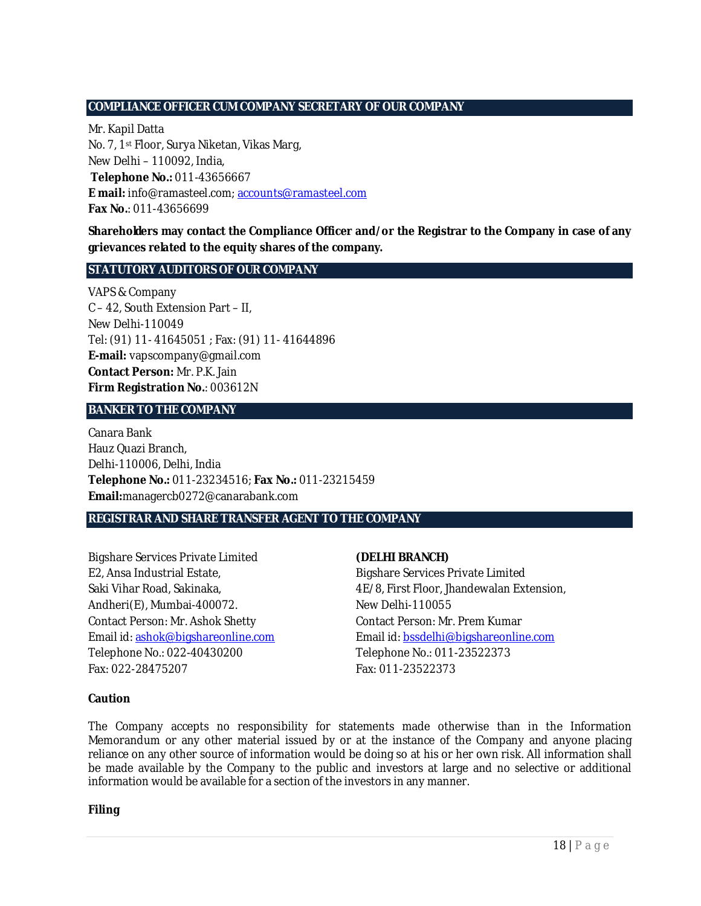## **COMPLIANCE OFFICER CUM COMPANY SECRETARY OF OUR COMPANY**

Mr. Kapil Datta No. 7, 1st Floor, Surya Niketan, Vikas Marg, New Delhi – 110092, India, **Telephone No.:** 011-43656667 **E mail:** info@ramasteel.com; accounts@ramasteel.com **Fax No.**: 011-43656699

**Shareholders may contact the Compliance Officer and/or the Registrar to the Company in case of any grievances related to the equity shares of the company.** 

### **STATUTORY AUDITORS OF OUR COMPANY**

VAPS & Company C – 42, South Extension Part – II, New Delhi-110049 Tel: (91) 11- 41645051 ; Fax: (91) 11- 41644896 **E-mail:** vapscompany@gmail.com **Contact Person:** Mr. P.K. Jain **Firm Registration No.**: 003612N

### **BANKER TO THE COMPANY**

Canara Bank Hauz Quazi Branch, Delhi-110006, Delhi, India **Telephone No.:** 011-23234516; **Fax No.:** 011-23215459 **Email:**managercb0272@canarabank.com

#### **REGISTRAR AND SHARE TRANSFER AGENT TO THE COMPANY**

Bigshare Services Private Limited E2, Ansa Industrial Estate, Saki Vihar Road, Sakinaka, Andheri(E), Mumbai-400072. Contact Person: Mr. Ashok Shetty Email id: ashok@bigshareonline.com Telephone No.: 022-40430200 Fax: 022-28475207

#### **(DELHI BRANCH)**

Bigshare Services Private Limited 4E/8, First Floor, Jhandewalan Extension, New Delhi-110055 Contact Person: Mr. Prem Kumar Email id: bssdelhi@bigshareonline.com Telephone No.: 011-23522373 Fax: 011-23522373

#### **Caution**

The Company accepts no responsibility for statements made otherwise than in the Information Memorandum or any other material issued by or at the instance of the Company and anyone placing reliance on any other source of information would be doing so at his or her own risk. All information shall be made available by the Company to the public and investors at large and no selective or additional information would be available for a section of the investors in any manner.

**Filing**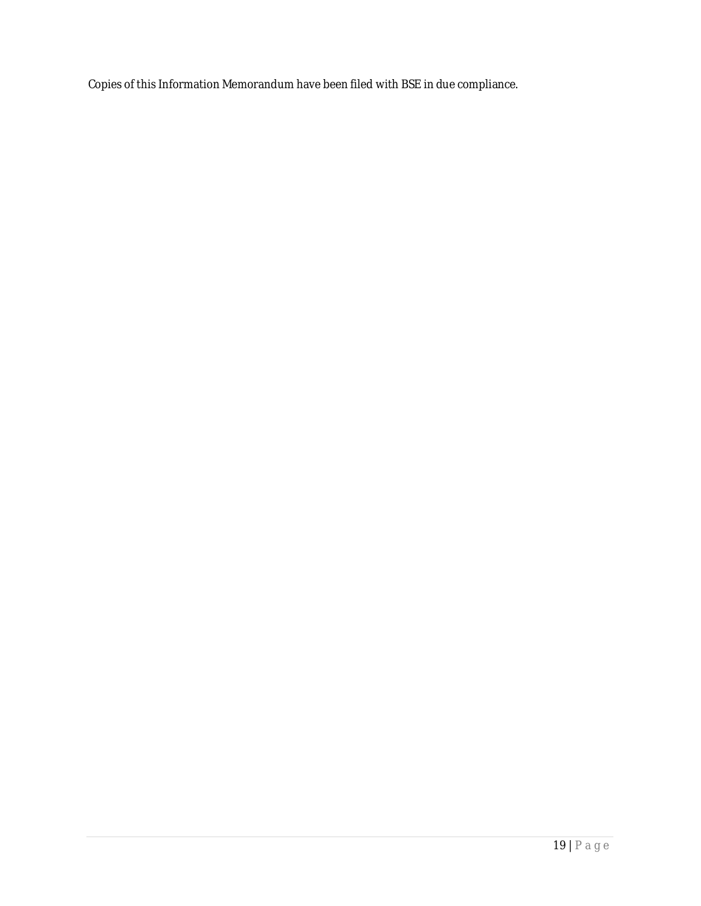Copies of this Information Memorandum have been filed with BSE in due compliance.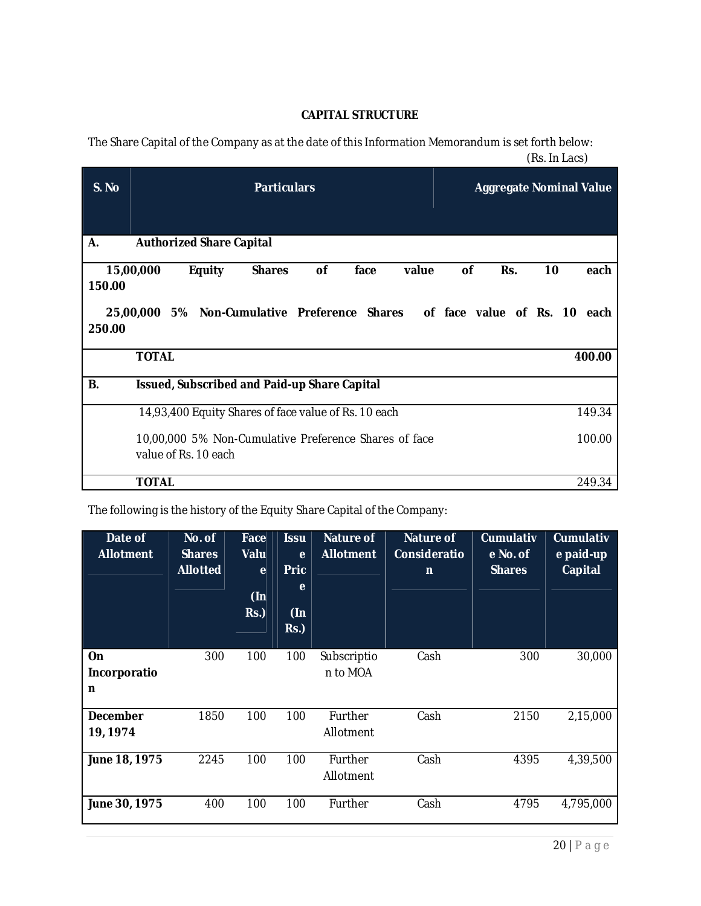## **CAPITAL STRUCTURE**

The Share Capital of the Company as at the date of this Information Memorandum is set forth below: (Rs. In Lacs)

| S. No                                                          | <b>Particulars</b>                                                               | <b>Aggregate Nominal Value</b> |     |    |        |  |  |  |  |
|----------------------------------------------------------------|----------------------------------------------------------------------------------|--------------------------------|-----|----|--------|--|--|--|--|
|                                                                |                                                                                  |                                |     |    |        |  |  |  |  |
| А.                                                             | <b>Authorized Share Capital</b>                                                  |                                |     |    |        |  |  |  |  |
|                                                                | 15,00,000<br><b>Equity</b><br><b>of</b><br><b>Shares</b><br>face<br>value        | οf                             | Rs. | 10 | each   |  |  |  |  |
| 150.00<br>250.00                                               | 25,00,000 5% Non-Cumulative Preference Shares<br>of face value of Rs. 10<br>each |                                |     |    |        |  |  |  |  |
|                                                                | <b>TOTAL</b>                                                                     |                                |     |    | 400.00 |  |  |  |  |
|                                                                |                                                                                  |                                |     |    |        |  |  |  |  |
| В.                                                             | Issued, Subscribed and Paid-up Share Capital                                     |                                |     |    |        |  |  |  |  |
| 14,93,400 Equity Shares of face value of Rs. 10 each<br>149.34 |                                                                                  |                                |     |    |        |  |  |  |  |
|                                                                | 10,00,000 5% Non-Cumulative Preference Shares of face                            |                                |     |    | 100.00 |  |  |  |  |
|                                                                | value of Rs. 10 each                                                             |                                |     |    |        |  |  |  |  |
|                                                                | <b>TOTAL</b>                                                                     |                                |     |    | 249.34 |  |  |  |  |

The following is the history of the Equity Share Capital of the Company:

| Date of<br><b>Allotment</b> | No. of<br><b>Shares</b><br><b>Allotted</b> | Face<br>Valu<br>$\mathbf{e}$<br>$($ In<br>RS. | <b>Issu</b><br>e<br><b>Pric</b><br>e<br>$($ In<br>$Rs.$ ) | <b>Nature of</b><br><b>Allotment</b> | <b>Nature of</b><br>Consideratio<br>$\mathsf{n}$ | <b>Cumulativ</b><br>e No. of<br><b>Shares</b> | <b>Cumulativ</b><br>e paid-up<br><b>Capital</b> |
|-----------------------------|--------------------------------------------|-----------------------------------------------|-----------------------------------------------------------|--------------------------------------|--------------------------------------------------|-----------------------------------------------|-------------------------------------------------|
| On<br>Incorporatio<br>n     | 300                                        | 100                                           | 100                                                       | Subscriptio<br>n to MOA              | Cash                                             | 300                                           | 30,000                                          |
| <b>December</b><br>19, 1974 | 1850                                       | 100                                           | 100                                                       | Further<br>Allotment                 | Cash<br>2150                                     |                                               | 2,15,000                                        |
| June 18, 1975               | 2245                                       | 100                                           | 100                                                       | Further<br>Allotment                 | Cash<br>4395                                     |                                               | 4,39,500                                        |
| June 30, 1975               | 400                                        | 100                                           | 100                                                       | Further                              | Cash<br>4795                                     |                                               | 4,795,000                                       |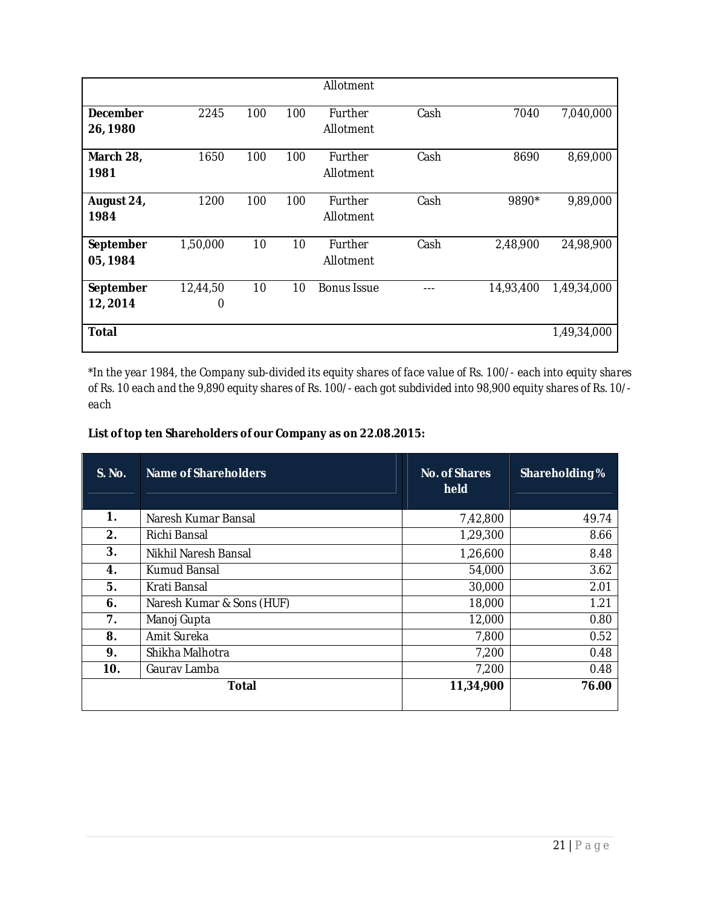|                       |               |     |     | Allotment            |      |           |             |
|-----------------------|---------------|-----|-----|----------------------|------|-----------|-------------|
| December<br>26, 1980  | 2245          | 100 | 100 | Further<br>Allotment | Cash | 7040      | 7,040,000   |
| March 28,<br>1981     | 1650          | 100 | 100 | Further<br>Allotment | Cash | 8690      | 8,69,000    |
| August 24,<br>1984    | 1200          | 100 | 100 | Further<br>Allotment | Cash | 9890*     | 9,89,000    |
| September<br>05, 1984 | 1,50,000      | 10  | 10  | Further<br>Allotment | Cash | 2,48,900  | 24,98,900   |
| September<br>12,2014  | 12,44,50<br>0 | 10  | 10  | <b>Bonus Issue</b>   |      | 14,93,400 | 1,49,34,000 |
| <b>Total</b>          |               |     |     |                      |      |           | 1,49,34,000 |

*\*In the year 1984, the Company sub-divided its equity shares of face value of Rs. 100/- each into equity shares of Rs. 10 each and the 9,890 equity shares of Rs. 100/- each got subdivided into 98,900 equity shares of Rs. 10/ each*

## **List of top ten Shareholders of our Company as on 22.08.2015:**

| S. No. | Name of Shareholders      | No. of Shares<br>held | Shareholding % |
|--------|---------------------------|-----------------------|----------------|
| 1.     | Naresh Kumar Bansal       | 7,42,800              | 49.74          |
| 2.     | Richi Bansal              | 1,29,300              | 8.66           |
| 3.     | Nikhil Naresh Bansal      | 1,26,600              | 8.48           |
| 4.     | Kumud Bansal              | 54,000                | 3.62           |
| 5.     | Krati Bansal              | 30,000                | 2.01           |
| 6.     | Naresh Kumar & Sons (HUF) | 18,000                | 1.21           |
| 7.     | Manoj Gupta               | 12,000                | 0.80           |
| 8.     | Amit Sureka               | 7,800                 | 0.52           |
| 9.     | Shikha Malhotra           | 7,200                 | 0.48           |
| 10.    | Gaurav Lamba              | 7,200                 | 0.48           |
|        | Total                     | 11,34,900             | 76.00          |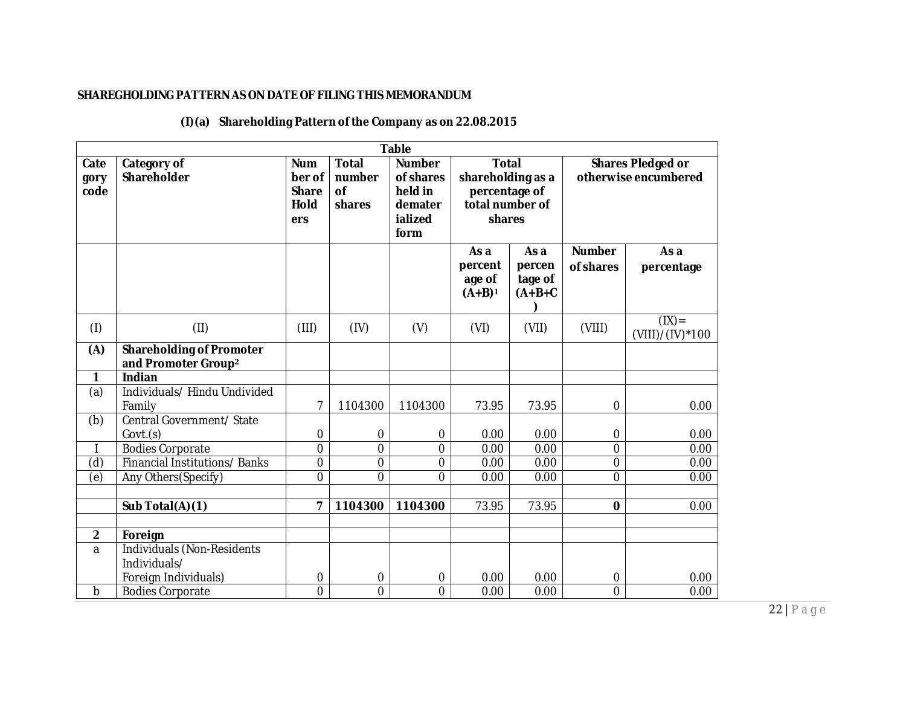## **SHAREGHOLDING PATTERN AS ON DATE OF FILING THIS MEMORANDUM**

|  | $(l)(a)$ Shareholding Pattern of the Company as on 22.08.2015 |
|--|---------------------------------------------------------------|
|--|---------------------------------------------------------------|

| <b>Table</b>         |                                                                    |                                                     |                                               |                                                                     |                                                                                 |                                        |                                                  |                           |
|----------------------|--------------------------------------------------------------------|-----------------------------------------------------|-----------------------------------------------|---------------------------------------------------------------------|---------------------------------------------------------------------------------|----------------------------------------|--------------------------------------------------|---------------------------|
| Cate<br>gory<br>code | Category of<br>Shareholder                                         | <b>Num</b><br>ber of<br><b>Share</b><br>Hold<br>ers | <b>Total</b><br>number<br><b>of</b><br>shares | <b>Number</b><br>of shares<br>held in<br>demater<br>ialized<br>form | <b>Total</b><br>shareholding as a<br>percentage of<br>total number of<br>shares |                                        | <b>Shares Pledged or</b><br>otherwise encumbered |                           |
|                      |                                                                    |                                                     |                                               |                                                                     | As a<br>percent<br>age of<br>$(A+B)^1$                                          | As a<br>percen<br>tage of<br>$(A+B+C)$ | <b>Number</b><br>of shares                       | As a<br>percentage        |
| (1)                  | (II)                                                               | (III)                                               | (IV)                                          | (V)                                                                 | (VI)                                                                            | (VII)                                  | (VIII)                                           | (IX)<br>$(VIII)/(IV)*100$ |
| (A)                  | <b>Shareholding of Promoter</b><br>and Promoter Group <sup>2</sup> |                                                     |                                               |                                                                     |                                                                                 |                                        |                                                  |                           |
| 1                    | <b>Indian</b>                                                      |                                                     |                                               |                                                                     |                                                                                 |                                        |                                                  |                           |
| (a)                  | Individuals/ Hindu Undivided<br>Family                             | $\overline{7}$                                      | 1104300                                       | 1104300                                                             | 73.95                                                                           | 73.95                                  | 0                                                | 0.00                      |
| (b)                  | Central Government/ State<br>Govt.(s)                              | $\boldsymbol{0}$                                    | $\mathbf 0$                                   | $\mathbf 0$                                                         | 0.00                                                                            | 0.00                                   | 0                                                | 0.00                      |
|                      | <b>Bodies Corporate</b>                                            | $\mathbf 0$                                         | $\overline{0}$                                | 0                                                                   | 0.00                                                                            | 0.00                                   | 0                                                | 0.00                      |
| $\overline{d}$       | Financial Institutions/Banks                                       | $\overline{0}$                                      | $\overline{0}$                                | 0                                                                   | 0.00                                                                            | 0.00                                   | $\overline{0}$                                   | 0.00                      |
| $\overline{e}$       | Any Others(Specify)                                                | $\mathbf 0$                                         | $\overline{0}$                                | 0                                                                   | 0.00                                                                            | 0.00                                   | 0                                                | 0.00                      |
|                      |                                                                    |                                                     |                                               |                                                                     |                                                                                 |                                        |                                                  |                           |
|                      | Sub Total(A)(1)                                                    | $\overline{7}$                                      | 1104300                                       | 1104300                                                             | 73.95                                                                           | 73.95                                  | 0                                                | 0.00                      |
| $\overline{2}$       |                                                                    |                                                     |                                               |                                                                     |                                                                                 |                                        |                                                  |                           |
| a                    | Foreign<br>Individuals (Non-Residents                              |                                                     |                                               |                                                                     |                                                                                 |                                        |                                                  |                           |
|                      | Individuals/                                                       |                                                     |                                               |                                                                     |                                                                                 |                                        |                                                  |                           |
|                      | Foreign Individuals)                                               | $\boldsymbol{0}$                                    | $\mathbf 0$                                   | $\mathbf 0$                                                         | 0.00                                                                            | 0.00                                   | 0                                                | 0.00                      |
| b                    | <b>Bodies Corporate</b>                                            | $\overline{0}$                                      | $\overline{0}$                                | $\overline{0}$                                                      | 0.00                                                                            | 0.00                                   | $\overline{0}$                                   | 0.00                      |

22 | P a g e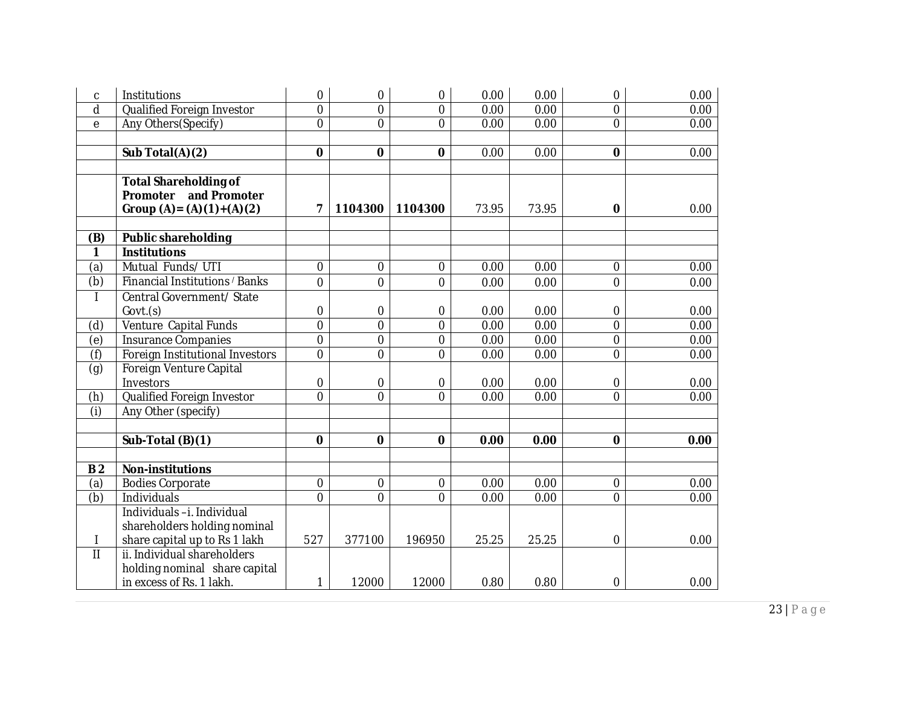| C              | Institutions                    | 0                | 0              | $\mathbf 0$      | 0.00  | 0.00  | 0              | 0.00 |
|----------------|---------------------------------|------------------|----------------|------------------|-------|-------|----------------|------|
| d              | Qualified Foreign Investor      | 0                | $\overline{0}$ | $\mathbf 0$      | 0.00  | 0.00  | 0              | 0.00 |
| $\mathsf e$    | Any Others(Specify)             | $\overline{0}$   | $\overline{0}$ | $\overline{0}$   | 0.00  | 0.00  | 0              | 0.00 |
|                |                                 |                  |                |                  |       |       |                |      |
|                | Sub Total(A)(2)                 | 0                | 0              | $\mathbf 0$      | 0.00  | 0.00  | $\bf{0}$       | 0.00 |
|                |                                 |                  |                |                  |       |       |                |      |
|                | <b>Total Shareholding of</b>    |                  |                |                  |       |       |                |      |
|                | Promoter and Promoter           |                  |                |                  |       |       |                |      |
|                | Group $(A) = (A)(1)+(A)(2)$     | 7                | 1104300        | 1104300          | 73.95 | 73.95 | $\bf{0}$       | 0.00 |
|                |                                 |                  |                |                  |       |       |                |      |
| (B)            | <b>Public shareholding</b>      |                  |                |                  |       |       |                |      |
| 1              | <b>Institutions</b>             |                  |                |                  |       |       |                |      |
| (a)            | Mutual Funds/UTI                | $\boldsymbol{0}$ | 0              | $\boldsymbol{0}$ | 0.00  | 0.00  | 0              | 0.00 |
| (b)            | Financial Institutions / Banks  | 0                | $\overline{0}$ | $\mathbf 0$      | 0.00  | 0.00  | 0              | 0.00 |
|                | Central Government/ State       |                  |                |                  |       |       |                |      |
|                | Govt.(s)                        | 0                | 0              | 0                | 0.00  | 0.00  | 0              | 0.00 |
| (d)            | Venture Capital Funds           | $\overline{0}$   | $\overline{0}$ | $\overline{0}$   | 0.00  | 0.00  | $\overline{0}$ | 0.00 |
| $\overline{e}$ | Insurance Companies             | $\overline{0}$   | 0              | $\boldsymbol{0}$ | 0.00  | 0.00  | 0              | 0.00 |
| (f)            | Foreign Institutional Investors | 0                | 0              | $\overline{0}$   | 0.00  | 0.00  | 0              | 0.00 |
| (g)            | Foreign Venture Capital         |                  |                |                  |       |       |                |      |
|                | Investors                       | 0                | 0              | 0                | 0.00  | 0.00  | 0              | 0.00 |
| (h)            | Qualified Foreign Investor      | 0                | $\overline{0}$ | $\overline{0}$   | 0.00  | 0.00  | $\mathbf 0$    | 0.00 |
| (i)            | Any Other (specify)             |                  |                |                  |       |       |                |      |
|                |                                 |                  |                |                  |       |       |                |      |
|                | Sub-Total (B)(1)                | $\bf{0}$         | 0              | $\mathbf 0$      | 0.00  | 0.00  | $\mathbf 0$    | 0.00 |
|                |                                 |                  |                |                  |       |       |                |      |
| B <sub>2</sub> | <b>Non-institutions</b>         |                  |                |                  |       |       |                |      |
| (a)            | <b>Bodies Corporate</b>         | $\mathbf 0$      | 0              | $\mathbf 0$      | 0.00  | 0.00  | 0              | 0.00 |
| (b)            | Individuals                     | 0                | $\overline{0}$ | $\overline{0}$   | 0.00  | 0.00  | $\overline{0}$ | 0.00 |
|                | Individuals-i. Individual       |                  |                |                  |       |       |                |      |
|                | shareholders holding nominal    |                  |                |                  |       |       |                |      |
|                | share capital up to Rs 1 lakh   | 527              | 377100         | 196950           | 25.25 | 25.25 | 0              | 0.00 |
| $\mathbf{II}$  | ii. Individual shareholders     |                  |                |                  |       |       |                |      |
|                | holding nominal share capital   |                  |                |                  |       |       |                |      |
|                | in excess of Rs. 1 lakh.        | 1                | 12000          | 12000            | 0.80  | 0.80  | 0              | 0.00 |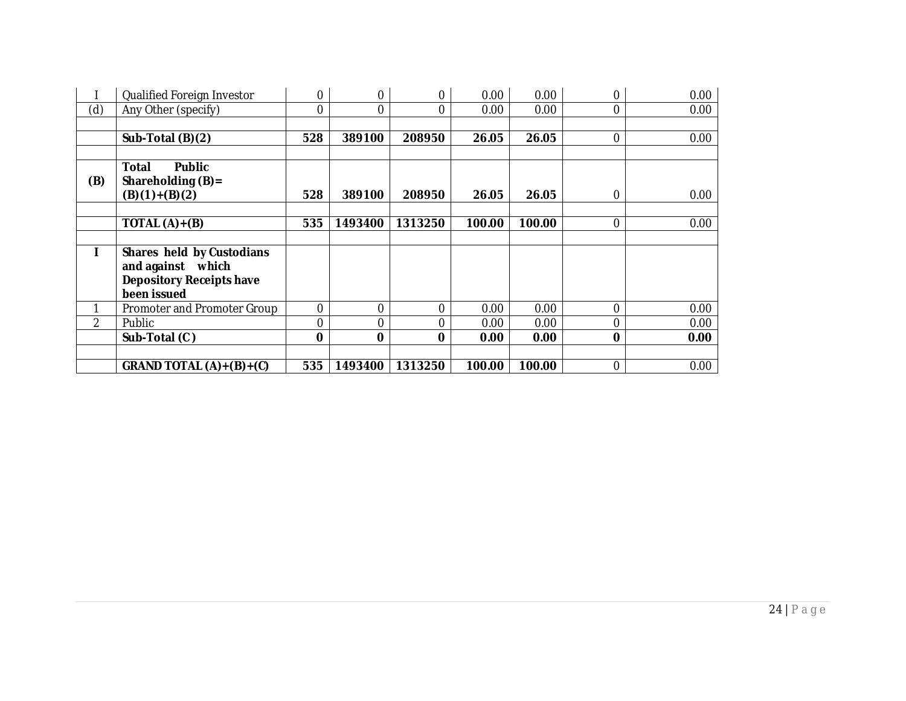|     | Qualified Foreign Investor      | 0           | 0        | 0              | 0.00   | 0.00   | $\Omega$ | 0.00 |
|-----|---------------------------------|-------------|----------|----------------|--------|--------|----------|------|
| (d) | Any Other (specify)             | 0           | 0        | 0              | 0.00   | 0.00   | 0        | 0.00 |
|     |                                 |             |          |                |        |        |          |      |
|     | Sub-Total (B)(2)                | 528         | 389100   | 208950         | 26.05  | 26.05  | 0        | 0.00 |
|     |                                 |             |          |                |        |        |          |      |
|     | <b>Public</b><br>Total          |             |          |                |        |        |          |      |
| (B) | Shareholding (B)=               |             |          |                |        |        |          |      |
|     | $(B)(1)+(B)(2)$                 | 528         | 389100   | 208950         | 26.05  | 26.05  | $\Omega$ | 0.00 |
|     |                                 |             |          |                |        |        |          |      |
|     | TOTAL $(A)+(B)$                 | 535         | 1493400  | 1313250        | 100.00 | 100.00 | $\Omega$ | 0.00 |
|     |                                 |             |          |                |        |        |          |      |
|     | Shares held by Custodians       |             |          |                |        |        |          |      |
|     | and against which               |             |          |                |        |        |          |      |
|     | <b>Depository Receipts have</b> |             |          |                |        |        |          |      |
|     | been issued                     |             |          |                |        |        |          |      |
|     | Promoter and Promoter Group     | $\mathbf 0$ | 0        | $\overline{0}$ | 0.00   | 0.00   | $\Omega$ | 0.00 |
| 2   | Public                          | $\mathbf 0$ | 0        | 0              | 0.00   | 0.00   | $\Omega$ | 0.00 |
|     | Sub-Total (C)                   | $\mathbf 0$ | $\Omega$ | 0              | 0.00   | 0.00   | $\Omega$ | 0.00 |
|     |                                 |             |          |                |        |        |          |      |
|     | GRAND TOTAL $(A)+(B)+(C)$       | 535         | 1493400  | 1313250        | 100.00 | 100.00 | $\Omega$ | 0.00 |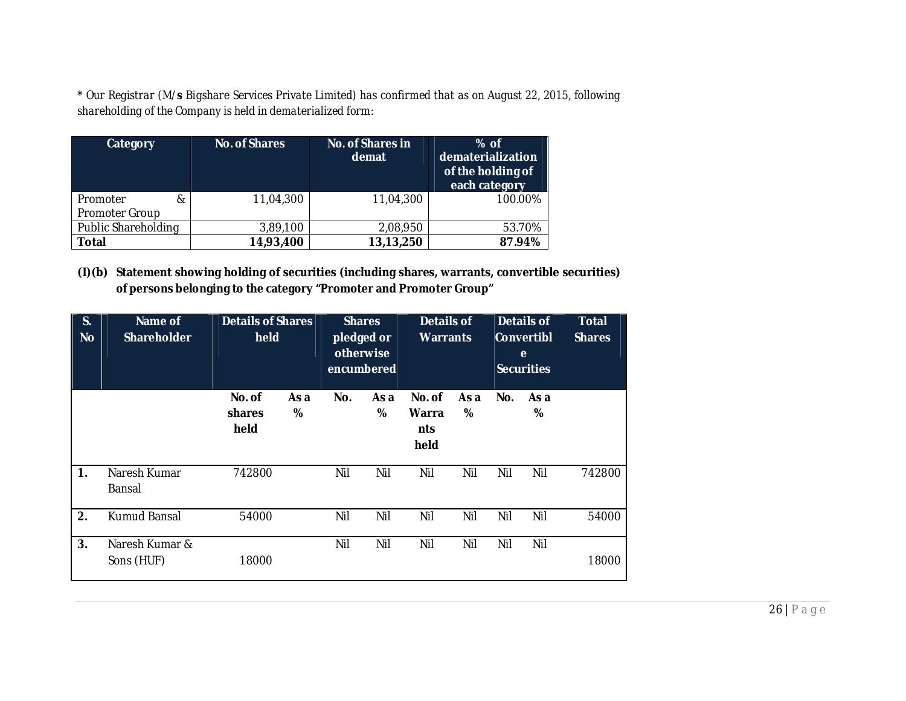**\*** *Our Registrar (M/s Bigshare Services Private Limited) has confirmed that as on August 22, 2015, following shareholding of the Company is held in dematerialized form:*

| Category                               | <b>No. of Shares</b> | <b>No. of Shares in</b><br>demat | $%$ of<br>dematerialization<br>of the holding of<br>each category |
|----------------------------------------|----------------------|----------------------------------|-------------------------------------------------------------------|
| Promoter<br>&<br><b>Promoter Group</b> | 11,04,300            | 11,04,300                        | 100.00%                                                           |
| Public Shareholding                    | 3,89,100             | 2,08,950                         | 53.70%                                                            |
| <b>Total</b>                           | 14,93,400            | 13,13,250                        | 87.94%                                                            |

**(I)(b) Statement showing holding of securities (including shares, warrants, convertible securities) of persons belonging to the category "Promoter and Promoter Group"**

| S.<br><b>No</b> | Name of<br><b>Shareholder</b> | <b>Details of Shares</b><br>held |           | <b>Shares</b><br>pledged or<br>otherwise<br>encumbered |           | <b>Details of</b><br><b>Warrants</b> |           | <b>Details of</b><br>Convertibl<br>e<br>Securities |           | <b>Total</b><br><b>Shares</b> |
|-----------------|-------------------------------|----------------------------------|-----------|--------------------------------------------------------|-----------|--------------------------------------|-----------|----------------------------------------------------|-----------|-------------------------------|
|                 |                               | No. of<br>shares<br>held         | As a<br>% | No.                                                    | As a<br>% | No. of<br>Warra<br>nts<br>held       | As a<br>% | No.                                                | As a<br>% |                               |
| 1.              | Naresh Kumar<br>Bansal        | 742800                           |           | Nil                                                    | Nil       | Nil                                  | Nil       | Nil                                                | Nil       | 742800                        |
| 2.              | Kumud Bansal                  | 54000                            |           | Nil                                                    | Nil       | Nil                                  | Nil       | Nil                                                | Nil       | 54000                         |
| 3.              | Naresh Kumar &<br>Sons (HUF)  | 18000                            |           | Nil                                                    | Nil       | Nil                                  | Nil       | Nil                                                | Nil       | 18000                         |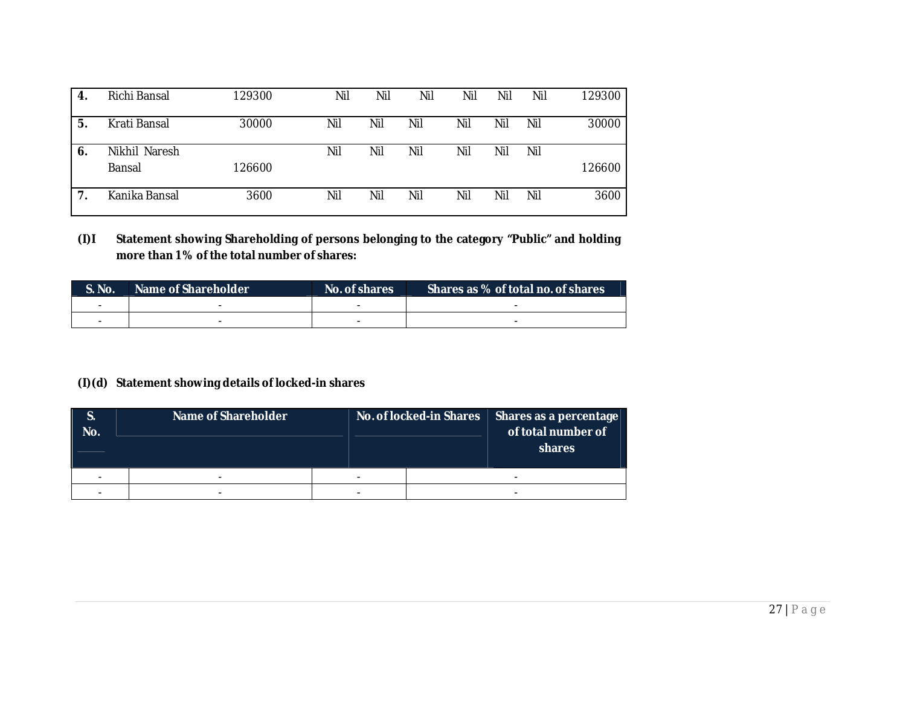| -4. | Richi Bansal            | 129300 | Nil | Nil | Nil | Nil | Nil | Nil | 129300 |
|-----|-------------------------|--------|-----|-----|-----|-----|-----|-----|--------|
| 5.  | Krati Bansal            | 30000  | Nil | Nil | Nil | Nil | Nil | Nil | 30000  |
| 6.  | Nikhil Naresh<br>Bansal | 126600 | Nil | Nil | Nil | Nil | Nil | Nil | 126600 |
|     | Kanika Bansal           | 3600   | Nil | Nil | Nil | Nil | Nil | Nil | 3600   |

**(I)I Statement showing Shareholding of persons belonging to the category "Public" and holding more than 1% of the total number of shares:**

| $\blacksquare$ S. No. | Name of Shareholder | No. of shares | Shares as % of total no. of shares |
|-----------------------|---------------------|---------------|------------------------------------|
| -                     |                     |               |                                    |
|                       | $\sim$              | -             | -                                  |

# **(I)(d) Statement showing details of locked-in shares**

| S.<br>No. | Name of Shareholder |   | No. of locked-in Shares | Shares as a percentage<br>of total number of<br>shares |
|-----------|---------------------|---|-------------------------|--------------------------------------------------------|
|           |                     | - |                         |                                                        |
|           |                     | - |                         |                                                        |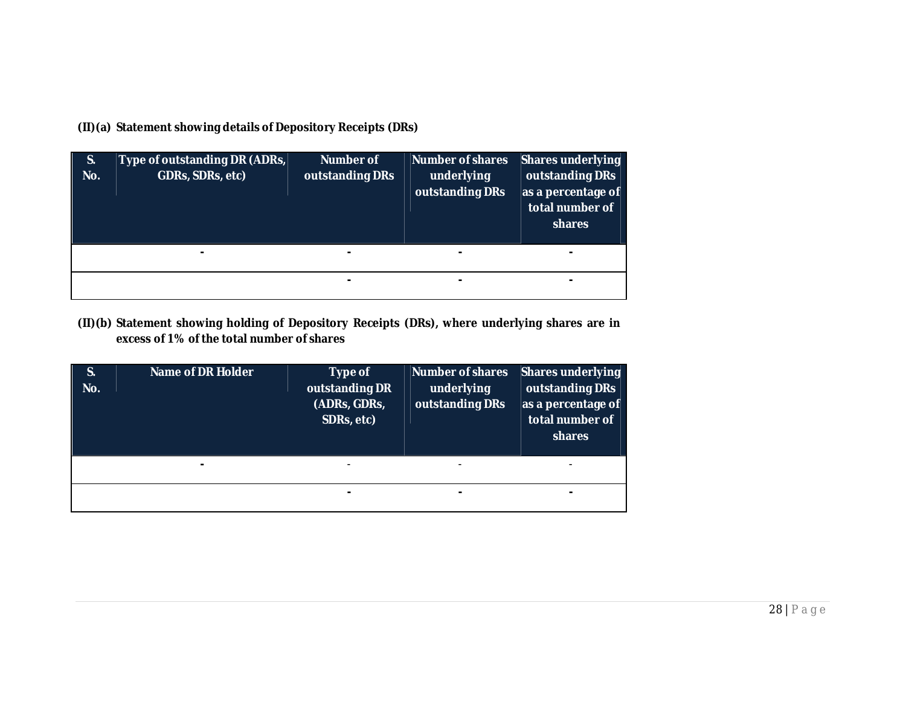**(II)(a) Statement showing details of Depository Receipts (DRs)**

| S.<br>No. | Type of outstanding DR (ADRs,<br>GDRs, SDRs, etc) | <b>Number of</b><br>outstanding DRs | <b>Number of shares</b><br>underlying<br>outstanding DRs | <b>Shares underlying</b><br>outstanding DRs<br>as a percentage of<br>total number of<br>shares |
|-----------|---------------------------------------------------|-------------------------------------|----------------------------------------------------------|------------------------------------------------------------------------------------------------|
|           |                                                   |                                     | $\blacksquare$                                           | -                                                                                              |
|           |                                                   | -                                   |                                                          | -                                                                                              |

**(II)(b) Statement showing holding of Depository Receipts (DRs), where underlying shares are in excess of 1% of the total number of shares**

| S.<br>No. | <b>Name of DR Holder</b> | Type of<br>outstanding DR<br>(ADRs, GDRs,<br>SDRs, etc) | <b>Number of shares</b><br>underlying<br>outstanding DRs | <b>Shares underlying</b><br>outstanding DRs<br>as a percentage of<br>total number of<br>shares |
|-----------|--------------------------|---------------------------------------------------------|----------------------------------------------------------|------------------------------------------------------------------------------------------------|
|           |                          |                                                         |                                                          |                                                                                                |
|           |                          |                                                         |                                                          |                                                                                                |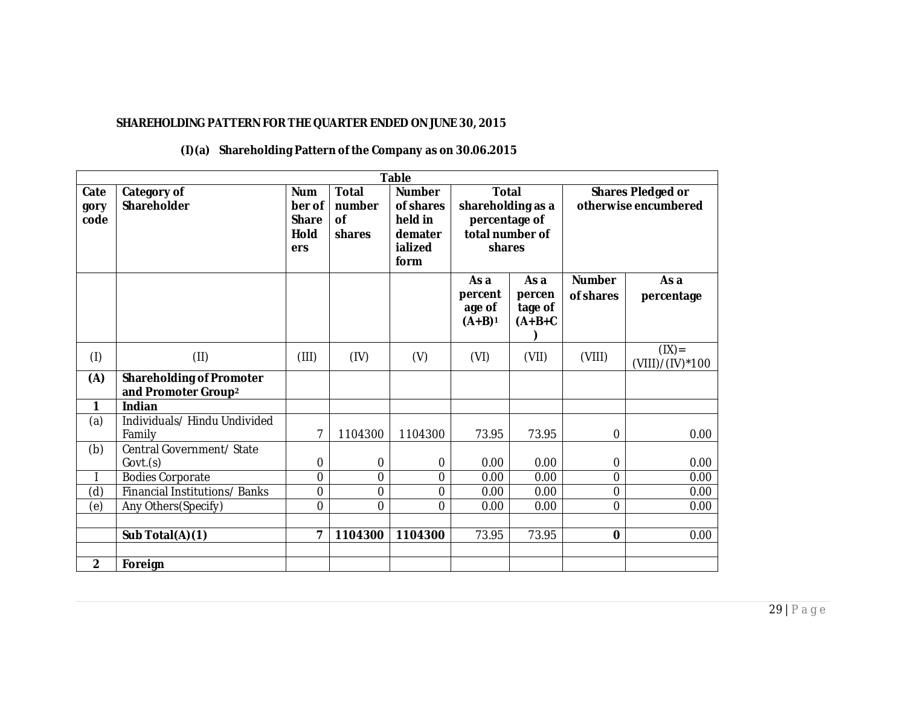# **SHAREHOLDING PATTERN FOR THE QUARTER ENDED ON JUNE 30, 2015**

|                      | <b>Table</b>                                                       |                                                            |                                               |                                                                     |                                                                                 |                                        |                                                  |                           |  |  |
|----------------------|--------------------------------------------------------------------|------------------------------------------------------------|-----------------------------------------------|---------------------------------------------------------------------|---------------------------------------------------------------------------------|----------------------------------------|--------------------------------------------------|---------------------------|--|--|
| Cate<br>gory<br>code | Category of<br>Shareholder                                         | <b>Num</b><br>ber of<br><b>Share</b><br><b>Hold</b><br>ers | <b>Total</b><br>number<br><b>of</b><br>shares | <b>Number</b><br>of shares<br>held in<br>demater<br>ialized<br>form | <b>Total</b><br>shareholding as a<br>percentage of<br>total number of<br>shares |                                        | <b>Shares Pledged or</b><br>otherwise encumbered |                           |  |  |
|                      |                                                                    |                                                            |                                               |                                                                     | As a<br>percent<br>age of<br>$(A+B)^1$                                          | As a<br>percen<br>tage of<br>$(A+B+C)$ | <b>Number</b><br>of shares                       | As a<br>percentage        |  |  |
| (1)                  | (II)                                                               | (III)                                                      | (IV)                                          | (V)                                                                 | (VI)                                                                            | (VII)                                  | (VIII)                                           | (IX)<br>$(VIII)/(IV)*100$ |  |  |
| (A)                  | <b>Shareholding of Promoter</b><br>and Promoter Group <sup>2</sup> |                                                            |                                               |                                                                     |                                                                                 |                                        |                                                  |                           |  |  |
| 1                    | Indian                                                             |                                                            |                                               |                                                                     |                                                                                 |                                        |                                                  |                           |  |  |
| (a)                  | Individuals/Hindu Undivided<br>Family                              | 7                                                          | 1104300                                       | 1104300                                                             | 73.95                                                                           | 73.95                                  | $\mathbf 0$                                      | 0.00                      |  |  |
| (b)                  | Central Government/ State<br>Govt.(s)                              | 0                                                          | $\mathbf 0$                                   | $\boldsymbol{0}$                                                    | 0.00                                                                            | 0.00                                   | 0                                                | 0.00                      |  |  |
|                      | Bodies Corporate                                                   | $\mathbf 0$                                                | 0                                             | 0                                                                   | 0.00                                                                            | 0.00                                   | $\overline{0}$                                   | 0.00                      |  |  |
| (d)                  | Financial Institutions/Banks                                       | $\overline{0}$                                             | 0                                             | 0                                                                   | 0.00                                                                            | 0.00                                   | $\overline{0}$                                   | 0.00                      |  |  |
| (e)                  | Any Others(Specify)                                                | $\overline{0}$                                             | 0                                             | 0                                                                   | 0.00                                                                            | 0.00                                   | $\overline{0}$                                   | 0.00                      |  |  |
|                      |                                                                    |                                                            |                                               |                                                                     |                                                                                 |                                        |                                                  |                           |  |  |
|                      | Sub Total(A)(1)                                                    | $\overline{7}$                                             | 1104300                                       | 1104300                                                             | 73.95                                                                           | 73.95                                  | $\mathbf 0$                                      | 0.00                      |  |  |
|                      |                                                                    |                                                            |                                               |                                                                     |                                                                                 |                                        |                                                  |                           |  |  |
| $\overline{2}$       | Foreign                                                            |                                                            |                                               |                                                                     |                                                                                 |                                        |                                                  |                           |  |  |

## **(I)(a) Shareholding Pattern of the Company as on 30.06.2015**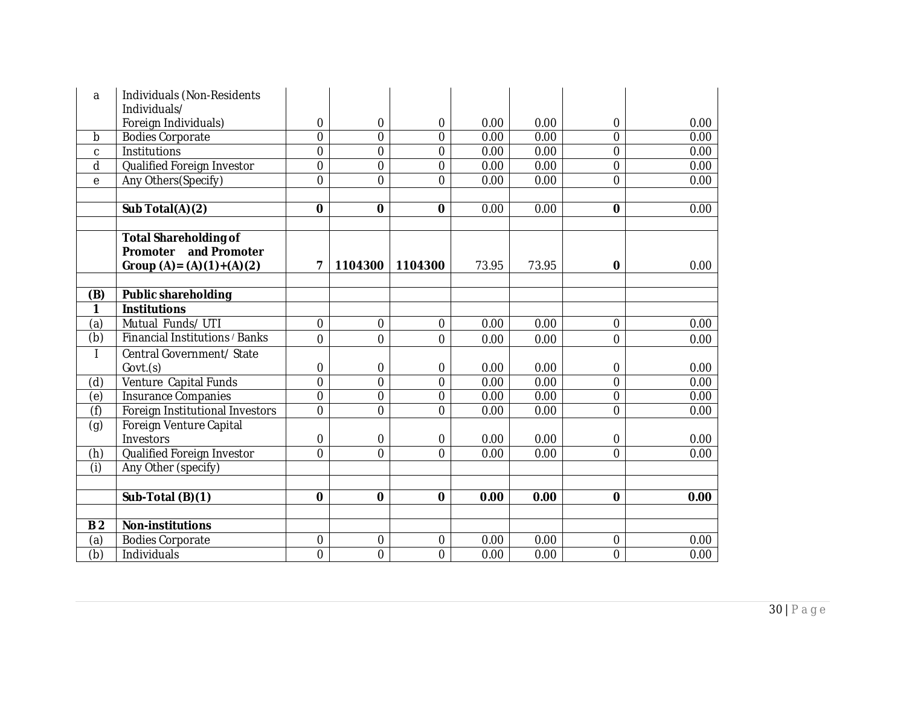| a                         | Individuals (Non-Residents      |                  |                |                  |       |       |                |      |
|---------------------------|---------------------------------|------------------|----------------|------------------|-------|-------|----------------|------|
|                           | Individuals/                    |                  |                |                  |       |       |                |      |
|                           | Foreign Individuals)            | 0                | $\Omega$       | $\overline{0}$   | 0.00  | 0.00  | 0              | 0.00 |
| b                         | <b>Bodies Corporate</b>         | $\overline{0}$   | $\overline{0}$ | $\overline{0}$   | 0.00  | 0.00  | $\overline{0}$ | 0.00 |
| C                         | Institutions                    | 0                | $\overline{0}$ | $\mathbf 0$      | 0.00  | 0.00  | $\mathbf 0$    | 0.00 |
| d                         | Qualified Foreign Investor      | $\overline{0}$   | $\overline{0}$ | $\boldsymbol{0}$ | 0.00  | 0.00  | $\overline{0}$ | 0.00 |
| e                         | Any Others(Specify)             | 0                | $\Omega$       | $\overline{0}$   | 0.00  | 0.00  | $\Omega$       | 0.00 |
|                           |                                 |                  |                |                  |       |       |                |      |
|                           | Sub Total(A)(2)                 | $\mathbf 0$      | 0              | $\bf{0}$         | 0.00  | 0.00  | 0              | 0.00 |
|                           |                                 |                  |                |                  |       |       |                |      |
|                           | <b>Total Shareholding of</b>    |                  |                |                  |       |       |                |      |
|                           | Promoter and Promoter           |                  |                |                  |       |       |                |      |
|                           | Group $(A) = (A)(1) + (A)(2)$   | 7                | 1104300        | 1104300          | 73.95 | 73.95 | 0              | 0.00 |
|                           |                                 |                  |                |                  |       |       |                |      |
| (B)                       | <b>Public shareholding</b>      |                  |                |                  |       |       |                |      |
| 1                         | <b>Institutions</b>             |                  |                |                  |       |       |                |      |
| (a)                       | Mutual Funds/UTI                | 0                | $\mathbf 0$    | $\boldsymbol{0}$ | 0.00  | 0.00  | $\overline{0}$ | 0.00 |
| (b)                       | Financial Institutions / Banks  | $\overline{0}$   | $\overline{0}$ | $\overline{0}$   | 0.00  | 0.00  | $\overline{0}$ | 0.00 |
|                           | Central Government/ State       |                  |                |                  |       |       |                |      |
|                           | Govt.(s)                        | 0                | $\mathbf 0$    | $\boldsymbol{0}$ | 0.00  | 0.00  | 0              | 0.00 |
| (d)                       | Venture Capital Funds           | $\mathbf 0$      | $\overline{0}$ | $\overline{0}$   | 0.00  | 0.00  | $\overline{0}$ | 0.00 |
| (e)                       | <b>Insurance Companies</b>      | 0                | $\overline{0}$ | $\mathbf 0$      | 0.00  | 0.00  | $\mathbf 0$    | 0.00 |
| (f)                       | Foreign Institutional Investors | $\overline{0}$   | $\overline{0}$ | $\mathbf 0$      | 0.00  | 0.00  | $\overline{0}$ | 0.00 |
| (g)                       | Foreign Venture Capital         |                  |                |                  |       |       |                |      |
|                           | Investors                       | 0                | $\mathbf 0$    | $\mathbf 0$      | 0.00  | 0.00  | $\overline{0}$ | 0.00 |
| (h)                       | Qualified Foreign Investor      | $\overline{0}$   | $\Omega$       | $\overline{0}$   | 0.00  | 0.00  | $\overline{0}$ | 0.00 |
| (i)                       | Any Other (specify)             |                  |                |                  |       |       |                |      |
|                           |                                 |                  |                |                  |       |       |                |      |
|                           | Sub-Total (B)(1)                | $\mathbf 0$      | $\mathbf 0$    | $\mathbf 0$      | 0.00  | 0.00  | 0              | 0.00 |
|                           |                                 |                  |                |                  |       |       |                |      |
| B <sub>2</sub>            | <b>Non-institutions</b>         |                  |                |                  |       |       |                |      |
| (a)                       | <b>Bodies Corporate</b>         | $\boldsymbol{0}$ | $\mathbf 0$    | $\boldsymbol{0}$ | 0.00  | 0.00  | $\mathbf 0$    | 0.00 |
| $\overline{(\mathsf{b})}$ | Individuals                     | $\overline{0}$   | $\overline{0}$ | $\overline{0}$   | 0.00  | 0.00  | $\overline{0}$ | 0.00 |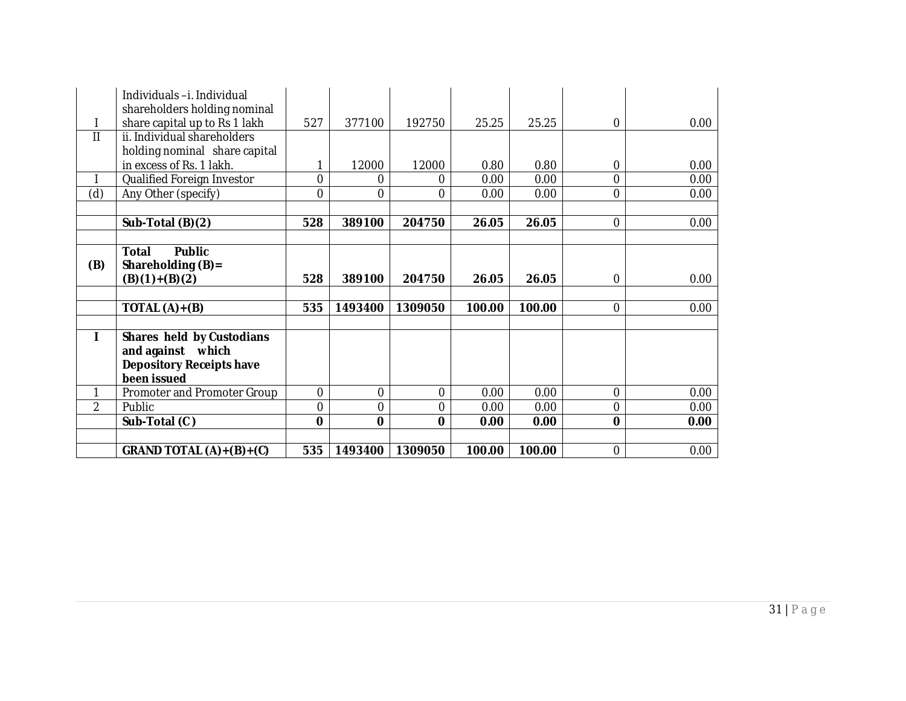|     | Individuals-i. Individual<br>shareholders holding nominal |             |          |             |        |        |                |      |
|-----|-----------------------------------------------------------|-------------|----------|-------------|--------|--------|----------------|------|
|     | share capital up to Rs 1 lakh                             | 527         | 377100   | 192750      | 25.25  | 25.25  | $\Omega$       | 0.00 |
| Ш   | ii. Individual shareholders                               |             |          |             |        |        |                |      |
|     | holding nominal share capital                             |             |          |             |        |        |                |      |
|     | in excess of Rs. 1 lakh.                                  | 1           | 12000    | 12000       | 0.80   | 0.80   | 0              | 0.00 |
|     | Qualified Foreign Investor                                | 0           | 0        | 0           | 0.00   | 0.00   | 0              | 0.00 |
| (d) | Any Other (specify)                                       | 0           | $\Omega$ | 0           | 0.00   | 0.00   | $\Omega$       | 0.00 |
|     |                                                           |             |          |             |        |        |                |      |
|     | Sub-Total (B)(2)                                          | 528         | 389100   | 204750      | 26.05  | 26.05  | $\Omega$       | 0.00 |
|     |                                                           |             |          |             |        |        |                |      |
|     | <b>Public</b><br><b>Total</b>                             |             |          |             |        |        |                |      |
| (B) | Shareholding $(B)$ =                                      |             |          |             |        |        |                |      |
|     | $(B)(1)+(B)(2)$                                           | 528         | 389100   | 204750      | 26.05  | 26.05  | $\Omega$       | 0.00 |
|     |                                                           |             |          |             |        |        |                |      |
|     | TOTAL $(A)+(B)$                                           | 535         | 1493400  | 1309050     | 100.00 | 100.00 | $\Omega$       | 0.00 |
|     |                                                           |             |          |             |        |        |                |      |
|     | Shares held by Custodians                                 |             |          |             |        |        |                |      |
|     | and against which                                         |             |          |             |        |        |                |      |
|     | <b>Depository Receipts have</b>                           |             |          |             |        |        |                |      |
|     | been issued                                               |             |          |             |        |        |                |      |
| 1   | Promoter and Promoter Group                               | 0           | $\Omega$ | 0           | 0.00   | 0.00   | $\Omega$       | 0.00 |
| 2   | Public                                                    | 0           | 0        | $\Omega$    | 0.00   | 0.00   | $\Omega$       | 0.00 |
|     | Sub-Total (C)                                             | $\mathbf 0$ | $\bf{0}$ | $\mathbf 0$ | 0.00   | 0.00   | $\mathbf{0}$   | 0.00 |
|     |                                                           |             |          |             |        |        |                |      |
|     | GRAND TOTAL (A)+(B)+(C)                                   | 535         | 1493400  | 1309050     | 100.00 | 100.00 | $\overline{0}$ | 0.00 |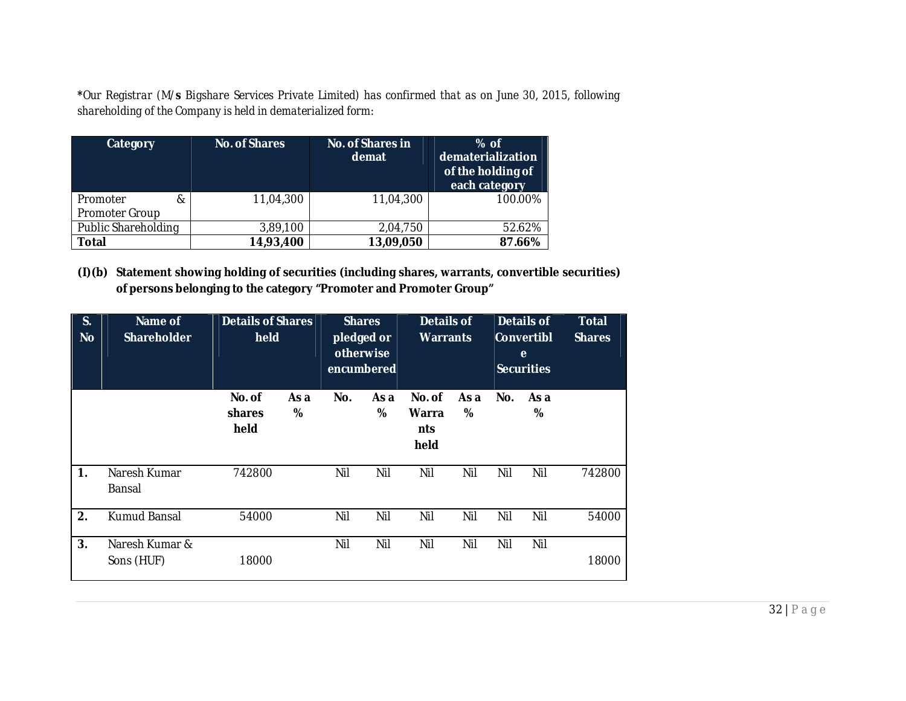**\****Our Registrar (M/s Bigshare Services Private Limited) has confirmed that as on June 30, 2015, following shareholding of the Company is held in dematerialized form:*

| <b>Category</b>                 | <b>No. of Shares</b> | <b>No. of Shares in</b><br>demat | $%$ of<br>dematerialization<br>of the holding of<br>each category |
|---------------------------------|----------------------|----------------------------------|-------------------------------------------------------------------|
| Promoter<br>&<br>Promoter Group | 11,04,300            | 11,04,300                        | 100.00%                                                           |
| Public Shareholding             | 3,89,100             | 2,04,750                         | 52.62%                                                            |
| <b>Total</b>                    | 14,93,400            | 13,09,050                        | 87.66%                                                            |

**(I)(b) Statement showing holding of securities (including shares, warrants, convertible securities) of persons belonging to the category "Promoter and Promoter Group"**

| S.<br><b>No</b> | Name of<br><b>Shareholder</b> | <b>Details of Shares</b><br>held |           | <b>Shares</b><br>pledged or<br>otherwise<br>encumbered |           | <b>Details of</b><br><b>Warrants</b> |           | <b>Details of</b><br>Convertibl<br>e<br>Securities |           | <b>Total</b><br><b>Shares</b> |
|-----------------|-------------------------------|----------------------------------|-----------|--------------------------------------------------------|-----------|--------------------------------------|-----------|----------------------------------------------------|-----------|-------------------------------|
|                 |                               | No. of<br>shares<br>held         | As a<br>% | No.                                                    | As a<br>% | No. of<br>Warra<br>nts<br>held       | As a<br>% | No.                                                | As a<br>% |                               |
| 1.              | Naresh Kumar<br>Bansal        | 742800                           |           | Nil                                                    | Nil       | Nil                                  | Nil       | Nil                                                | Nil       | 742800                        |
| 2.              | Kumud Bansal                  | 54000                            |           | Nil                                                    | Nil       | Nil                                  | Nil       | Nil                                                | Nil       | 54000                         |
| 3.              | Naresh Kumar &<br>Sons (HUF)  | 18000                            |           | Nil                                                    | Nil       | Nil                                  | Nil       | Nil                                                | Nil       | 18000                         |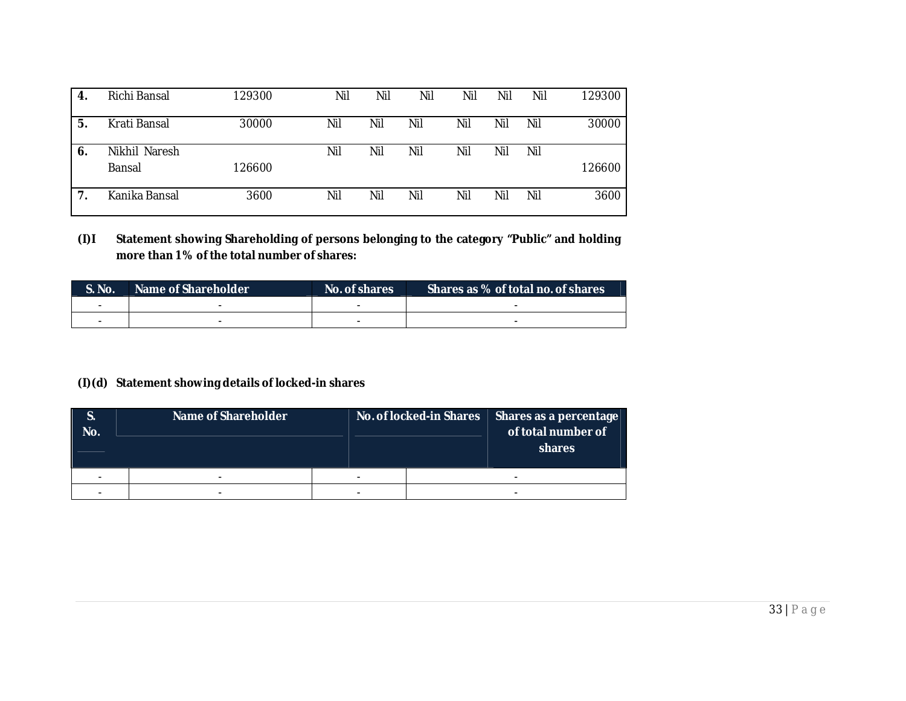| -4. | Richi Bansal            | 129300 | Nil | Nil | Nil | Nil | Nil | Nil | 129300 |
|-----|-------------------------|--------|-----|-----|-----|-----|-----|-----|--------|
| 5.  | Krati Bansal            | 30000  | Nil | Nil | Nil | Nil | Nil | Nil | 30000  |
| 6.  | Nikhil Naresh<br>Bansal | 126600 | Nil | Nil | Nil | Nil | Nil | Nil | 126600 |
|     | Kanika Bansal           | 3600   | Nil | Nil | Nil | Nil | Nil | Nil | 3600   |

**(I)I Statement showing Shareholding of persons belonging to the category "Public" and holding more than 1% of the total number of shares:** 

| . S. No. | Name of Shareholder | No. of shares | Shares as % of total no. of shares |
|----------|---------------------|---------------|------------------------------------|
|          |                     |               |                                    |
|          | $\sim$              |               | -                                  |

# **(I)(d) Statement showing details of locked-in shares**

| S.<br>No. | Name of Shareholder |   | No. of locked-in Shares | Shares as a percentage<br>of total number of<br>shares |  |
|-----------|---------------------|---|-------------------------|--------------------------------------------------------|--|
|           |                     | - |                         |                                                        |  |
|           |                     | - |                         |                                                        |  |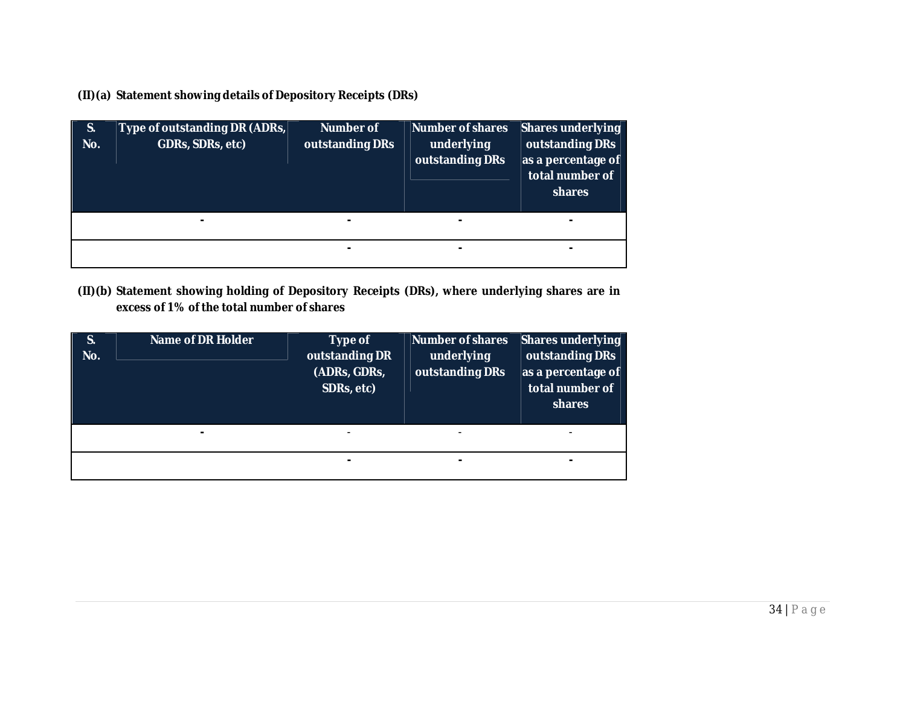**(II)(a) Statement showing details of Depository Receipts (DRs)**

| S.<br>No. | Type of outstanding DR (ADRs,<br>GDRs, SDRs, etc) | <b>Number of</b><br>outstanding DRs | <b>Number of shares</b><br>underlying<br>outstanding DRs | <b>Shares underlying</b><br>outstanding DRs<br>as a percentage of<br>total number of<br>shares |
|-----------|---------------------------------------------------|-------------------------------------|----------------------------------------------------------|------------------------------------------------------------------------------------------------|
|           |                                                   |                                     | $\blacksquare$                                           |                                                                                                |
|           |                                                   |                                     |                                                          |                                                                                                |

**(II)(b) Statement showing holding of Depository Receipts (DRs), where underlying shares are in excess of 1% of the total number of shares**

| S.<br>No. | <b>Name of DR Holder</b> | Type of<br>outstanding DR<br>(ADRs, GDRs,<br>SDRs, etc) | <b>Number of shares</b><br>underlying<br>outstanding DRs | <b>Shares underlying</b><br>outstanding DRs<br>as a percentage of<br>total number of<br>shares |
|-----------|--------------------------|---------------------------------------------------------|----------------------------------------------------------|------------------------------------------------------------------------------------------------|
|           |                          |                                                         |                                                          |                                                                                                |
|           |                          | ۰                                                       | $\blacksquare$                                           |                                                                                                |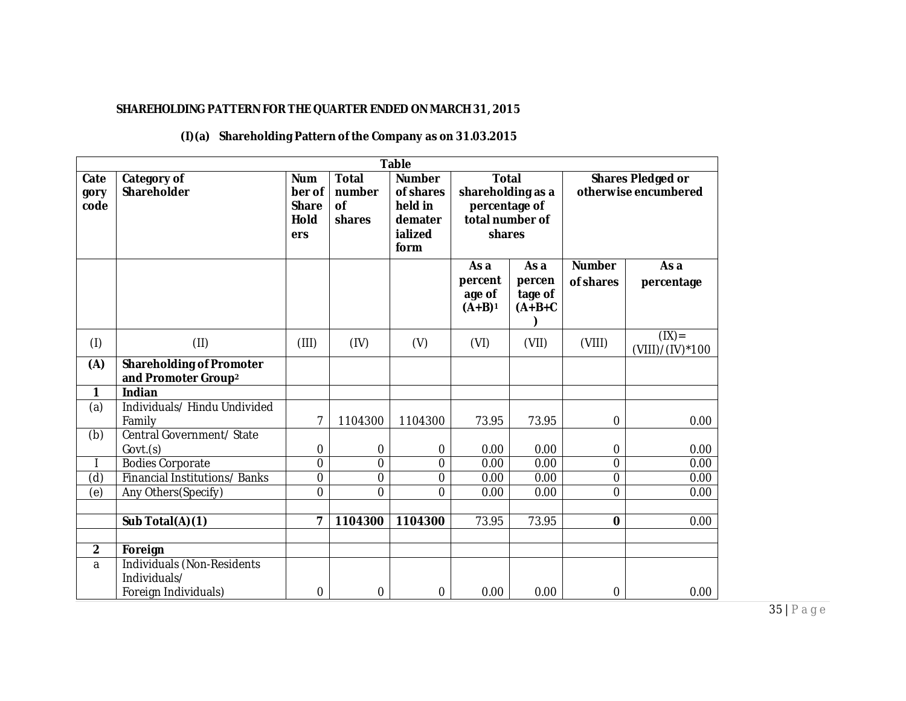## **SHAREHOLDING PATTERN FOR THE QUARTER ENDED ON MARCH 31, 2015**

#### **Table Cate gory code Category of Shareholder Num ber of Share Hold ers Total number of shares Number of shares held in demater ialized form Total shareholding as a percentage of total number of shares Shares Pledged or otherwise encumbered As a percent age of (A+B)<sup>1</sup> As a percen tage of (A+B+C ) Number of shares**

**(I)(a) Shareholding Pattern of the Company as on 31.03.2015** 

|              |                                                                    |                |             | <b>rorm</b>    |                                        |                                        |                            |                           |
|--------------|--------------------------------------------------------------------|----------------|-------------|----------------|----------------------------------------|----------------------------------------|----------------------------|---------------------------|
|              |                                                                    |                |             |                | As a<br>percent<br>age of<br>$(A+B)^1$ | As a<br>percen<br>tage of<br>$(A+B+C)$ | <b>Number</b><br>of shares | As a<br>percentage        |
| (1)          | (II)                                                               | (III)          | (IV)        | (V)            | (VI)                                   | (VII)                                  | (VIII)                     | (IX)<br>$(VIII)/(IV)*100$ |
| (A)          | <b>Shareholding of Promoter</b><br>and Promoter Group <sup>2</sup> |                |             |                |                                        |                                        |                            |                           |
| 1            | Indian                                                             |                |             |                |                                        |                                        |                            |                           |
| (a)          | Individuals/Hindu Undivided<br>Family                              | 7              | 1104300     | 1104300        | 73.95                                  | 73.95                                  | $\mathbf 0$                | 0.00                      |
| (b)          | Central Government/ State                                          |                |             |                |                                        |                                        |                            |                           |
|              | Govt.(s)                                                           | 0              | 0           | 0              | 0.00                                   | 0.00                                   | $\Omega$                   | 0.00                      |
|              | <b>Bodies Corporate</b>                                            | 0              | 0           | $\overline{0}$ | 0.00                                   | 0.00                                   | 0                          | 0.00                      |
| (d)          | Financial Institutions/Banks                                       | 0              | 0           | 0              | 0.00                                   | 0.00                                   | 0                          | 0.00                      |
| (e)          | Any Others(Specify)                                                | $\overline{0}$ | 0           | $\overline{0}$ | 0.00                                   | 0.00                                   | $\overline{0}$             | 0.00                      |
|              | Sub Total(A)(1)                                                    | 7              | 1104300     | 1104300        | 73.95                                  | 73.95                                  | $\mathbf 0$                | 0.00                      |
| $\mathbf{2}$ | Foreign                                                            |                |             |                |                                        |                                        |                            |                           |
| a            | Individuals (Non-Residents<br>Individuals/                         |                |             |                |                                        |                                        |                            |                           |
|              | Foreign Individuals)                                               | $\mathbf 0$    | $\mathbf 0$ | $\mathbf 0$    | 0.00                                   | 0.00                                   | 0                          | 0.00                      |

35 | P a g e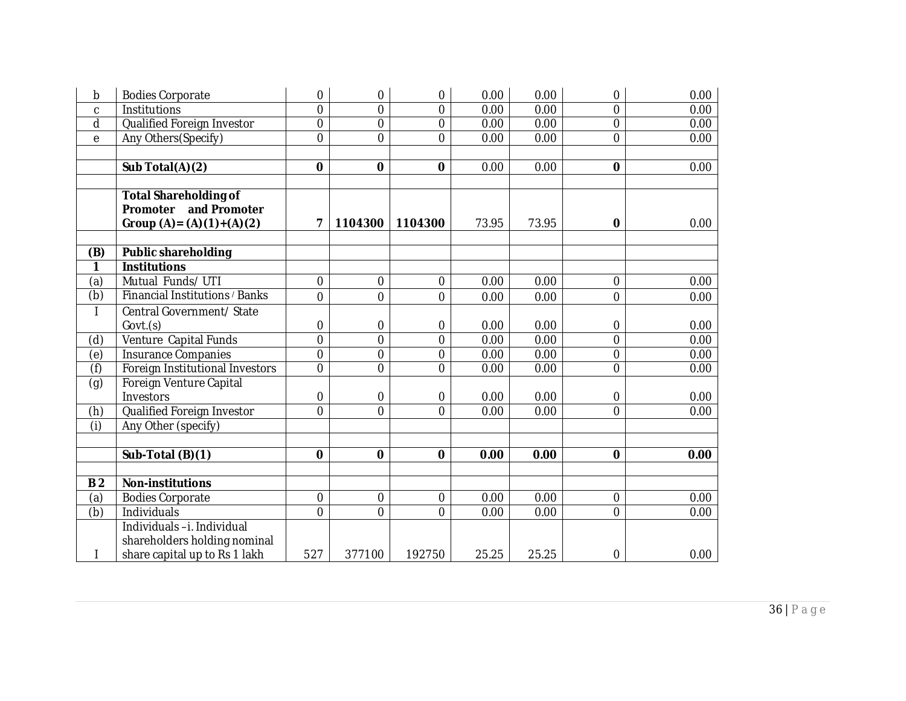| b                         | <b>Bodies Corporate</b>         | 0              | $\mathbf 0$    | $\overline{0}$ | 0.00  | 0.00  | 0                | 0.00 |
|---------------------------|---------------------------------|----------------|----------------|----------------|-------|-------|------------------|------|
| C                         | Institutions                    | $\overline{0}$ | $\overline{0}$ | $\mathbf 0$    | 0.00  | 0.00  | $\mathbf 0$      | 0.00 |
| $\mathsf{d}$              | Qualified Foreign Investor      | 0              | $\overline{0}$ | $\mathbf 0$    | 0.00  | 0.00  | $\mathbf 0$      | 0.00 |
| e                         | Any Others(Specify)             | $\overline{0}$ | $\overline{0}$ | $\overline{0}$ | 0.00  | 0.00  | $\mathbf 0$      | 0.00 |
|                           |                                 |                |                |                |       |       |                  |      |
|                           | Sub Total(A)(2)                 | $\mathbf 0$    | $\mathbf 0$    | $\mathbf 0$    | 0.00  | 0.00  | $\mathbf 0$      | 0.00 |
|                           |                                 |                |                |                |       |       |                  |      |
|                           | <b>Total Shareholding of</b>    |                |                |                |       |       |                  |      |
|                           | and Promoter<br>Promoter        |                |                |                |       |       |                  |      |
|                           | Group $(A) = (A)(1)+(A)(2)$     | 7              | 1104300        | 1104300        | 73.95 | 73.95 | $\mathbf 0$      | 0.00 |
|                           |                                 |                |                |                |       |       |                  |      |
| (B)                       | <b>Public shareholding</b>      |                |                |                |       |       |                  |      |
| 1                         | <b>Institutions</b>             |                |                |                |       |       |                  |      |
| (a)                       | Mutual Funds/UTI                | 0              | $\mathbf 0$    | $\mathbf 0$    | 0.00  | 0.00  | $\boldsymbol{0}$ | 0.00 |
| (b)                       | Financial Institutions / Banks  | $\overline{0}$ | $\overline{0}$ | $\overline{0}$ | 0.00  | 0.00  | $\overline{0}$   | 0.00 |
|                           | Central Government/ State       |                |                |                |       |       |                  |      |
|                           | Govt.(s)                        | 0              | $\mathbf 0$    | $\mathbf 0$    | 0.00  | 0.00  | 0                | 0.00 |
| (d)                       | Venture Capital Funds           | $\overline{0}$ | $\overline{0}$ | $\overline{0}$ | 0.00  | 0.00  | $\overline{0}$   | 0.00 |
| (e)                       | <b>Insurance Companies</b>      | $\mathbf 0$    | $\overline{0}$ | $\overline{0}$ | 0.00  | 0.00  | $\mathbf 0$      | 0.00 |
| $\overline{f}$            | Foreign Institutional Investors | 0              | $\overline{0}$ | $\overline{0}$ | 0.00  | 0.00  | $\overline{0}$   | 0.00 |
| (g)                       | Foreign Venture Capital         |                |                |                |       |       |                  |      |
|                           | Investors                       | 0              | 0              | $\mathbf 0$    | 0.00  | 0.00  | 0                | 0.00 |
| (h)                       | Qualified Foreign Investor      | $\overline{0}$ | $\overline{0}$ | $\overline{0}$ | 0.00  | 0.00  | $\overline{0}$   | 0.00 |
| $\overline{(\mathsf{i})}$ | Any Other (specify)             |                |                |                |       |       |                  |      |
|                           |                                 |                |                |                |       |       |                  |      |
|                           | Sub-Total (B)(1)                | $\mathbf 0$    | $\mathbf 0$    | $\mathbf 0$    | 0.00  | 0.00  | $\mathbf 0$      | 0.00 |
|                           |                                 |                |                |                |       |       |                  |      |
| B <sub>2</sub>            | <b>Non-institutions</b>         |                |                |                |       |       |                  |      |
| (a)                       | <b>Bodies Corporate</b>         | 0              | $\mathbf 0$    | $\overline{0}$ | 0.00  | 0.00  | $\boldsymbol{0}$ | 0.00 |
| $\overline{(\mathsf{b})}$ | Individuals                     | $\overline{0}$ | $\Omega$       | $\Omega$       | 0.00  | 0.00  | $\overline{0}$   | 0.00 |
|                           | Individuals-i. Individual       |                |                |                |       |       |                  |      |
|                           | shareholders holding nominal    |                |                |                |       |       |                  |      |
|                           | share capital up to Rs 1 lakh   | 527            | 377100         | 192750         | 25.25 | 25.25 | 0                | 0.00 |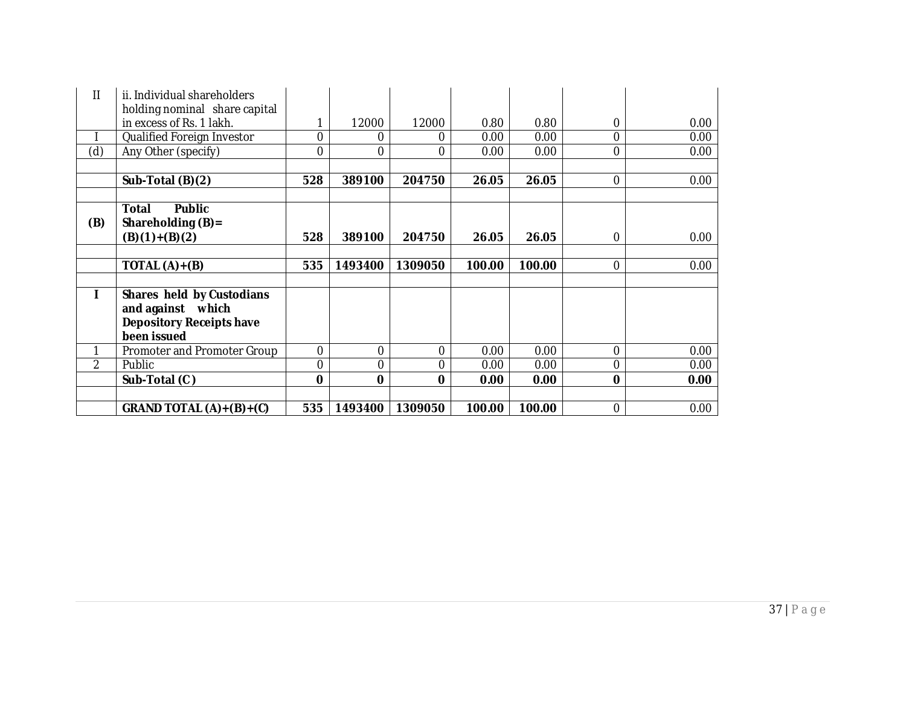| Ш             | ii. Individual shareholders<br>holding nominal share capital |                |             |             |        |        |          |      |
|---------------|--------------------------------------------------------------|----------------|-------------|-------------|--------|--------|----------|------|
|               | in excess of Rs. 1 lakh.                                     | 1              | 12000       | 12000       | 0.80   | 0.80   | 0        | 0.00 |
|               | Qualified Foreign Investor                                   | 0              | 0           | $\Omega$    | 0.00   | 0.00   | $\Omega$ | 0.00 |
| (d)           | Any Other (specify)                                          | 0              | 0           | 0           | 0.00   | 0.00   | $\Omega$ | 0.00 |
|               |                                                              |                |             |             |        |        |          |      |
|               | Sub-Total (B)(2)                                             | 528            | 389100      | 204750      | 26.05  | 26.05  | $\Omega$ | 0.00 |
|               |                                                              |                |             |             |        |        |          |      |
|               | <b>Public</b><br>Total                                       |                |             |             |        |        |          |      |
| (B)           | Shareholding $(B)$ =                                         |                |             |             |        |        |          |      |
|               | $(B)(1)+(B)(2)$                                              | 528            | 389100      | 204750      | 26.05  | 26.05  | 0        | 0.00 |
|               |                                                              |                |             |             |        |        |          |      |
|               | TOTAL $(A)+(B)$                                              | 535            | 1493400     | 1309050     | 100.00 | 100.00 | $\Omega$ | 0.00 |
|               | Shares held by Custodians                                    |                |             |             |        |        |          |      |
|               | and against which                                            |                |             |             |        |        |          |      |
|               | <b>Depository Receipts have</b>                              |                |             |             |        |        |          |      |
|               | been issued                                                  |                |             |             |        |        |          |      |
|               | Promoter and Promoter Group                                  | 0              | 0           | $\mathbf 0$ | 0.00   | 0.00   | $\Omega$ | 0.00 |
| $\mathcal{P}$ | Public                                                       | $\overline{0}$ | $\Omega$    | 0           | 0.00   | 0.00   | $\Omega$ | 0.00 |
|               | Sub-Total (C)                                                | 0              | $\mathbf 0$ | $\bf{0}$    | 0.00   | 0.00   | $\bf{0}$ | 0.00 |
|               |                                                              |                |             |             |        |        |          |      |
|               | GRAND TOTAL $(A)+(B)+(C)$                                    | 535            | 1493400     | 1309050     | 100.00 | 100.00 | $\Omega$ | 0.00 |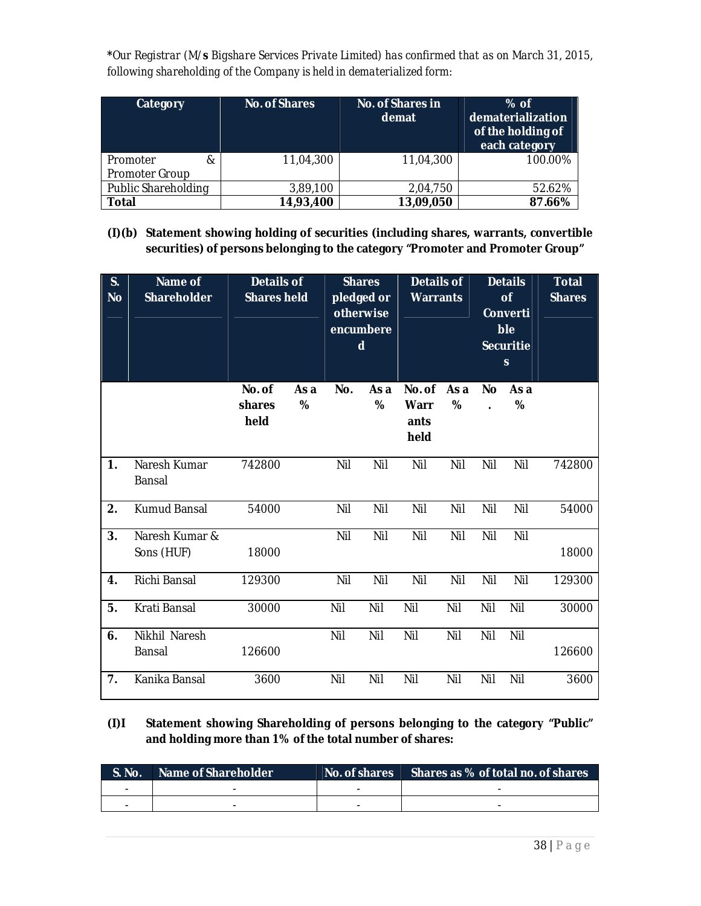**\****Our Registrar (M/s Bigshare Services Private Limited) has confirmed that as on March 31, 2015, following shareholding of the Company is held in dematerialized form:*

| <b>Category</b>       | <b>No. of Shares</b> | No. of Shares in<br>demat | $%$ of<br>dematerialization<br>of the holding of<br>each category |
|-----------------------|----------------------|---------------------------|-------------------------------------------------------------------|
| Promoter<br>&         | 11,04,300            | 11,04,300                 | 100.00%                                                           |
| <b>Promoter Group</b> |                      |                           |                                                                   |
| Public Shareholding   | 3,89,100             | 2,04,750                  | 52.62%                                                            |
| Total                 | 14,93,400            | 13,09,050                 | 87.66%                                                            |

**(I)(b) Statement showing holding of securities (including shares, warrants, convertible securities) of persons belonging to the category "Promoter and Promoter Group"**

| S.<br>No | Name of<br><b>Shareholder</b> | <b>Details of</b><br><b>Shares held</b> |           |     | <b>Shares</b><br>pledged or<br>otherwise<br>encumbere<br>d | <b>Details of</b><br><b>Warrants</b>  |           |           | <b>Details</b><br>of<br>Converti<br>ble<br><b>Securitie</b><br>$\mathbf{s}$ | <b>Total</b><br><b>Shares</b> |
|----------|-------------------------------|-----------------------------------------|-----------|-----|------------------------------------------------------------|---------------------------------------|-----------|-----------|-----------------------------------------------------------------------------|-------------------------------|
|          |                               | No. of<br>shares<br>held                | As a<br>% | No. | As a<br>%                                                  | No. of<br><b>Warr</b><br>ants<br>held | As a<br>% | <b>No</b> | As a<br>%                                                                   |                               |
| 1.       | Naresh Kumar<br>Bansal        | 742800                                  |           | Nil | Nil                                                        | Nil                                   | Nil       | Nil       | Nil                                                                         | 742800                        |
| 2.       | <b>Kumud Bansal</b>           | 54000                                   |           | Nil | Nil                                                        | Nil                                   | Nil       | Nil       | Nil                                                                         | 54000                         |
| 3.       | Naresh Kumar &<br>Sons (HUF)  | 18000                                   |           | Nil | Nil                                                        | Nil                                   | Nil       | Nil       | Nil                                                                         | 18000                         |
| 4.       | Richi Bansal                  | 129300                                  |           | Nil | Nil                                                        | Nil                                   | Nil       | Nil       | Nil                                                                         | 129300                        |
| 5.       | Krati Bansal                  | 30000                                   |           | Nil | Nil                                                        | Nil                                   | Nil       | Nil       | Nil                                                                         | 30000                         |
| 6.       | Nikhil Naresh<br>Bansal       | 126600                                  |           | Nil | Nil                                                        | Nil                                   | Nil       | Nil       | Nil                                                                         | 126600                        |
| 7.       | Kanika Bansal                 | 3600                                    |           | Nil | Nil                                                        | Nil                                   | Nil       | Nil       | Nil                                                                         | 3600                          |

**(I)I Statement showing Shareholding of persons belonging to the category "Public" and holding more than 1% of the total number of shares:** 

| $\blacksquare$ S. No. $\blacksquare$ | Name of Shareholder | No. of shares Shares as % of total no. of shares |
|--------------------------------------|---------------------|--------------------------------------------------|
|                                      |                     |                                                  |
|                                      |                     |                                                  |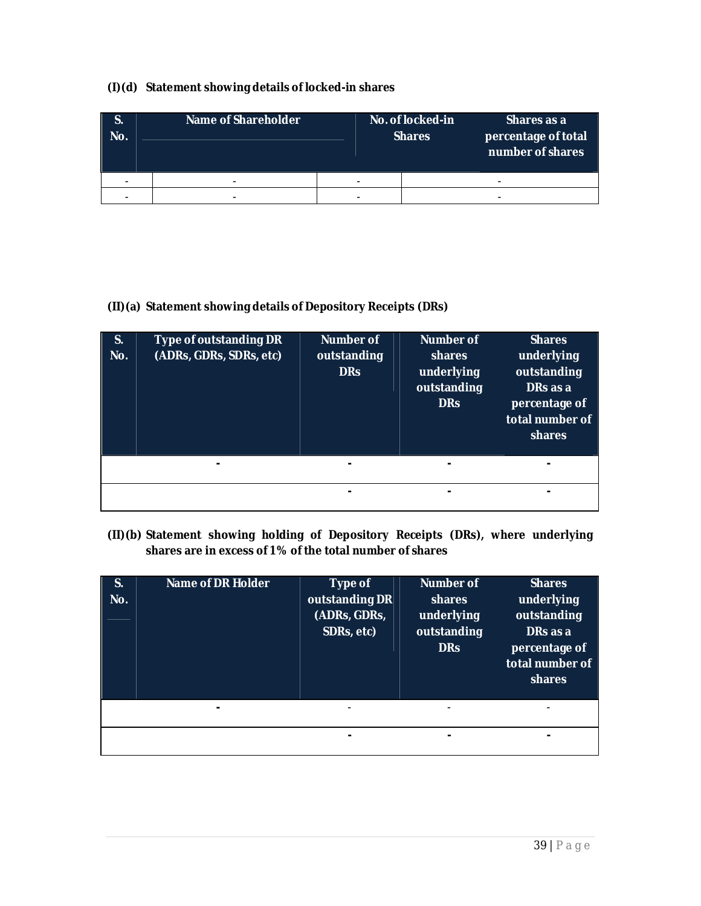## **(I)(d) Statement showing details of locked-in shares**

| No. | Name of Shareholder |   | No. of locked-in<br><b>Shares</b> | Shares as a<br>percentage of total<br>number of shares |
|-----|---------------------|---|-----------------------------------|--------------------------------------------------------|
|     | -                   | - |                                   | -                                                      |
|     |                     |   |                                   |                                                        |

# **(II)(a) Statement showing details of Depository Receipts (DRs)**

| <b>S.</b><br>No. | Type of outstanding DR<br>(ADRs, GDRs, SDRs, etc) | <b>Number of</b><br>outstanding<br><b>DRs</b> | Number of<br>shares<br>underlying<br>outstanding<br><b>DRs</b> | <b>Shares</b><br>underlying<br>outstanding<br>DRs as a<br>percentage of<br>total number of<br>shares |
|------------------|---------------------------------------------------|-----------------------------------------------|----------------------------------------------------------------|------------------------------------------------------------------------------------------------------|
|                  | -                                                 |                                               |                                                                |                                                                                                      |
|                  |                                                   |                                               |                                                                |                                                                                                      |

# **(II)(b) Statement showing holding of Depository Receipts (DRs), where underlying shares are in excess of 1% of the total number of shares**

| S.<br>No. | <b>Name of DR Holder</b> | Type of<br>outstanding DR<br>(ADRs, GDRs,<br>SDRs, etc) | <b>Number of</b><br>shares<br>underlying<br>outstanding<br><b>DRs</b> | <b>Shares</b><br>underlying<br>outstanding<br>DRs as a<br>percentage of<br>total number of<br>shares |
|-----------|--------------------------|---------------------------------------------------------|-----------------------------------------------------------------------|------------------------------------------------------------------------------------------------------|
|           | -                        | -                                                       | $\,$                                                                  |                                                                                                      |
|           |                          |                                                         | ۰                                                                     |                                                                                                      |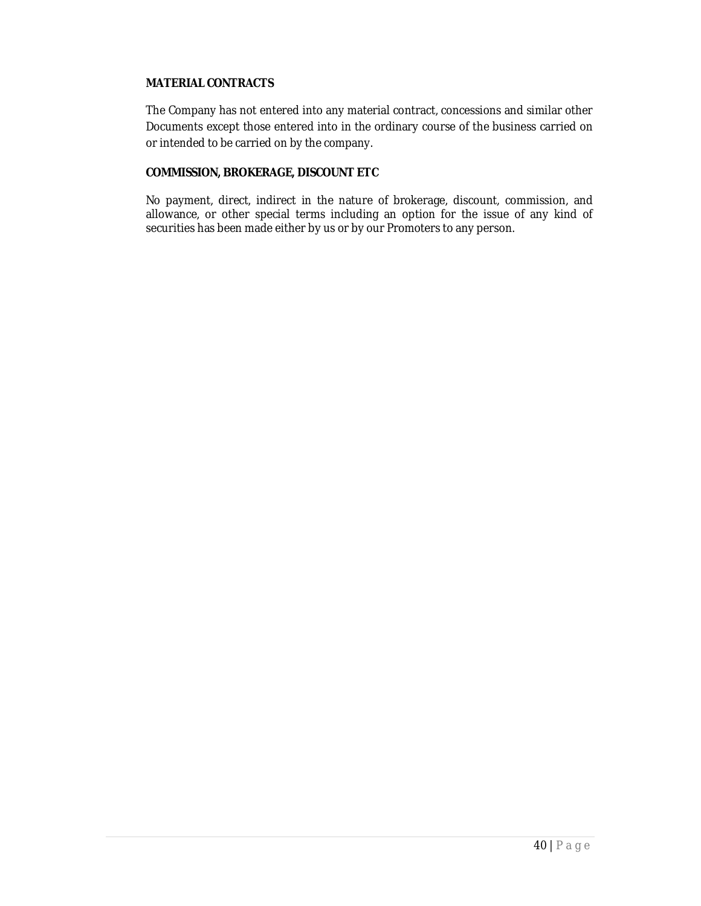### **MATERIAL CONTRACTS**

The Company has not entered into any material contract, concessions and similar other Documents except those entered into in the ordinary course of the business carried on or intended to be carried on by the company.

### **COMMISSION, BROKERAGE, DISCOUNT ETC**

No payment, direct, indirect in the nature of brokerage, discount, commission, and allowance, or other special terms including an option for the issue of any kind of securities has been made either by us or by our Promoters to any person.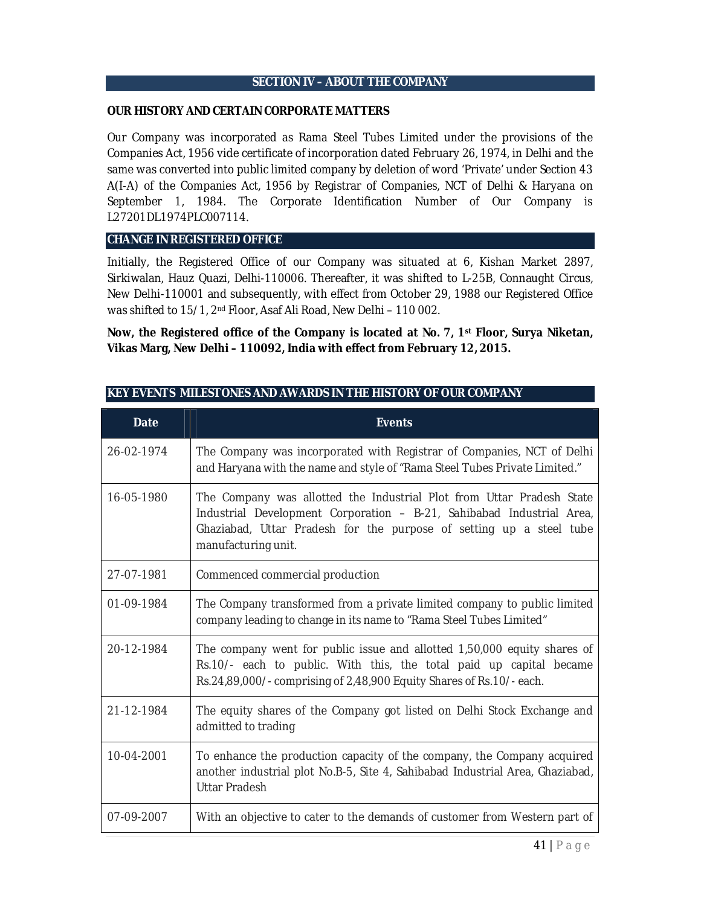### **SECTION IV – ABOUT THE COMPANY**

#### **OUR HISTORY AND CERTAIN CORPORATE MATTERS**

Our Company was incorporated as Rama Steel Tubes Limited under the provisions of the Companies Act, 1956 vide certificate of incorporation dated February 26, 1974, in Delhi and the same was converted into public limited company by deletion of word 'Private' under Section 43 A(I-A) of the Companies Act, 1956 by Registrar of Companies, NCT of Delhi & Haryana on September 1, 1984. The Corporate Identification Number of Our Company is L27201DL1974PLC007114.

### **CHANGE IN REGISTERED OFFICE**

Initially, the Registered Office of our Company was situated at 6, Kishan Market 2897, Sirkiwalan, Hauz Quazi, Delhi-110006. Thereafter, it was shifted to L-25B, Connaught Circus, New Delhi-110001 and subsequently, with effect from October 29, 1988 our Registered Office was shifted to 15/1, 2nd Floor, Asaf Ali Road, New Delhi – 110 002.

**Now, the Registered office of the Company is located at No. 7, 1st Floor, Surya Niketan, Vikas Marg, New Delhi – 110092, India with effect from February 12, 2015.**

| <b>Date</b> | <b>Events</b>                                                                                                                                                                                                                                |
|-------------|----------------------------------------------------------------------------------------------------------------------------------------------------------------------------------------------------------------------------------------------|
| 26-02-1974  | The Company was incorporated with Registrar of Companies, NCT of Delhi<br>and Haryana with the name and style of "Rama Steel Tubes Private Limited."                                                                                         |
| 16-05-1980  | The Company was allotted the Industrial Plot from Uttar Pradesh State<br>Industrial Development Corporation - B-21, Sahibabad Industrial Area,<br>Ghaziabad, Uttar Pradesh for the purpose of setting up a steel tube<br>manufacturing unit. |
| 27-07-1981  | Commenced commercial production                                                                                                                                                                                                              |
| 01-09-1984  | The Company transformed from a private limited company to public limited<br>company leading to change in its name to "Rama Steel Tubes Limited"                                                                                              |
| 20-12-1984  | The company went for public issue and allotted 1,50,000 equity shares of<br>Rs.10/- each to public. With this, the total paid up capital became<br>Rs.24,89,000/- comprising of 2,48,900 Equity Shares of Rs.10/- each.                      |
| 21-12-1984  | The equity shares of the Company got listed on Delhi Stock Exchange and<br>admitted to trading                                                                                                                                               |
| 10-04-2001  | To enhance the production capacity of the company, the Company acquired<br>another industrial plot No.B-5, Site 4, Sahibabad Industrial Area, Ghaziabad,<br><b>Uttar Pradesh</b>                                                             |
| 07-09-2007  | With an objective to cater to the demands of customer from Western part of                                                                                                                                                                   |

### **KEY EVENTS MILESTONES AND AWARDS IN THE HISTORY OF OUR COMPANY**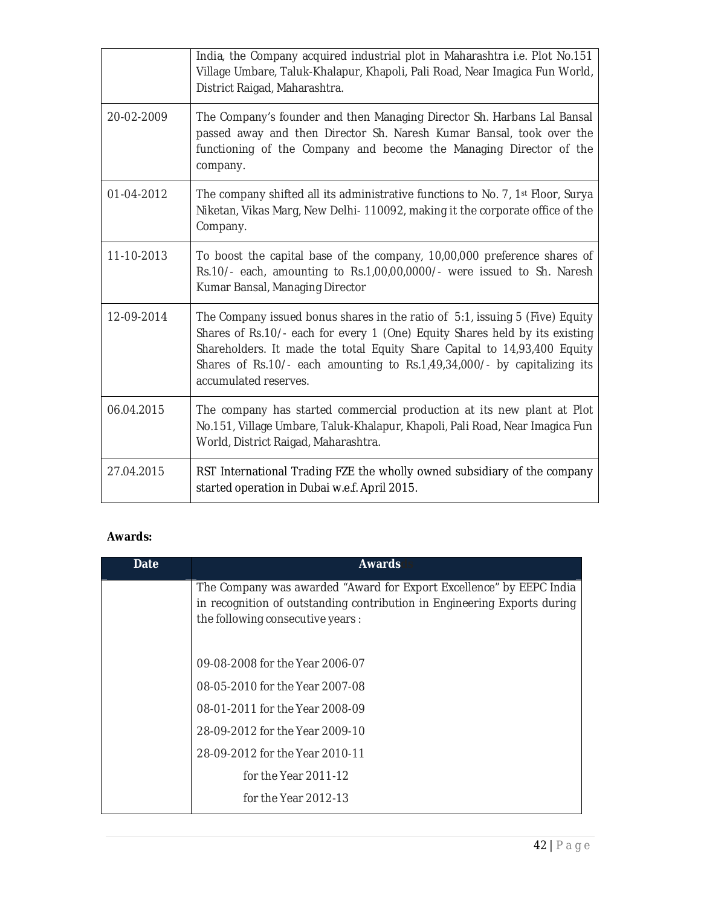|            | India, the Company acquired industrial plot in Maharashtra i.e. Plot No.151<br>Village Umbare, Taluk-Khalapur, Khapoli, Pali Road, Near Imagica Fun World,<br>District Raigad, Maharashtra.                                                                                                                                                  |
|------------|----------------------------------------------------------------------------------------------------------------------------------------------------------------------------------------------------------------------------------------------------------------------------------------------------------------------------------------------|
| 20-02-2009 | The Company's founder and then Managing Director Sh. Harbans Lal Bansal<br>passed away and then Director Sh. Naresh Kumar Bansal, took over the<br>functioning of the Company and become the Managing Director of the<br>company.                                                                                                            |
| 01-04-2012 | The company shifted all its administrative functions to No. 7, 1 <sup>st</sup> Floor, Surya<br>Niketan, Vikas Marg, New Delhi-110092, making it the corporate office of the<br>Company.                                                                                                                                                      |
| 11-10-2013 | To boost the capital base of the company, 10,00,000 preference shares of<br>Rs.10/- each, amounting to Rs.1,00,00,0000/- were issued to Sh. Naresh<br>Kumar Bansal, Managing Director                                                                                                                                                        |
| 12-09-2014 | The Company issued bonus shares in the ratio of 5:1, issuing 5 (Five) Equity<br>Shares of Rs.10/- each for every 1 (One) Equity Shares held by its existing<br>Shareholders. It made the total Equity Share Capital to 14,93,400 Equity<br>Shares of Rs.10/- each amounting to Rs.1,49,34,000/- by capitalizing its<br>accumulated reserves. |
| 06.04.2015 | The company has started commercial production at its new plant at Plot<br>No.151, Village Umbare, Taluk-Khalapur, Khapoli, Pali Road, Near Imagica Fun<br>World, District Raigad, Maharashtra.                                                                                                                                               |
| 27.04.2015 | RST International Trading FZE the wholly owned subsidiary of the company<br>started operation in Dubai w.e.f. April 2015.                                                                                                                                                                                                                    |

# **Awards:**

| Date | <b>Awards</b>                                                                                                                                                                       |
|------|-------------------------------------------------------------------------------------------------------------------------------------------------------------------------------------|
|      | The Company was awarded "Award for Export Excellence" by EEPC India<br>in recognition of outstanding contribution in Engineering Exports during<br>the following consecutive years: |
|      | 09-08-2008 for the Year 2006-07                                                                                                                                                     |
|      | 08-05-2010 for the Year 2007-08                                                                                                                                                     |
|      | 08-01-2011 for the Year 2008-09                                                                                                                                                     |
|      | 28-09-2012 for the Year 2009-10                                                                                                                                                     |
|      | 28-09-2012 for the Year 2010-11                                                                                                                                                     |
|      | for the Year 2011-12                                                                                                                                                                |
|      | for the Year 2012-13                                                                                                                                                                |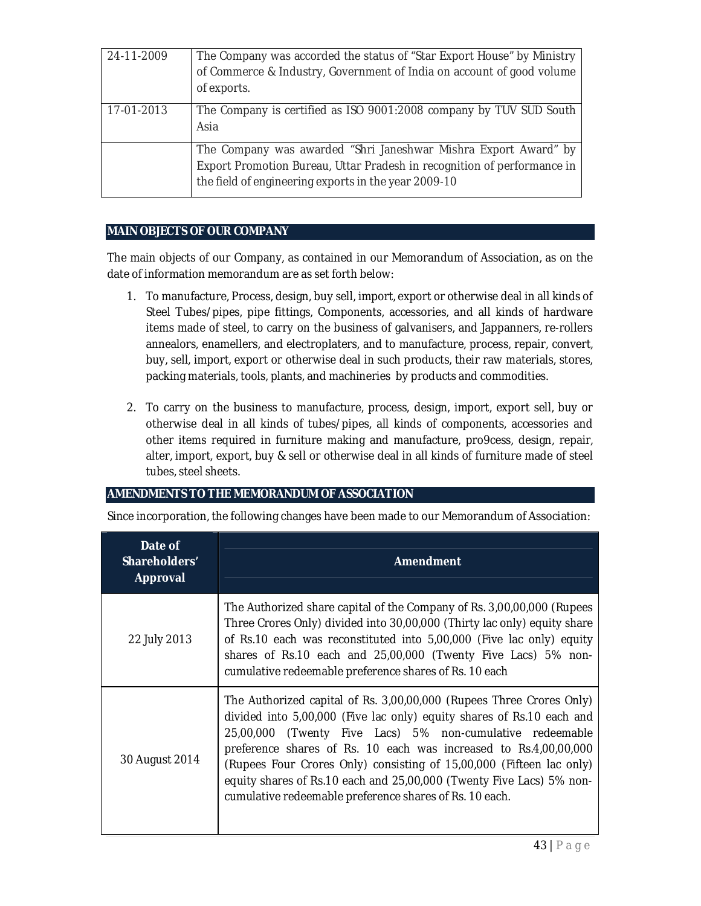| 24-11-2009 | The Company was accorded the status of "Star Export House" by Ministry<br>of Commerce & Industry, Government of India on account of good volume<br>of exports.                                     |
|------------|----------------------------------------------------------------------------------------------------------------------------------------------------------------------------------------------------|
| 17-01-2013 | The Company is certified as ISO 9001:2008 company by TUV SUD South<br>Asia                                                                                                                         |
|            | The Company was awarded "Shri Janeshwar Mishra Export Award" by<br>Export Promotion Bureau, Uttar Pradesh in recognition of performance in<br>the field of engineering exports in the year 2009-10 |

## **MAIN OBJECTS OF OUR COMPANY**

The main objects of our Company, as contained in our Memorandum of Association, as on the date of information memorandum are as set forth below:

- 1. To manufacture, Process, design, buy sell, import, export or otherwise deal in all kinds of Steel Tubes/pipes, pipe fittings, Components, accessories, and all kinds of hardware items made of steel, to carry on the business of galvanisers, and Jappanners, re-rollers annealors, enamellers, and electroplaters, and to manufacture, process, repair, convert, buy, sell, import, export or otherwise deal in such products, their raw materials, stores, packing materials, tools, plants, and machineries by products and commodities.
- 2. To carry on the business to manufacture, process, design, import, export sell, buy or otherwise deal in all kinds of tubes/pipes, all kinds of components, accessories and other items required in furniture making and manufacture, pro9cess, design, repair, alter, import, export, buy & sell or otherwise deal in all kinds of furniture made of steel tubes, steel sheets.

### **AMENDMENTS TO THE MEMORANDUM OF ASSOCIATION**

Since incorporation, the following changes have been made to our Memorandum of Association:

| Date of<br>Shareholders'<br>Approval | <b>Amendment</b>                                                                                                                                                                                                                                                                                                                                                                                                                                                                          |
|--------------------------------------|-------------------------------------------------------------------------------------------------------------------------------------------------------------------------------------------------------------------------------------------------------------------------------------------------------------------------------------------------------------------------------------------------------------------------------------------------------------------------------------------|
| 22 July 2013                         | The Authorized share capital of the Company of Rs. 3,00,00,000 (Rupees<br>Three Crores Only) divided into 30,00,000 (Thirty lac only) equity share<br>of Rs.10 each was reconstituted into 5,00,000 (Five lac only) equity<br>shares of Rs.10 each and 25,00,000 (Twenty Five Lacs) 5% non-<br>cumulative redeemable preference shares of Rs. 10 each                                                                                                                                     |
| 30 August 2014                       | The Authorized capital of Rs. 3,00,00,000 (Rupees Three Crores Only)<br>divided into 5,00,000 (Five lac only) equity shares of Rs.10 each and<br>25,00,000 (Twenty Five Lacs) 5% non-cumulative redeemable<br>preference shares of Rs. 10 each was increased to Rs.4,00,00,000<br>(Rupees Four Crores Only) consisting of 15,00,000 (Fifteen lac only)<br>equity shares of Rs.10 each and 25,00,000 (Twenty Five Lacs) 5% non-<br>cumulative redeemable preference shares of Rs. 10 each. |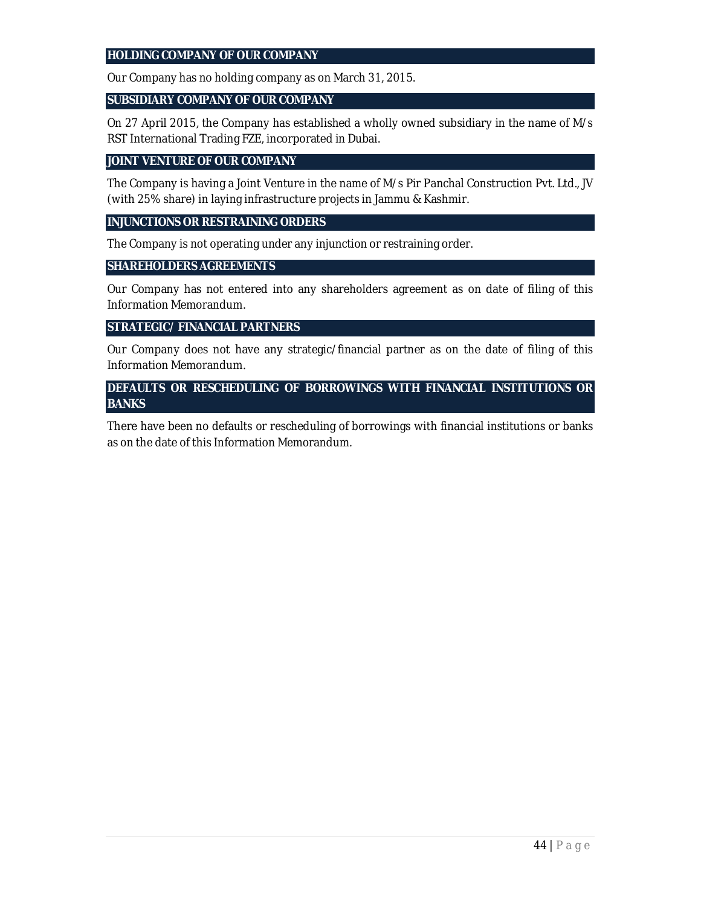#### **HOLDING COMPANY OF OUR COMPANY**

Our Company has no holding company as on March 31, 2015.

#### **SUBSIDIARY COMPANY OF OUR COMPANY**

On 27 April 2015, the Company has established a wholly owned subsidiary in the name of M/s RST International Trading FZE, incorporated in Dubai.

#### **JOINT VENTURE OF OUR COMPANY**

The Company is having a Joint Venture in the name of M/s Pir Panchal Construction Pvt. Ltd., JV (with 25% share) in laying infrastructure projects in Jammu & Kashmir.

#### **INJUNCTIONS OR RESTRAINING ORDERS**

The Company is not operating under any injunction or restraining order.

#### **SHAREHOLDERS AGREEMENTS**

Our Company has not entered into any shareholders agreement as on date of filing of this Information Memorandum.

### **STRATEGIC/ FINANCIAL PARTNERS**

Our Company does not have any strategic/financial partner as on the date of filing of this Information Memorandum.

### **DEFAULTS OR RESCHEDULING OF BORROWINGS WITH FINANCIAL INSTITUTIONS OR BANKS**

There have been no defaults or rescheduling of borrowings with financial institutions or banks as on the date of this Information Memorandum.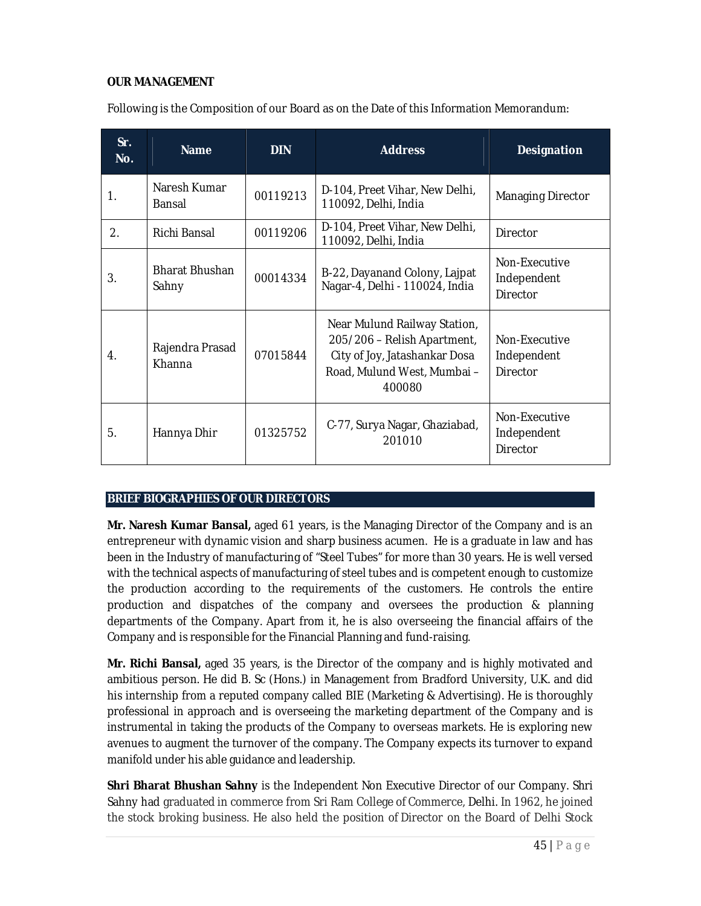### **OUR MANAGEMENT**

| Following is the Composition of our Board as on the Date of this Information Memorandum: |  |  |
|------------------------------------------------------------------------------------------|--|--|
|------------------------------------------------------------------------------------------|--|--|

| Sr.<br>No. | <b>Name</b>                    | <b>DIN</b> | <b>Address</b>                                                                                                                        | <b>Designation</b>                              |  |
|------------|--------------------------------|------------|---------------------------------------------------------------------------------------------------------------------------------------|-------------------------------------------------|--|
| 1.         | Naresh Kumar<br>Bansal         | 00119213   | D-104, Preet Vihar, New Delhi,<br>110092, Delhi, India                                                                                | Managing Director                               |  |
| 2.         | Richi Bansal                   | 00119206   | D-104, Preet Vihar, New Delhi,<br>110092, Delhi, India                                                                                | Director                                        |  |
| 3.         | <b>Bharat Bhushan</b><br>Sahny | 00014334   | B-22, Dayanand Colony, Lajpat<br>Nagar-4, Delhi - 110024, India                                                                       | Non-Executive<br>Independent<br><b>Director</b> |  |
| 4.         | Rajendra Prasad<br>Khanna      | 07015844   | Near Mulund Railway Station,<br>205/206 - Relish Apartment,<br>City of Joy, Jatashankar Dosa<br>Road, Mulund West, Mumbai -<br>400080 | Non-Executive<br>Independent<br><b>Director</b> |  |
| 5.         | Hannya Dhir                    | 01325752   | C-77, Surya Nagar, Ghaziabad,<br>201010                                                                                               | Non-Executive<br>Independent<br>Director        |  |

#### **BRIEF BIOGRAPHIES OF OUR DIRECTORS**

**Mr. Naresh Kumar Bansal,** aged 61 years, is the Managing Director of the Company and is an entrepreneur with dynamic vision and sharp business acumen. He is a graduate in law and has been in the Industry of manufacturing of "Steel Tubes" for more than 30 years. He is well versed with the technical aspects of manufacturing of steel tubes and is competent enough to customize the production according to the requirements of the customers. He controls the entire production and dispatches of the company and oversees the production & planning departments of the Company. Apart from it, he is also overseeing the financial affairs of the Company and is responsible for the Financial Planning and fund-raising.

**Mr. Richi Bansal,** aged 35 years, is the Director of the company and is highly motivated and ambitious person. He did B. Sc (Hons.) in Management from Bradford University, U.K. and did his internship from a reputed company called BIE (Marketing & Advertising). He is thoroughly professional in approach and is overseeing the marketing department of the Company and is instrumental in taking the products of the Company to overseas markets. He is exploring new avenues to augment the turnover of the company. The Company expects its turnover to expand manifold under his able guidance and leadership.

**Shri Bharat Bhushan Sahny** is the Independent Non Executive Director of our Company. Shri Sahny had graduated in commerce from Sri Ram College of Commerce, Delhi. In 1962, he joined the stock broking business. He also held the position of Director on the Board of Delhi Stock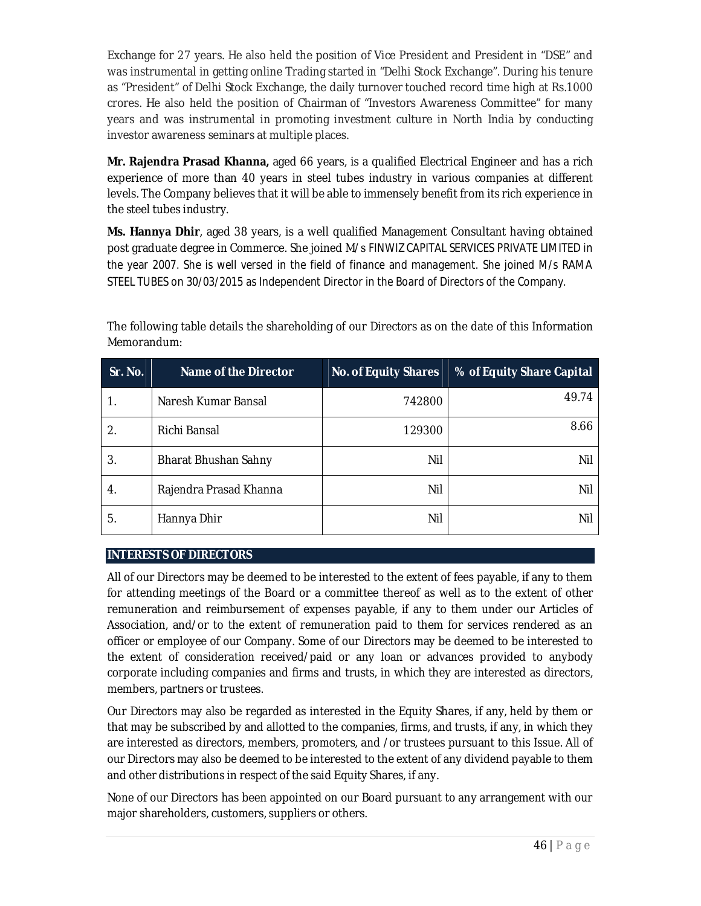Exchange for 27 years. He also held the position of Vice President and President in "DSE" and was instrumental in getting online Trading started in "Delhi Stock Exchange". During his tenure as "President" of Delhi Stock Exchange, the daily turnover touched record time high at Rs.1000 crores. He also held the position of Chairman of "Investors Awareness Committee" for many years and was instrumental in promoting investment culture in North India by conducting investor awareness seminars at multiple places.

**Mr. Rajendra Prasad Khanna,** aged 66 years, is a qualified Electrical Engineer and has a rich experience of more than 40 years in steel tubes industry in various companies at different levels. The Company believes that it will be able to immensely benefit from its rich experience in the steel tubes industry.

**Ms. Hannya Dhir**, aged 38 years, is a well qualified Management Consultant having obtained post graduate degree in Commerce. She joined M/s FINWIZ CAPITAL SERVICES PRIVATE LIMITED in the year 2007. She is well versed in the field of finance and management. She joined M/s RAMA STEEL TUBES on 30/03/2015 as Independent Director in the Board of Directors of the Company.

| Sr. No. | Name of the Director   | <b>No. of Equity Shares</b> | % of Equity Share Capital |
|---------|------------------------|-----------------------------|---------------------------|
|         | Naresh Kumar Bansal    | 742800                      | 49.74                     |
| 2.      | Richi Bansal           | 129300                      | 8.66                      |
| 3.      | Bharat Bhushan Sahny   | Nil                         | Nil                       |
| 4.      | Rajendra Prasad Khanna | Nil                         | Nil                       |
| 5.      | Hannya Dhir            | Nil                         | Nil                       |

The following table details the shareholding of our Directors as on the date of this Information Memorandum:

## **INTERESTS OF DIRECTORS**

All of our Directors may be deemed to be interested to the extent of fees payable, if any to them for attending meetings of the Board or a committee thereof as well as to the extent of other remuneration and reimbursement of expenses payable, if any to them under our Articles of Association, and/or to the extent of remuneration paid to them for services rendered as an officer or employee of our Company. Some of our Directors may be deemed to be interested to the extent of consideration received/paid or any loan or advances provided to anybody corporate including companies and firms and trusts, in which they are interested as directors, members, partners or trustees.

Our Directors may also be regarded as interested in the Equity Shares, if any, held by them or that may be subscribed by and allotted to the companies, firms, and trusts, if any, in which they are interested as directors, members, promoters, and /or trustees pursuant to this Issue. All of our Directors may also be deemed to be interested to the extent of any dividend payable to them and other distributions in respect of the said Equity Shares, if any.

None of our Directors has been appointed on our Board pursuant to any arrangement with our major shareholders, customers, suppliers or others.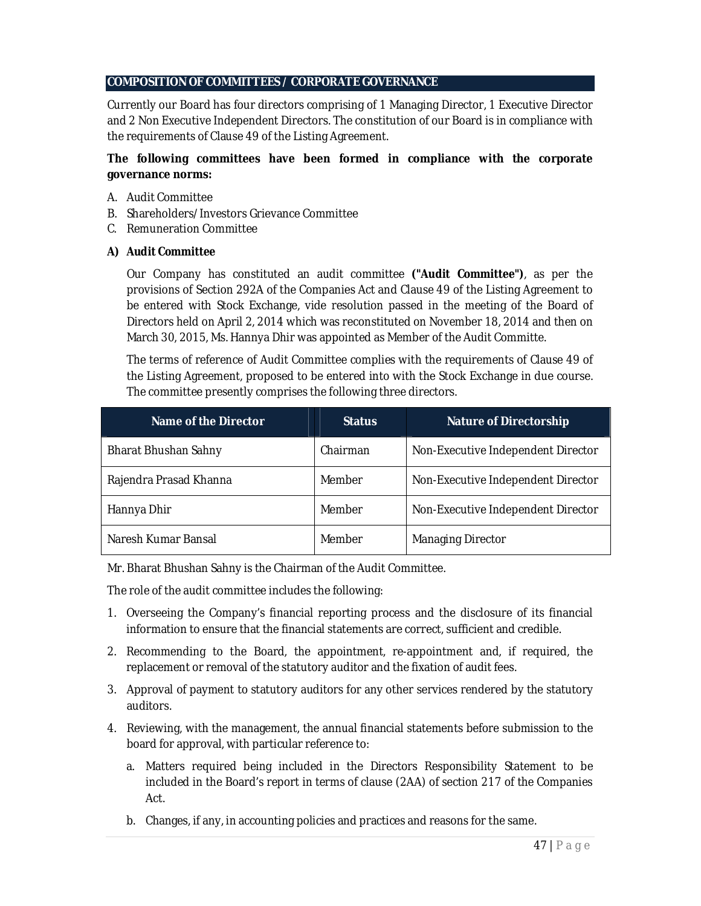## **COMPOSITION OF COMMITTEES / CORPORATE GOVERNANCE**

Currently our Board has four directors comprising of 1 Managing Director, 1 Executive Director and 2 Non Executive Independent Directors. The constitution of our Board is in compliance with the requirements of Clause 49 of the Listing Agreement.

### **The following committees have been formed in compliance with the corporate governance norms:**

- A. Audit Committee
- B. Shareholders/Investors Grievance Committee
- C. Remuneration Committee

### *A) Audit Committee*

Our Company has constituted an audit committee *("Audit Committee")*, as per the provisions of Section 292A of the Companies Act and Clause 49 of the Listing Agreement to be entered with Stock Exchange, vide resolution passed in the meeting of the Board of Directors held on April 2, 2014 which was reconstituted on November 18, 2014 and then on March 30, 2015, Ms. Hannya Dhir was appointed as Member of the Audit Committe.

The terms of reference of Audit Committee complies with the requirements of Clause 49 of the Listing Agreement, proposed to be entered into with the Stock Exchange in due course. The committee presently comprises the following three directors.

| Name of the Director   | <b>Status</b> | <b>Nature of Directorship</b>      |
|------------------------|---------------|------------------------------------|
| Bharat Bhushan Sahny   | Chairman      | Non-Executive Independent Director |
| Rajendra Prasad Khanna | Member        | Non-Executive Independent Director |
| Hannya Dhir            | Member        | Non-Executive Independent Director |
| Naresh Kumar Bansal    | Member        | <b>Managing Director</b>           |

Mr. Bharat Bhushan Sahny is the Chairman of the Audit Committee.

The role of the audit committee includes the following:

- 1. Overseeing the Company's financial reporting process and the disclosure of its financial information to ensure that the financial statements are correct, sufficient and credible.
- 2. Recommending to the Board, the appointment, re-appointment and, if required, the replacement or removal of the statutory auditor and the fixation of audit fees.
- 3. Approval of payment to statutory auditors for any other services rendered by the statutory auditors.
- 4. Reviewing, with the management, the annual financial statements before submission to the board for approval, with particular reference to:
	- a. Matters required being included in the Directors Responsibility Statement to be included in the Board's report in terms of clause (2AA) of section 217 of the Companies Act.
	- b. Changes, if any, in accounting policies and practices and reasons for the same.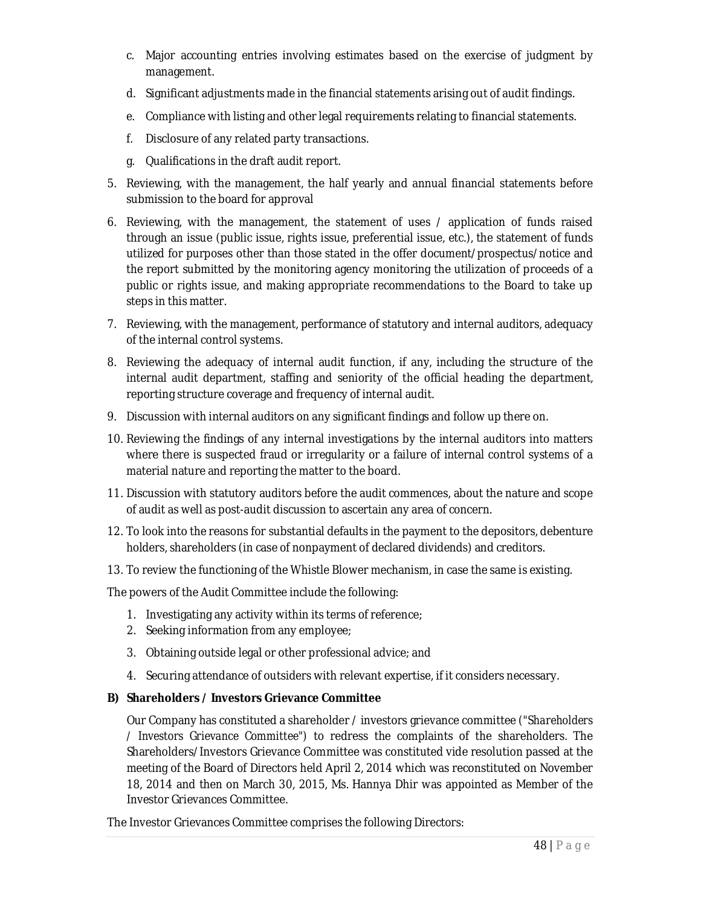- c. Major accounting entries involving estimates based on the exercise of judgment by management.
- d. Significant adjustments made in the financial statements arising out of audit findings.
- e. Compliance with listing and other legal requirements relating to financial statements.
- f. Disclosure of any related party transactions.
- g. Qualifications in the draft audit report.
- 5. Reviewing, with the management, the half yearly and annual financial statements before submission to the board for approval
- 6. Reviewing, with the management, the statement of uses / application of funds raised through an issue (public issue, rights issue, preferential issue, etc.), the statement of funds utilized for purposes other than those stated in the offer document/prospectus/notice and the report submitted by the monitoring agency monitoring the utilization of proceeds of a public or rights issue, and making appropriate recommendations to the Board to take up steps in this matter.
- 7. Reviewing, with the management, performance of statutory and internal auditors, adequacy of the internal control systems.
- 8. Reviewing the adequacy of internal audit function, if any, including the structure of the internal audit department, staffing and seniority of the official heading the department, reporting structure coverage and frequency of internal audit.
- 9. Discussion with internal auditors on any significant findings and follow up there on.
- 10. Reviewing the findings of any internal investigations by the internal auditors into matters where there is suspected fraud or irregularity or a failure of internal control systems of a material nature and reporting the matter to the board.
- 11. Discussion with statutory auditors before the audit commences, about the nature and scope of audit as well as post-audit discussion to ascertain any area of concern.
- 12. To look into the reasons for substantial defaults in the payment to the depositors, debenture holders, shareholders (in case of nonpayment of declared dividends) and creditors.
- 13. To review the functioning of the Whistle Blower mechanism, in case the same is existing.

The powers of the Audit Committee include the following:

- 1. Investigating any activity within its terms of reference;
- 2. Seeking information from any employee;
- 3. Obtaining outside legal or other professional advice; and
- 4. Securing attendance of outsiders with relevant expertise, if it considers necessary.

### *B)* **Shareholders / Investors Grievance Committee**

Our Company has constituted a shareholder / investors grievance committee *("Shareholders / Investors Grievance Committee")* to redress the complaints of the shareholders. The Shareholders/Investors Grievance Committee was constituted vide resolution passed at the meeting of the Board of Directors held April 2, 2014 which was reconstituted on November 18, 2014 and then on March 30, 2015, Ms. Hannya Dhir was appointed as Member of the Investor Grievances Committee.

The Investor Grievances Committee comprises the following Directors: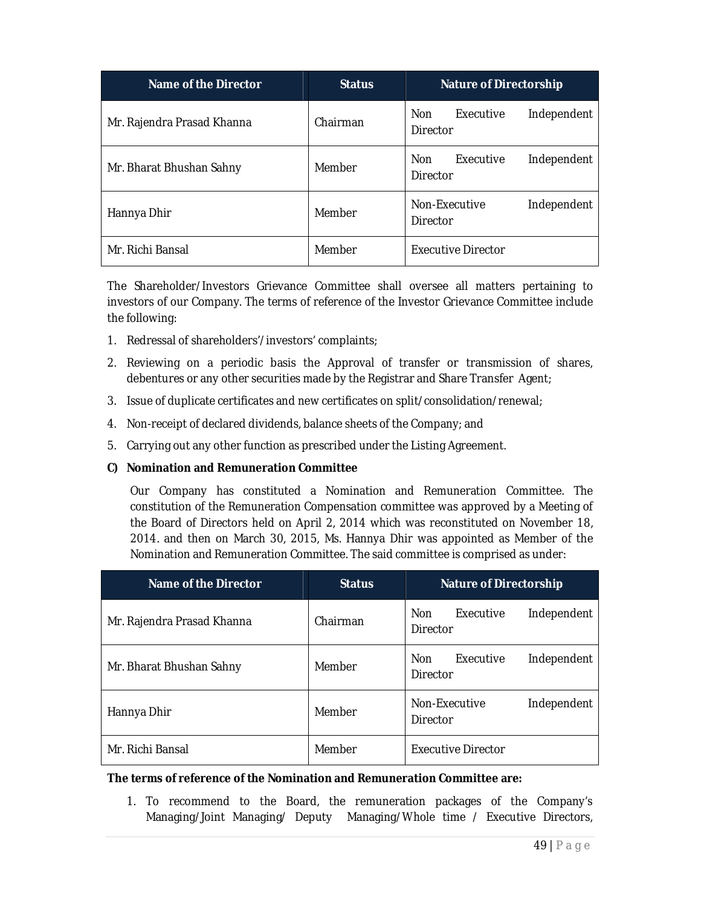| Name of the Director       | <b>Status</b> | <b>Nature of Directorship</b>                      |  |  |
|----------------------------|---------------|----------------------------------------------------|--|--|
| Mr. Rajendra Prasad Khanna | Chairman      | Executive<br><b>Non</b><br>Independent<br>Director |  |  |
| Mr. Bharat Bhushan Sahny   | Member        | Executive<br><b>Non</b><br>Independent<br>Director |  |  |
| Hannya Dhir                | Member        | Non-Executive<br>Independent<br>Director           |  |  |
| Mr. Richi Bansal           | Member        | Executive Director                                 |  |  |

The Shareholder/Investors Grievance Committee shall oversee all matters pertaining to investors of our Company. The terms of reference of the Investor Grievance Committee include the following:

- 1. Redressal of shareholders'/investors' complaints;
- 2. Reviewing on a periodic basis the Approval of transfer or transmission of shares, debentures or any other securities made by the Registrar and Share Transfer Agent;
- 3. Issue of duplicate certificates and new certificates on split/consolidation/renewal;
- 4. Non-receipt of declared dividends, balance sheets of the Company; and
- 5. Carrying out any other function as prescribed under the Listing Agreement.

#### *C)* **Nomination and Remuneration Committee**

Our Company has constituted a Nomination and Remuneration Committee. The constitution of the Remuneration Compensation committee was approved by a Meeting of the Board of Directors held on April 2, 2014 which was reconstituted on November 18, 2014. and then on March 30, 2015, Ms. Hannya Dhir was appointed as Member of the Nomination and Remuneration Committee. The said committee is comprised as under:

| Name of the Director       | <b>Status</b> | <b>Nature of Directorship</b>                      |  |  |
|----------------------------|---------------|----------------------------------------------------|--|--|
| Mr. Rajendra Prasad Khanna | Chairman      | Executive<br><b>Non</b><br>Independent<br>Director |  |  |
| Mr. Bharat Bhushan Sahny   | Member        | <b>Non</b><br>Executive<br>Independent<br>Director |  |  |
| Hannya Dhir                | Member        | Non-Executive<br>Independent<br>Director           |  |  |
| Mr. Richi Bansal           | Member        | Executive Director                                 |  |  |

#### **The terms of reference of the Nomination and Remuneration Committee are:**

1. To recommend to the Board, the remuneration packages of the Company's Managing/Joint Managing/ Deputy Managing/Whole time / Executive Directors,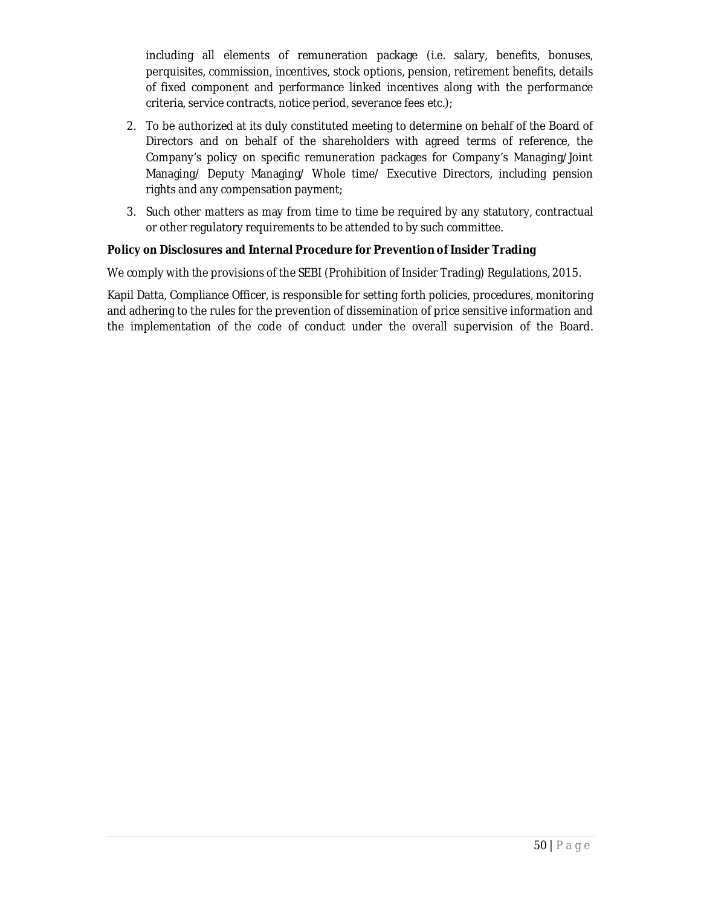including all elements of remuneration package (i.e. salary, benefits, bonuses, perquisites, commission, incentives, stock options, pension, retirement benefits, details of fixed component and performance linked incentives along with the performance criteria, service contracts, notice period, severance fees etc.);

- 2. To be authorized at its duly constituted meeting to determine on behalf of the Board of Directors and on behalf of the shareholders with agreed terms of reference, the Company's policy on specific remuneration packages for Company's Managing/Joint Managing/ Deputy Managing/ Whole time/ Executive Directors, including pension rights and any compensation payment;
- 3. Such other matters as may from time to time be required by any statutory, contractual or other regulatory requirements to be attended to by such committee.

### **Policy on Disclosures and Internal Procedure for Prevention of Insider Trading**

We comply with the provisions of the SEBI (Prohibition of Insider Trading) Regulations, 2015.

Kapil Datta, Compliance Officer, is responsible for setting forth policies, procedures, monitoring and adhering to the rules for the prevention of dissemination of price sensitive information and the implementation of the code of conduct under the overall supervision of the Board.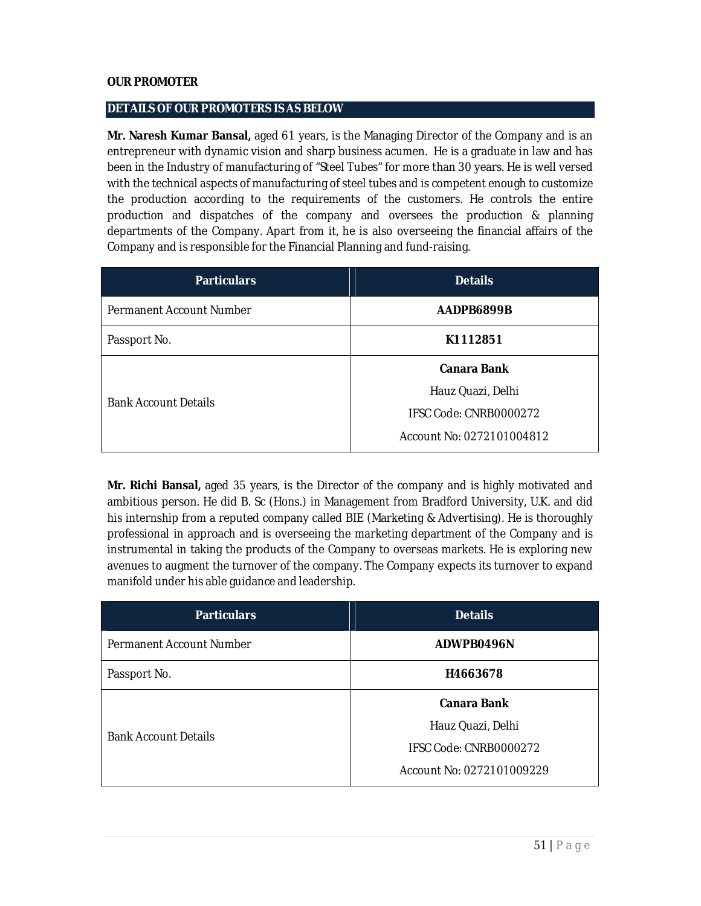### **OUR PROMOTER**

### **DETAILS OF OUR PROMOTERS IS AS BELOW**

**Mr. Naresh Kumar Bansal,** aged 61 years, is the Managing Director of the Company and is an entrepreneur with dynamic vision and sharp business acumen. He is a graduate in law and has been in the Industry of manufacturing of "Steel Tubes" for more than 30 years. He is well versed with the technical aspects of manufacturing of steel tubes and is competent enough to customize the production according to the requirements of the customers. He controls the entire production and dispatches of the company and oversees the production & planning departments of the Company. Apart from it, he is also overseeing the financial affairs of the Company and is responsible for the Financial Planning and fund-raising.

| <b>Particulars</b>          | <b>Details</b>            |  |
|-----------------------------|---------------------------|--|
| Permanent Account Number    | AADPB6899B                |  |
| Passport No.                | K1112851                  |  |
|                             | <b>Canara Bank</b>        |  |
| <b>Bank Account Details</b> | Hauz Quazi, Delhi         |  |
|                             | IFSC Code: CNRB0000272    |  |
|                             | Account No: 0272101004812 |  |

**Mr. Richi Bansal,** aged 35 years, is the Director of the company and is highly motivated and ambitious person. He did B. Sc (Hons.) in Management from Bradford University, U.K. and did his internship from a reputed company called BIE (Marketing & Advertising). He is thoroughly professional in approach and is overseeing the marketing department of the Company and is instrumental in taking the products of the Company to overseas markets. He is exploring new avenues to augment the turnover of the company. The Company expects its turnover to expand manifold under his able guidance and leadership.

| <b>Particulars</b>          | <b>Details</b>            |  |
|-----------------------------|---------------------------|--|
| Permanent Account Number    | ADWPB0496N                |  |
| Passport No.                | H4663678                  |  |
|                             | <b>Canara Bank</b>        |  |
| <b>Bank Account Details</b> | Hauz Quazi, Delhi         |  |
|                             | IFSC Code: CNRB0000272    |  |
|                             | Account No: 0272101009229 |  |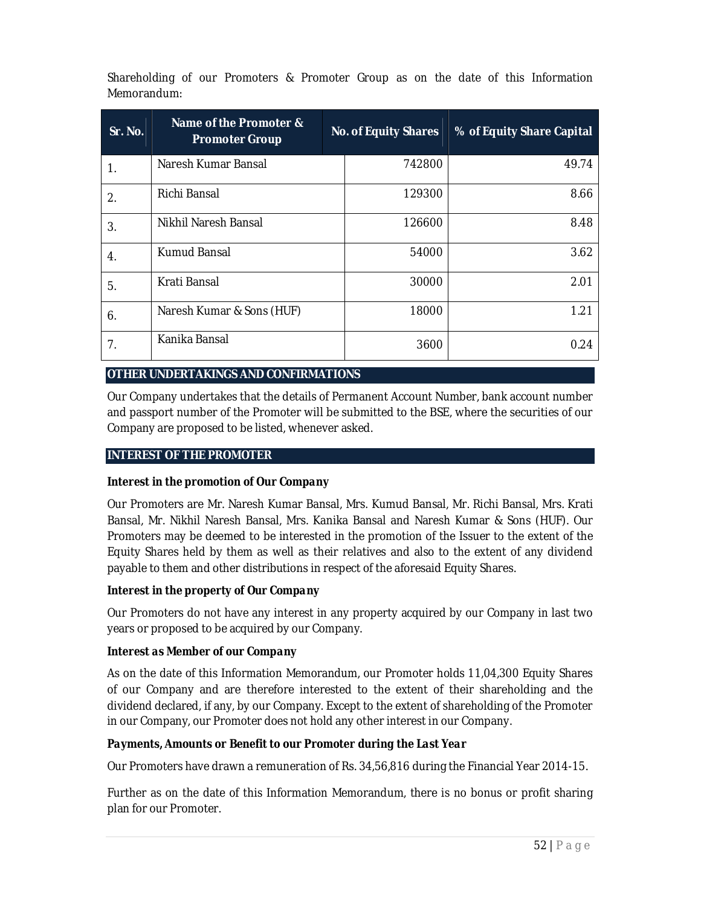Shareholding of our Promoters & Promoter Group as on the date of this Information Memorandum:

| Sr. No. | Name of the Promoter &<br><b>Promoter Group</b> |  | <b>No. of Equity Shares</b> | % of Equity Share Capital |
|---------|-------------------------------------------------|--|-----------------------------|---------------------------|
| 1.      | Naresh Kumar Bansal                             |  | 742800                      | 49.74                     |
| 2.      | Richi Bansal                                    |  | 129300                      | 8.66                      |
| 3.      | Nikhil Naresh Bansal                            |  | 126600                      | 8.48                      |
| 4.      | Kumud Bansal                                    |  | 54000                       | 3.62                      |
| 5.      | Krati Bansal                                    |  | 30000                       | 2.01                      |
| 6.      | Naresh Kumar & Sons (HUF)                       |  | 18000                       | 1.21                      |
| 7.      | Kanika Bansal                                   |  | 3600                        | 0.24                      |

### **OTHER UNDERTAKINGS AND CONFIRMATIONS**

Our Company undertakes that the details of Permanent Account Number, bank account number and passport number of the Promoter will be submitted to the BSE, where the securities of our Company are proposed to be listed, whenever asked.

#### **INTEREST OF THE PROMOTER**

### *Interest in the promotion of Our Company*

Our Promoters are Mr. Naresh Kumar Bansal, Mrs. Kumud Bansal, Mr. Richi Bansal, Mrs. Krati Bansal, Mr. Nikhil Naresh Bansal, Mrs. Kanika Bansal and Naresh Kumar & Sons (HUF). Our Promoters may be deemed to be interested in the promotion of the Issuer to the extent of the Equity Shares held by them as well as their relatives and also to the extent of any dividend payable to them and other distributions in respect of the aforesaid Equity Shares.

### *Interest in the property of Our Company*

Our Promoters do not have any interest in any property acquired by our Company in last two years or proposed to be acquired by our Company.

#### *Interest as Member of our Company*

As on the date of this Information Memorandum, our Promoter holds 11,04,300 Equity Shares of our Company and are therefore interested to the extent of their shareholding and the dividend declared, if any, by our Company. Except to the extent of shareholding of the Promoter in our Company, our Promoter does not hold any other interest in our Company.

### *Payments, Amounts or Benefit to our Promoter during the Last Year*

Our Promoters have drawn a remuneration of Rs. 34,56,816 during the Financial Year 2014-15.

Further as on the date of this Information Memorandum, there is no bonus or profit sharing plan for our Promoter.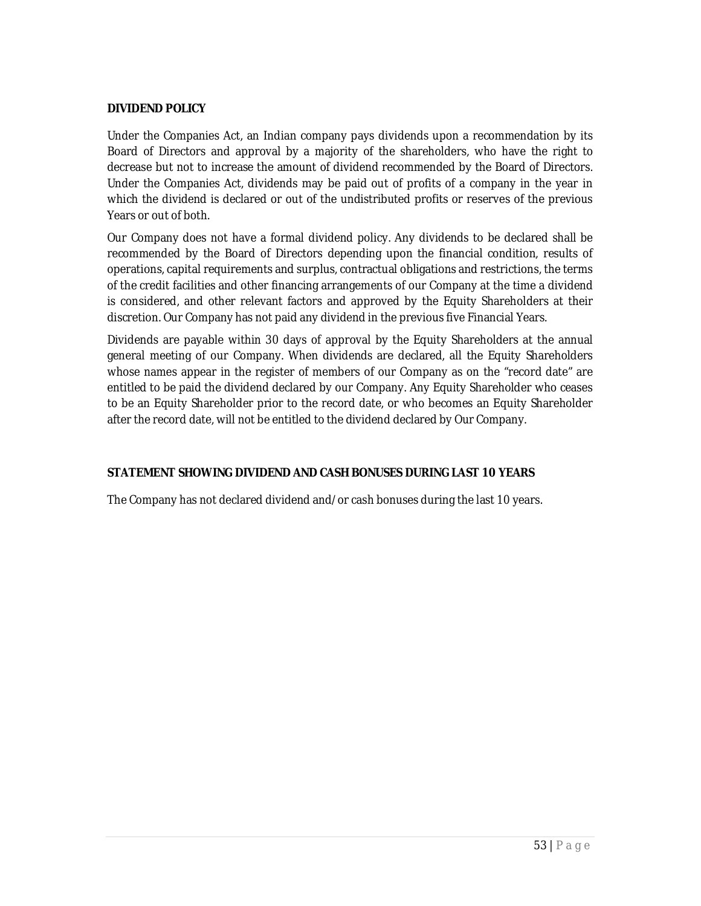## **DIVIDEND POLICY**

Under the Companies Act, an Indian company pays dividends upon a recommendation by its Board of Directors and approval by a majority of the shareholders, who have the right to decrease but not to increase the amount of dividend recommended by the Board of Directors. Under the Companies Act, dividends may be paid out of profits of a company in the year in which the dividend is declared or out of the undistributed profits or reserves of the previous Years or out of both.

Our Company does not have a formal dividend policy. Any dividends to be declared shall be recommended by the Board of Directors depending upon the financial condition, results of operations, capital requirements and surplus, contractual obligations and restrictions, the terms of the credit facilities and other financing arrangements of our Company at the time a dividend is considered, and other relevant factors and approved by the Equity Shareholders at their discretion. Our Company has not paid any dividend in the previous five Financial Years.

Dividends are payable within 30 days of approval by the Equity Shareholders at the annual general meeting of our Company. When dividends are declared, all the Equity Shareholders whose names appear in the register of members of our Company as on the "record date" are entitled to be paid the dividend declared by our Company. Any Equity Shareholder who ceases to be an Equity Shareholder prior to the record date, or who becomes an Equity Shareholder after the record date, will not be entitled to the dividend declared by Our Company.

## **STATEMENT SHOWING DIVIDEND AND CASH BONUSES DURING LAST 10 YEARS**

The Company has not declared dividend and/or cash bonuses during the last 10 years.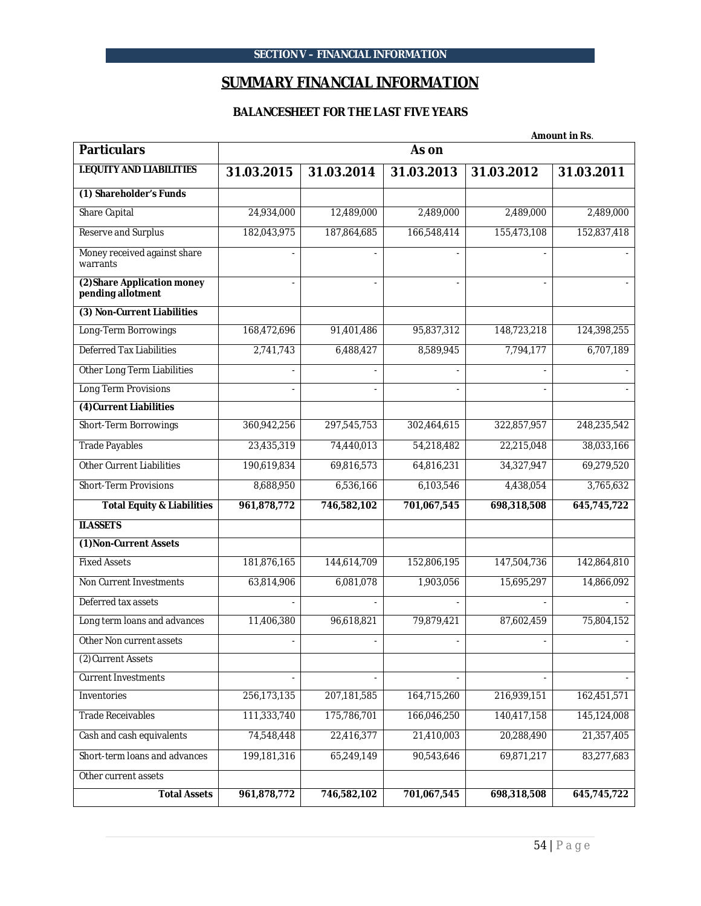# **SUMMARY FINANCIAL INFORMATION**

## **BALANCESHEET FOR THE LAST FIVE YEARS**

|                                                  | <b>Amount in Rs.</b> |                |                |                |             |
|--------------------------------------------------|----------------------|----------------|----------------|----------------|-------------|
| <b>Particulars</b>                               |                      |                | As on          |                |             |
| <b>I.EQUITY AND LIABILITIES</b>                  | 31.03.2015           | 31.03.2014     | 31.03.2013     | 31.03.2012     | 31.03.2011  |
| (1) Shareholder's Funds                          |                      |                |                |                |             |
| Share Capital                                    | 24,934,000           | 12,489,000     | 2,489,000      | 2,489,000      | 2,489,000   |
| Reserve and Surplus                              | 182,043,975          | 187,864,685    | 166,548,414    | 155,473,108    | 152,837,418 |
| Money received against share<br>warrants         |                      |                |                |                |             |
| (2) Share Application money<br>pending allotment | $\overline{a}$       | $\mathbf{r}$   | $\overline{a}$ | $\blacksquare$ |             |
| (3) Non-Current Liabilities                      |                      |                |                |                |             |
| Long-Term Borrowings                             | 168,472,696          | 91,401,486     | 95,837,312     | 148,723,218    | 124,398,255 |
| <b>Deferred Tax Liabilities</b>                  | 2,741,743            | 6,488,427      | 8,589,945      | 7,794,177      | 6,707,189   |
| Other Long Term Liabilities                      |                      |                |                |                |             |
| Long Term Provisions                             |                      | $\blacksquare$ |                |                |             |
| (4) Current Liabilities                          |                      |                |                |                |             |
| Short-Term Borrowings                            | 360,942,256          | 297,545,753    | 302,464,615    | 322,857,957    | 248,235,542 |
| <b>Trade Payables</b>                            | 23,435,319           | 74,440,013     | 54,218,482     | 22,215,048     | 38,033,166  |
| Other Current Liabilities                        | 190,619,834          | 69,816,573     | 64,816,231     | 34,327,947     | 69,279,520  |
| <b>Short-Term Provisions</b>                     | 8,688,950            | 6,536,166      | 6,103,546      | 4,438,054      | 3,765,632   |
| <b>Total Equity &amp; Liabilities</b>            | 961,878,772          | 746,582,102    | 701,067,545    | 698,318,508    | 645,745,722 |
| <b>II.ASSETS</b>                                 |                      |                |                |                |             |
| (1) Non-Current Assets                           |                      |                |                |                |             |
| <b>Fixed Assets</b>                              | 181,876,165          | 144,614,709    | 152,806,195    | 147,504,736    | 142,864,810 |
| Non Current Investments                          | 63,814,906           | 6,081,078      | 1,903,056      | 15,695,297     | 14,866,092  |
| Deferred tax assets                              |                      |                |                |                |             |
| Long term loans and advances                     | 11,406,380           | 96,618,821     | 79,879,421     | 87,602,459     | 75,804,152  |
| Other Non current assets                         |                      |                |                |                |             |
| (2) Current Assets                               |                      |                |                |                |             |
| <b>Current Investments</b>                       |                      |                |                |                |             |
| Inventories                                      | 256,173,135          | 207,181,585    | 164,715,260    | 216,939,151    | 162,451,571 |
| <b>Trade Receivables</b>                         | 111,333,740          | 175,786,701    | 166,046,250    | 140,417,158    | 145,124,008 |
| Cash and cash equivalents                        | 74,548,448           | 22,416,377     | 21,410,003     | 20,288,490     | 21,357,405  |
| Short-term loans and advances                    | 199,181,316          | 65,249,149     | 90,543,646     | 69,871,217     | 83,277,683  |
| Other current assets                             |                      |                |                |                |             |
| <b>Total Assets</b>                              | 961,878,772          | 746,582,102    | 701,067,545    | 698,318,508    | 645,745,722 |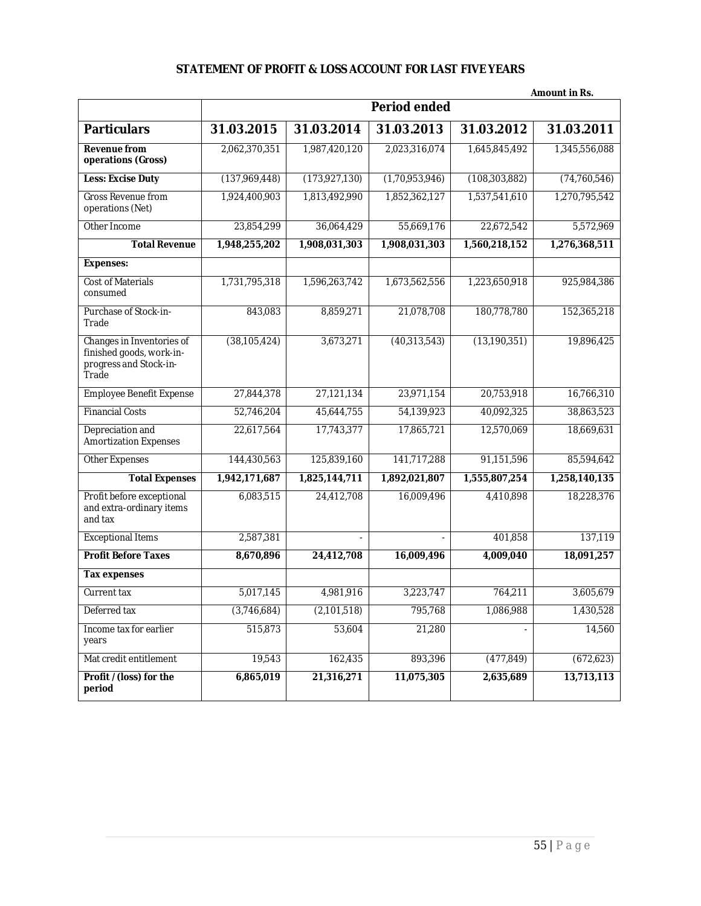# **STATEMENT OF PROFIT & LOSS ACCOUNT FOR LAST FIVE YEARS**

|                                                                                          | Amount in Rs.       |                |                |                 |                |  |
|------------------------------------------------------------------------------------------|---------------------|----------------|----------------|-----------------|----------------|--|
|                                                                                          | <b>Period ended</b> |                |                |                 |                |  |
| <b>Particulars</b>                                                                       | 31.03.2015          | 31.03.2014     | 31.03.2013     | 31.03.2012      | 31.03.2011     |  |
| <b>Revenue from</b><br>operations (Gross)                                                | 2,062,370,351       | 1,987,420,120  | 2,023,316,074  | 1,645,845,492   | 1,345,556,088  |  |
| <b>Less: Excise Duty</b>                                                                 | (137,969,448)       | (173,927,130)  | (1,70,953,946) | (108, 303, 882) | (74, 760, 546) |  |
| <b>Gross Revenue from</b><br>operations (Net)                                            | 1,924,400,903       | 1,813,492,990  | 1,852,362,127  | 1,537,541,610   | 1,270,795,542  |  |
| Other Income                                                                             | 23,854,299          | 36,064,429     | 55,669,176     | 22,672,542      | 5,572,969      |  |
| <b>Total Revenue</b>                                                                     | 1,948,255,202       | 1,908,031,303  | 1,908,031,303  | 1,560,218,152   | 1,276,368,511  |  |
| <b>Expenses:</b>                                                                         |                     |                |                |                 |                |  |
| <b>Cost of Materials</b><br>consumed                                                     | 1,731,795,318       | 1,596,263,742  | 1,673,562,556  | 1,223,650,918   | 925,984,386    |  |
| Purchase of Stock-in-<br>Trade                                                           | 843,083             | 8,859,271      | 21,078,708     | 180,778,780     | 152,365,218    |  |
| Changes in Inventories of<br>finished goods, work-in-<br>progress and Stock-in-<br>Trade | (38, 105, 424)      | 3,673,271      | (40, 313, 543) | (13, 190, 351)  | 19,896,425     |  |
| <b>Employee Benefit Expense</b>                                                          | 27,844,378          | 27,121,134     | 23,971,154     | 20,753,918      | 16,766,310     |  |
| <b>Financial Costs</b>                                                                   | 52,746,204          | 45,644,755     | 54,139,923     | 40,092,325      | 38,863,523     |  |
| Depreciation and<br>Amortization Expenses                                                | 22,617,564          | 17,743,377     | 17,865,721     | 12,570,069      | 18,669,631     |  |
| Other Expenses                                                                           | 144,430,563         | 125,839,160    | 141,717,288    | 91,151,596      | 85,594,642     |  |
| <b>Total Expenses</b>                                                                    | 1,942,171,687       | 1,825,144,711  | 1,892,021,807  | 1,555,807,254   | 1,258,140,135  |  |
| Profit before exceptional<br>and extra-ordinary items<br>and tax                         | 6,083,515           | 24,412,708     | 16,009,496     | 4,410,898       | 18,228,376     |  |
| <b>Exceptional Items</b>                                                                 | 2,587,381           | $\overline{a}$ | $\frac{1}{2}$  | 401,858         | 137,119        |  |
| <b>Profit Before Taxes</b>                                                               | 8,670,896           | 24,412,708     | 16,009,496     | 4,009,040       | 18,091,257     |  |
| <b>Tax expenses</b>                                                                      |                     |                |                |                 |                |  |
| Current tax                                                                              | 5,017,145           | 4,981,916      | 3,223,747      | 764,211         | 3,605,679      |  |
| Deferred tax                                                                             | (3,746,684)         | (2,101,518)    | 795,768        | 1,086,988       | 1,430,528      |  |
| Income tax for earlier<br>years                                                          | 515,873             | 53,604         | 21,280         |                 | 14,560         |  |
| Mat credit entitlement                                                                   | 19,543              | 162,435        | 893,396        | (477, 849)      | (672, 623)     |  |
| Profit /(loss) for the<br>period                                                         | 6,865,019           | 21,316,271     | 11,075,305     | 2,635,689       | 13,713,113     |  |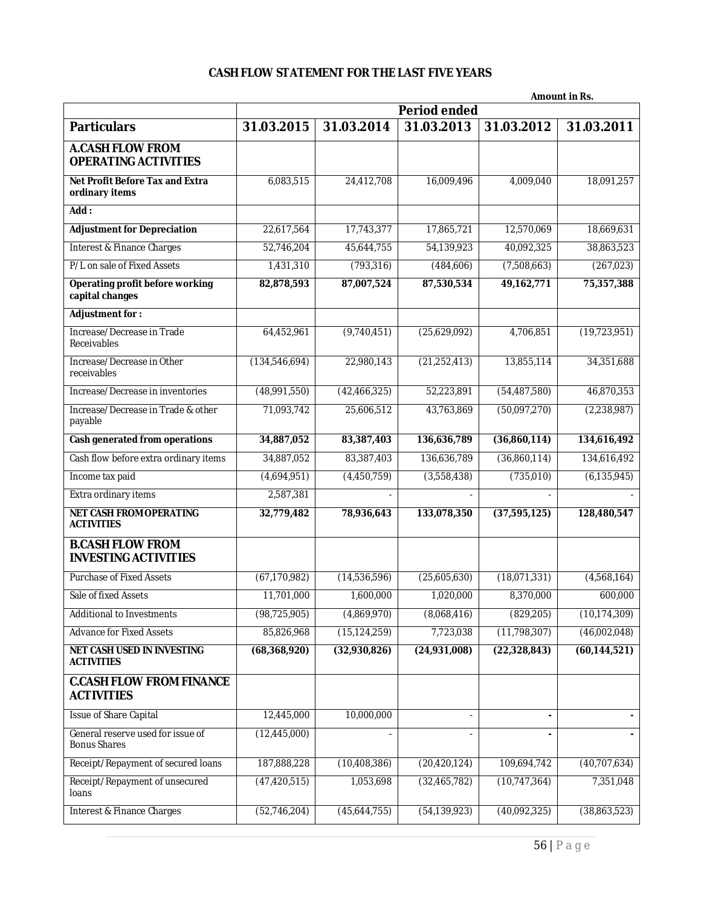# **CASH FLOW STATEMENT FOR THE LAST FIVE YEARS**

|                                                           | Amount in Rs.       |                |                |                |                |  |
|-----------------------------------------------------------|---------------------|----------------|----------------|----------------|----------------|--|
|                                                           | <b>Period ended</b> |                |                |                |                |  |
| <b>Particulars</b>                                        | 31.03.2015          | 31.03.2014     | 31.03.2013     | 31.03.2012     | 31.03.2011     |  |
| <b>A.CASH FLOW FROM</b><br><b>OPERATING ACTIVITIES</b>    |                     |                |                |                |                |  |
| Net Profit Before Tax and Extra<br>ordinary items         | 6,083,515           | 24,412,708     | 16,009,496     | 4,009,040      | 18,091,257     |  |
| Add:                                                      |                     |                |                |                |                |  |
| <b>Adjustment for Depreciation</b>                        | 22,617,564          | 17,743,377     | 17,865,721     | 12,570,069     | 18,669,631     |  |
| <b>Interest &amp; Finance Charges</b>                     | 52,746,204          | 45,644,755     | 54,139,923     | 40,092,325     | 38,863,523     |  |
| P/L on sale of Fixed Assets                               | 1,431,310           | (793, 316)     | (484, 606)     | (7,508,663)    | (267,023)      |  |
| <b>Operating profit before working</b><br>capital changes | 82,878,593          | 87,007,524     | 87,530,534     | 49,162,771     | 75,357,388     |  |
| <b>Adjustment for:</b>                                    |                     |                |                |                |                |  |
| Increase/Decrease in Trade<br>Receivables                 | 64,452,961          | (9,740,451)    | (25,629,092)   | 4,706,851      | (19, 723, 951) |  |
| Increase/Decrease in Other<br>receivables                 | (134, 546, 694)     | 22,980,143     | (21, 252, 413) | 13,855,114     | 34,351,688     |  |
| Increase/Decrease in inventories                          | (48,991,550)        | (42, 466, 325) | 52,223,891     | (54, 487, 580) | 46,870,353     |  |
| Increase/Decrease in Trade & other<br>payable             | 71,093,742          | 25,606,512     | 43,763,869     | (50,097,270)   | (2, 238, 987)  |  |
| Cash generated from operations                            | 34,887,052          | 83,387,403     | 136,636,789    | (36,860,114)   | 134,616,492    |  |
| Cash flow before extra ordinary items                     | 34,887,052          | 83,387,403     | 136,636,789    | (36,860,114)   | 134,616,492    |  |
| Income tax paid                                           | (4,694,951)         | (4,450,759)    | (3,558,438)    | (735,010)      | (6, 135, 945)  |  |
| Extra ordinary items                                      | 2,587,381           |                |                |                |                |  |
| <b>NET CASH FROM OPERATING</b><br><b>ACTIVITIES</b>       | 32,779,482          | 78,936,643     | 133,078,350    | (37, 595, 125) | 128,480,547    |  |
| <b>B.CASH FLOW FROM</b><br><b>INVESTING ACTIVITIES</b>    |                     |                |                |                |                |  |
| Purchase of Fixed Assets                                  | (67, 170, 982)      | (14,536,596)   | (25,605,630)   | (18,071,331)   | (4,568,164)    |  |
| Sale of fixed Assets                                      | 11,701,000          | 1,600,000      | 1,020,000      | 8,370,000      | 600,000        |  |
| Additional to Investments                                 | (98, 725, 905)      | (4,869,970)    | (8,068,416)    | (829, 205)     | (10, 174, 309) |  |
| <b>Advance for Fixed Assets</b>                           | 85,826,968          | (15, 124, 259) | 7,723,038      | (11, 798, 307) | (46,002,048)   |  |
| <b>NET CASH USED IN INVESTING</b><br><b>ACTIVITIES</b>    | (68, 368, 920)      | (32,930,826)   | (24,931,008)   | (22, 328, 843) | (60, 144, 521) |  |
| <b>C.CASH FLOW FROM FINANCE</b><br><b>ACTIVITIES</b>      |                     |                |                |                |                |  |
| <b>Issue of Share Capital</b>                             | 12,445,000          | 10,000,000     | $\blacksquare$ |                |                |  |
| General reserve used for issue of<br><b>Bonus Shares</b>  | (12, 445, 000)      |                |                |                |                |  |
| Receipt/Repayment of secured loans                        | 187,888,228         | (10, 408, 386) | (20, 420, 124) | 109,694,742    | (40,707,634)   |  |
| Receipt/Repayment of unsecured<br>loans                   | (47, 420, 515)      | 1,053,698      | (32, 465, 782) | (10, 747, 364) | 7,351,048      |  |
| <b>Interest &amp; Finance Charges</b>                     | (52, 746, 204)      | (45,644,755)   | (54, 139, 923) | (40,092,325)   | (38,863,523)   |  |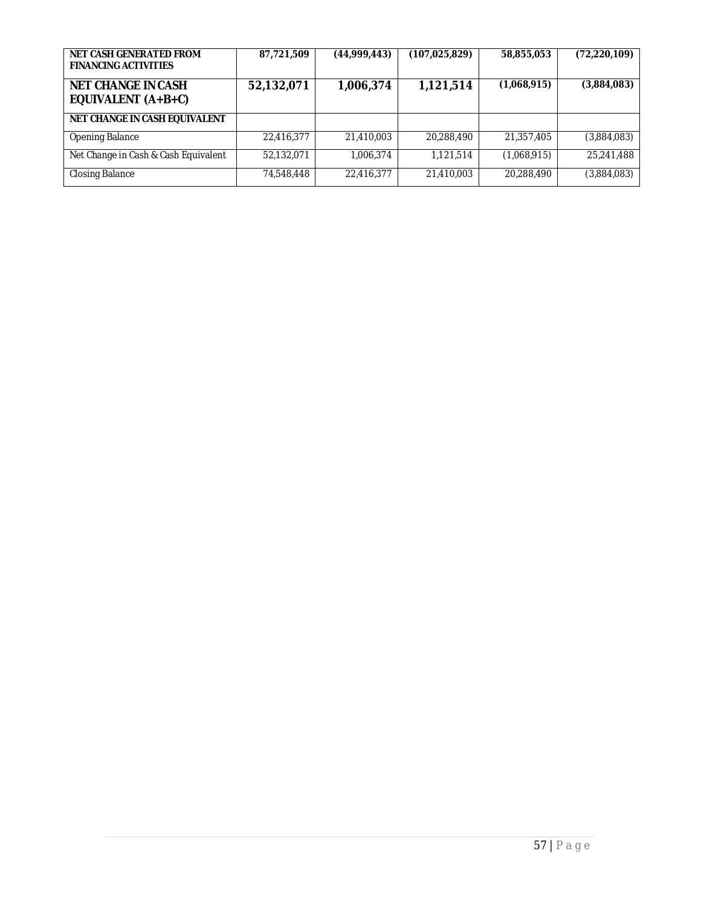| NET CASH GENERATED FROM<br><b>FINANCING ACTIVITIES</b> | 87,721,509 | (44,999,443) | (107, 025, 829) | 58,855,053  | (72, 220, 109) |
|--------------------------------------------------------|------------|--------------|-----------------|-------------|----------------|
| <b>NET CHANGE IN CASH</b><br>EQUIVALENT (A+B+C)        | 52,132,071 | 1,006,374    | 1,121,514       | (1,068,915) | (3,884,083)    |
| NET CHANGE IN CASH EQUIVALENT                          |            |              |                 |             |                |
| <b>Opening Balance</b>                                 | 22,416,377 | 21,410,003   | 20,288,490      | 21,357,405  | (3,884,083)    |
| Net Change in Cash & Cash Equivalent                   | 52,132,071 | 1,006,374    | 1,121,514       | (1,068,915) | 25,241,488     |
| Closing Balance                                        | 74,548,448 | 22,416,377   | 21,410,003      | 20,288,490  | (3,884,083)    |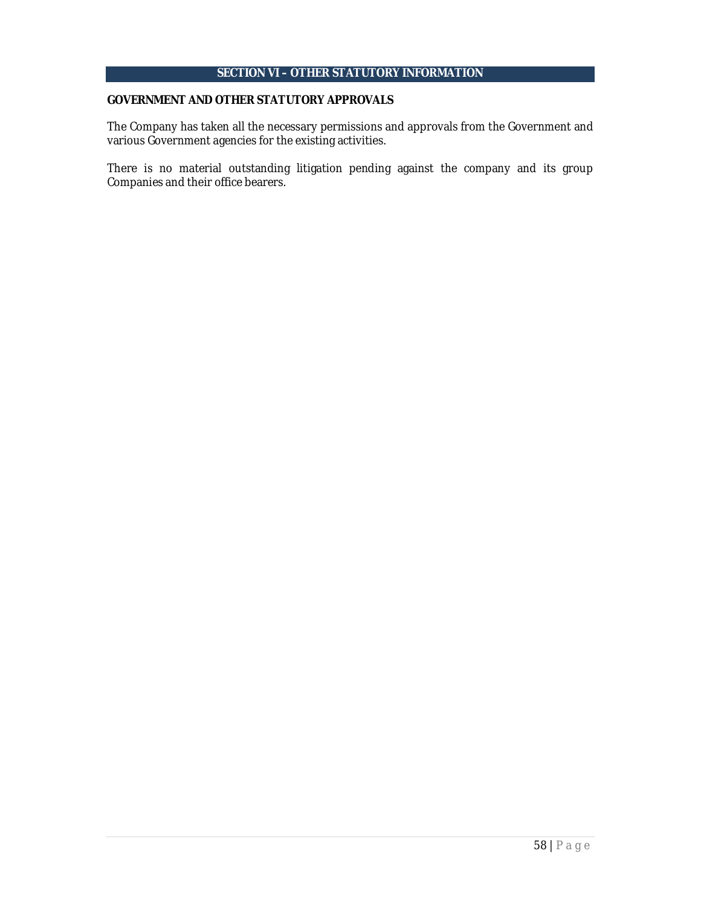# **SECTION VI – OTHER STATUTORY INFORMATION**

#### **GOVERNMENT AND OTHER STATUTORY APPROVALS**

The Company has taken all the necessary permissions and approvals from the Government and various Government agencies for the existing activities.

There is no material outstanding litigation pending against the company and its group Companies and their office bearers.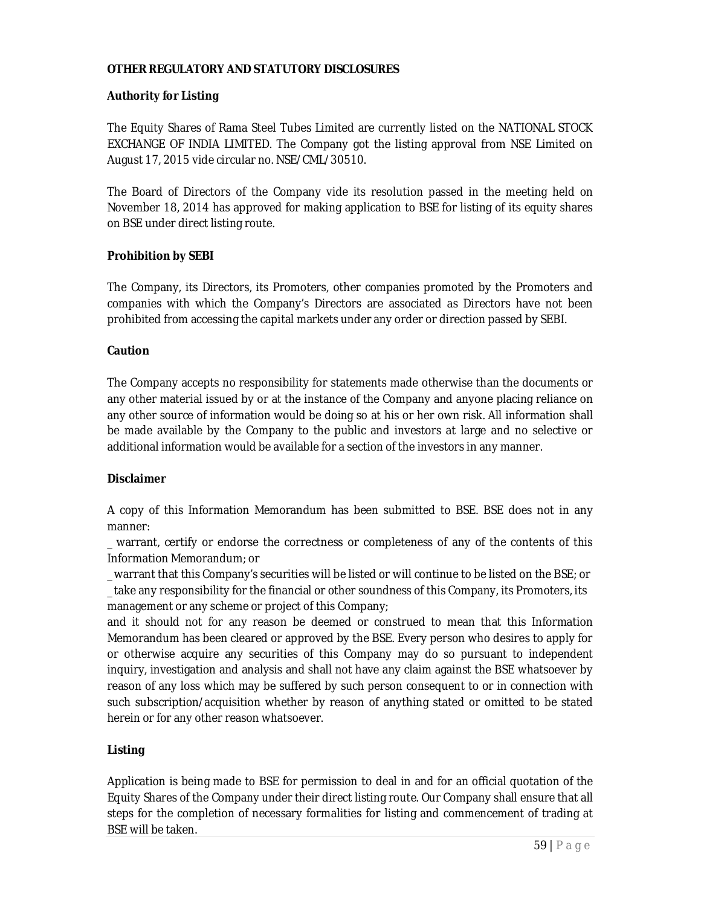## **OTHER REGULATORY AND STATUTORY DISCLOSURES**

### **Authority for Listing**

The Equity Shares of Rama Steel Tubes Limited are currently listed on the NATIONAL STOCK EXCHANGE OF INDIA LIMITED. The Company got the listing approval from NSE Limited on August 17, 2015 vide circular no. NSE/CML/30510.

The Board of Directors of the Company vide its resolution passed in the meeting held on November 18, 2014 has approved for making application to BSE for listing of its equity shares on BSE under direct listing route.

### **Prohibition by SEBI**

The Company, its Directors, its Promoters, other companies promoted by the Promoters and companies with which the Company's Directors are associated as Directors have not been prohibited from accessing the capital markets under any order or direction passed by SEBI.

### **Caution**

The Company accepts no responsibility for statements made otherwise than the documents or any other material issued by or at the instance of the Company and anyone placing reliance on any other source of information would be doing so at his or her own risk. All information shall be made available by the Company to the public and investors at large and no selective or additional information would be available for a section of the investors in any manner.

### **Disclaimer**

A copy of this Information Memorandum has been submitted to BSE. BSE does not in any manner:

\_ warrant, certify or endorse the correctness or completeness of any of the contents of this Information Memorandum; or

\_ warrant that this Company's securities will be listed or will continue to be listed on the BSE; or

\_ take any responsibility for the financial or other soundness of this Company, its Promoters, its management or any scheme or project of this Company;

and it should not for any reason be deemed or construed to mean that this Information Memorandum has been cleared or approved by the BSE. Every person who desires to apply for or otherwise acquire any securities of this Company may do so pursuant to independent inquiry, investigation and analysis and shall not have any claim against the BSE whatsoever by reason of any loss which may be suffered by such person consequent to or in connection with such subscription/acquisition whether by reason of anything stated or omitted to be stated herein or for any other reason whatsoever.

### **Listing**

Application is being made to BSE for permission to deal in and for an official quotation of the Equity Shares of the Company under their direct listing route. Our Company shall ensure that all steps for the completion of necessary formalities for listing and commencement of trading at BSE will be taken.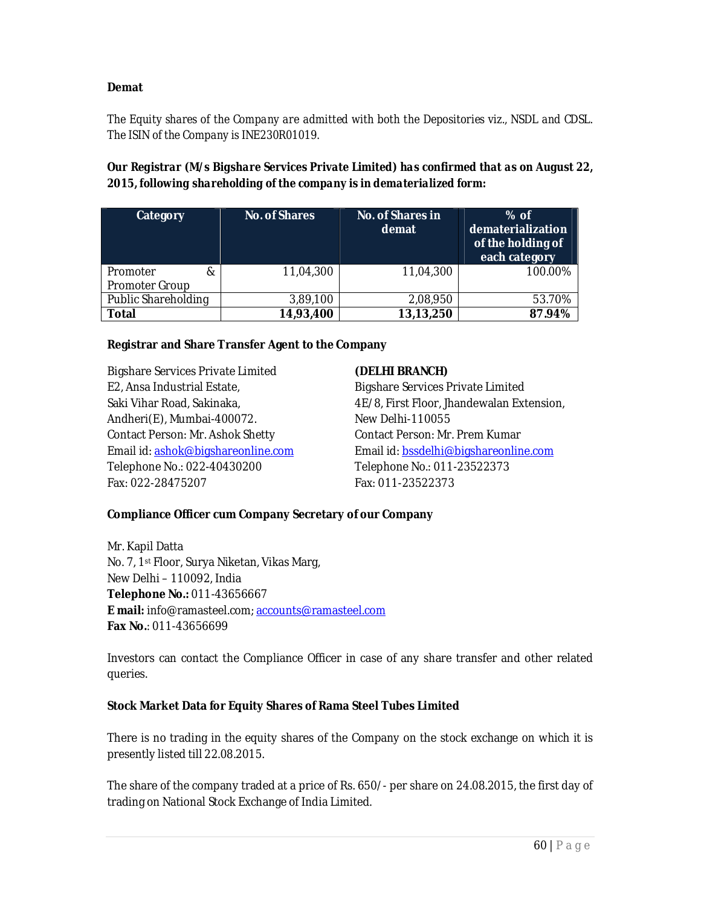## **Demat**

*The Equity shares of the Company are admitted with both the Depositories viz., NSDL and CDSL. The ISIN of the Company is INE230R01019.*

*Our Registrar (M/s Bigshare Services Private Limited) has confirmed that as on August 22, 2015, following shareholding of the company is in dematerialized form:*

| Category                        | <b>No. of Shares</b> | No. of Shares in<br>demat | $%$ of<br>dematerialization<br>of the holding of<br>each category |
|---------------------------------|----------------------|---------------------------|-------------------------------------------------------------------|
| Promoter<br>&<br>Promoter Group | 11,04,300            | 11,04,300                 | 100.00%                                                           |
| Public Shareholding             | 3,89,100             | 2,08,950                  | 53.70%                                                            |
| <b>Total</b>                    | 14,93,400            | 13,13,250                 | 87.94%                                                            |

### **Registrar and Share Transfer Agent to the Company**

Bigshare Services Private Limited E2, Ansa Industrial Estate, Saki Vihar Road, Sakinaka, Andheri(E), Mumbai-400072. Contact Person: Mr. Ashok Shetty Email id: ashok@bigshareonline.com Telephone No.: 022-40430200 Fax: 022-28475207

#### **(DELHI BRANCH)**

Bigshare Services Private Limited 4E/8, First Floor, Jhandewalan Extension, New Delhi-110055 Contact Person: Mr. Prem Kumar Email id: bssdelhi@bigshareonline.com Telephone No.: 011-23522373 Fax: 011-23522373

#### **Compliance Officer cum Company Secretary of our Company**

Mr. Kapil Datta No. 7, 1st Floor, Surya Niketan, Vikas Marg, New Delhi – 110092, India **Telephone No.:** 011-43656667 **E mail:** info@ramasteel.com; accounts@ramasteel.com **Fax No.**: 011-43656699

Investors can contact the Compliance Officer in case of any share transfer and other related queries.

#### **Stock Market Data for Equity Shares of Rama Steel Tubes Limited**

There is no trading in the equity shares of the Company on the stock exchange on which it is presently listed till 22.08.2015.

The share of the company traded at a price of Rs. 650/- per share on 24.08.2015, the first day of trading on National Stock Exchange of India Limited.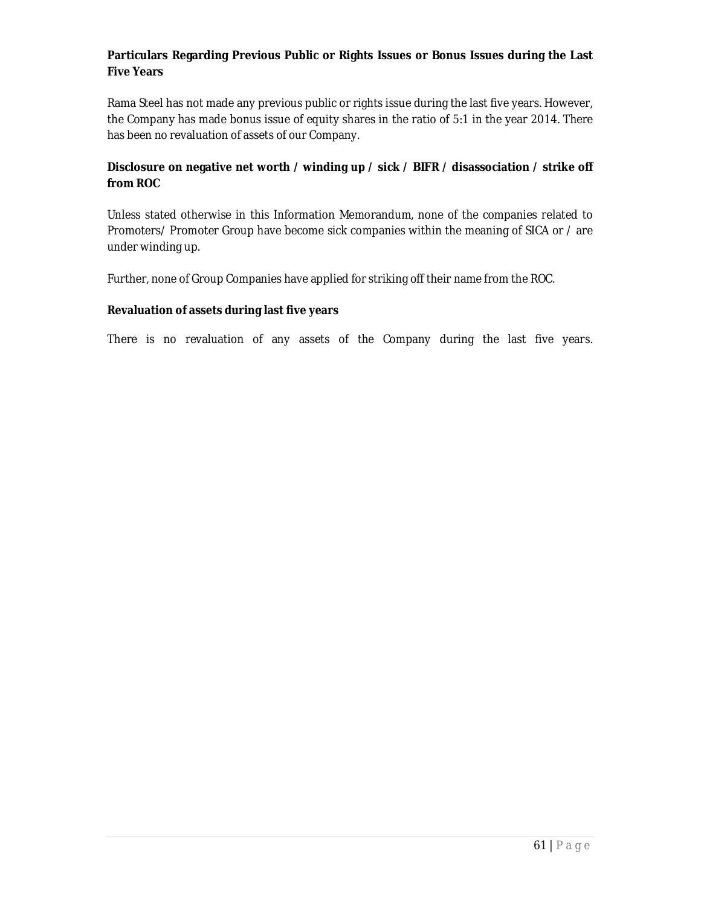### **Particulars Regarding Previous Public or Rights Issues or Bonus Issues during the Last Five Years**

Rama Steel has not made any previous public or rights issue during the last five years. However, the Company has made bonus issue of equity shares in the ratio of 5:1 in the year 2014. There has been no revaluation of assets of our Company.

## **Disclosure on negative net worth / winding up / sick / BIFR / disassociation / strike off from ROC**

Unless stated otherwise in this Information Memorandum, none of the companies related to Promoters/ Promoter Group have become sick companies within the meaning of SICA or / are under winding up.

Further, none of Group Companies have applied for striking off their name from the ROC.

### **Revaluation of assets during last five years**

There is no revaluation of any assets of the Company during the last five years.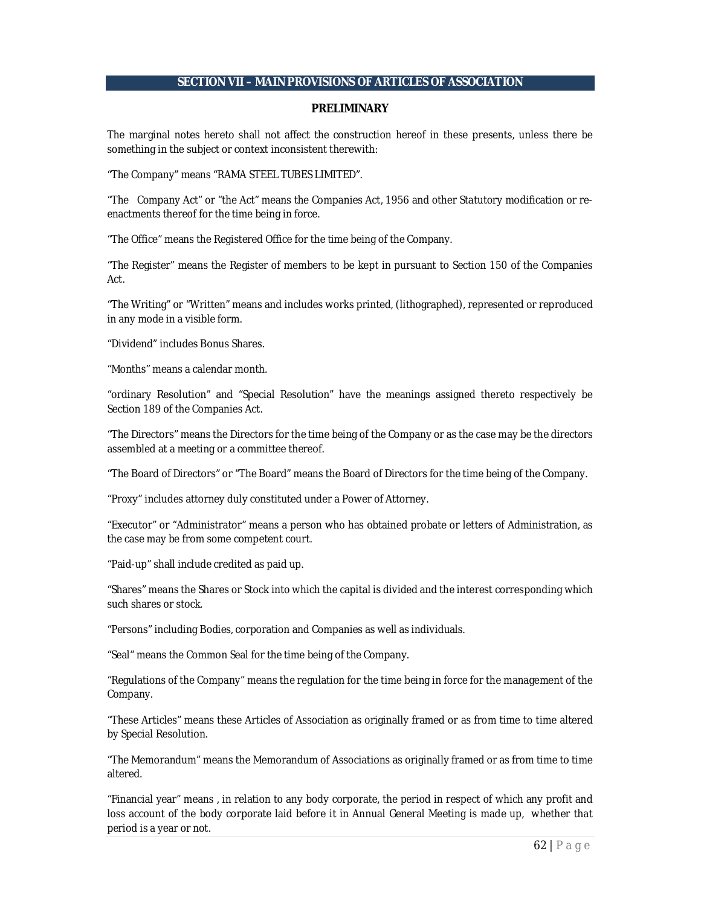#### **SECTION VII – MAIN PROVISIONS OF ARTICLES OF ASSOCIATION**

#### **PRELIMINARY**

The marginal notes hereto shall not affect the construction hereof in these presents, unless there be something in the subject or context inconsistent therewith:

"The Company" means "RAMA STEEL TUBES LIMITED".

"The Company Act" or "the Act" means the Companies Act, 1956 and other Statutory modification or reenactments thereof for the time being in force.

"The Office" means the Registered Office for the time being of the Company.

"The Register" means the Register of members to be kept in pursuant to Section 150 of the Companies Act.

"The Writing" or "Written" means and includes works printed, (lithographed), represented or reproduced in any mode in a visible form.

"Dividend" includes Bonus Shares.

"Months" means a calendar month.

"ordinary Resolution" and "Special Resolution" have the meanings assigned thereto respectively be Section 189 of the Companies Act.

"The Directors" means the Directors for the time being of the Company or as the case may be the directors assembled at a meeting or a committee thereof.

"The Board of Directors" or "The Board" means the Board of Directors for the time being of the Company.

"Proxy" includes attorney duly constituted under a Power of Attorney.

"Executor" or "Administrator" means a person who has obtained probate or letters of Administration, as the case may be from some competent court.

"Paid-up" shall include credited as paid up.

"Shares" means the Shares or Stock into which the capital is divided and the interest corresponding which such shares or stock.

"Persons" including Bodies, corporation and Companies as well as individuals.

"Seal" means the Common Seal for the time being of the Company.

"Regulations of the Company" means the regulation for the time being in force for the management of the Company.

"These Articles" means these Articles of Association as originally framed or as from time to time altered by Special Resolution.

"The Memorandum" means the Memorandum of Associations as originally framed or as from time to time altered.

"Financial year" means , in relation to any body corporate, the period in respect of which any profit and loss account of the body corporate laid before it in Annual General Meeting is made up, whether that period is a year or not.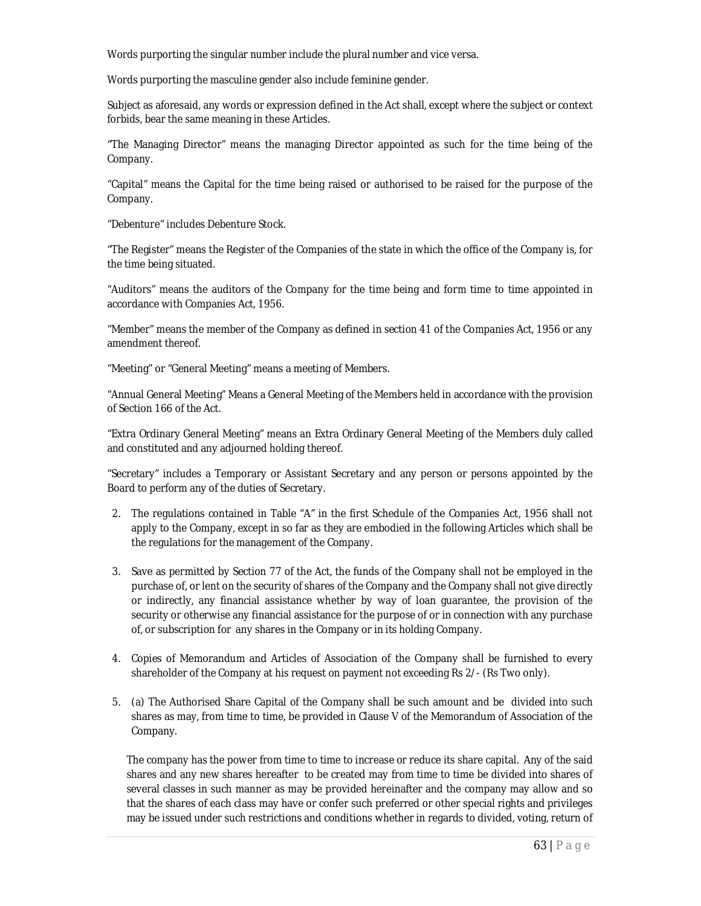Words purporting the singular number include the plural number and vice versa.

Words purporting the masculine gender also include feminine gender.

Subject as aforesaid, any words or expression defined in the Act shall, except where the subject or context forbids, bear the same meaning in these Articles.

"The Managing Director" means the managing Director appointed as such for the time being of the Company.

"Capital" means the Capital for the time being raised or authorised to be raised for the purpose of the Company.

"Debenture" includes Debenture Stock.

"The Register" means the Register of the Companies of the state in which the office of the Company is, for the time being situated.

"Auditors" means the auditors of the Company for the time being and form time to time appointed in accordance with Companies Act, 1956.

"Member" means the member of the Company as defined in section 41 of the Companies Act, 1956 or any amendment thereof.

"Meeting" or "General Meeting" means a meeting of Members.

"Annual General Meeting" Means a General Meeting of the Members held in accordance with the provision of Section 166 of the Act.

"Extra Ordinary General Meeting" means an Extra Ordinary General Meeting of the Members duly called and constituted and any adjourned holding thereof.

"Secretary" includes a Temporary or Assistant Secretary and any person or persons appointed by the Board to perform any of the duties of Secretary.

- 2. The regulations contained in Table "A" in the first Schedule of the Companies Act, 1956 shall not apply to the Company, except in so far as they are embodied in the following Articles which shall be the regulations for the management of the Company.
- 3. Save as permitted by Section 77 of the Act, the funds of the Company shall not be employed in the purchase of, or lent on the security of shares of the Company and the Company shall not give directly or indirectly, any financial assistance whether by way of loan guarantee, the provision of the security or otherwise any financial assistance for the purpose of or in connection with any purchase of, or subscription for any shares in the Company or in its holding Company.
- 4. Copies of Memorandum and Articles of Association of the Company shall be furnished to every shareholder of the Company at his request on payment not exceeding Rs 2/- (Rs Two only).
- 5. (a) The Authorised Share Capital of the Company shall be such amount and be divided into such shares as may, from time to time, be provided in Clause V of the Memorandum of Association of the Company.

The company has the power from time to time to increase or reduce its share capital. Any of the said shares and any new shares hereafter to be created may from time to time be divided into shares of several classes in such manner as may be provided hereinafter and the company may allow and so that the shares of each class may have or confer such preferred or other special rights and privileges may be issued under such restrictions and conditions whether in regards to divided, voting, return of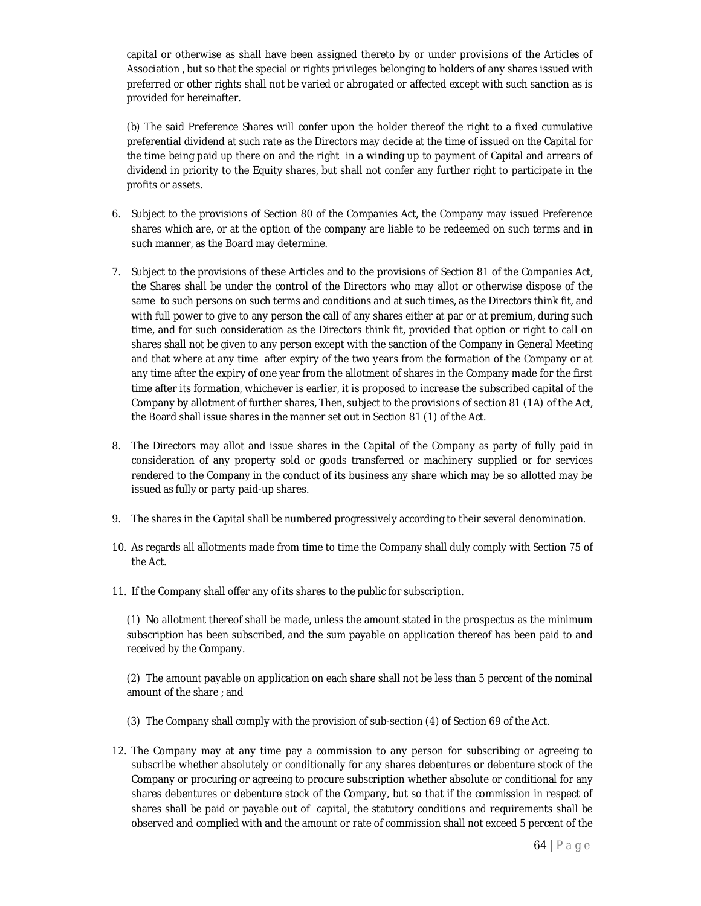capital or otherwise as shall have been assigned thereto by or under provisions of the Articles of Association , but so that the special or rights privileges belonging to holders of any shares issued with preferred or other rights shall not be varied or abrogated or affected except with such sanction as is provided for hereinafter.

(b) The said Preference Shares will confer upon the holder thereof the right to a fixed cumulative preferential dividend at such rate as the Directors may decide at the time of issued on the Capital for the time being paid up there on and the right in a winding up to payment of Capital and arrears of dividend in priority to the Equity shares, but shall not confer any further right to participate in the profits or assets.

- 6. Subject to the provisions of Section 80 of the Companies Act, the Company may issued Preference shares which are, or at the option of the company are liable to be redeemed on such terms and in such manner, as the Board may determine.
- 7. Subject to the provisions of these Articles and to the provisions of Section 81 of the Companies Act, the Shares shall be under the control of the Directors who may allot or otherwise dispose of the same to such persons on such terms and conditions and at such times, as the Directors think fit, and with full power to give to any person the call of any shares either at par or at premium, during such time, and for such consideration as the Directors think fit, provided that option or right to call on shares shall not be given to any person except with the sanction of the Company in General Meeting and that where at any time after expiry of the two years from the formation of the Company or at any time after the expiry of one year from the allotment of shares in the Company made for the first time after its formation, whichever is earlier, it is proposed to increase the subscribed capital of the Company by allotment of further shares, Then, subject to the provisions of section 81 (1A) of the Act, the Board shall issue shares in the manner set out in Section 81 (1) of the Act.
- 8. The Directors may allot and issue shares in the Capital of the Company as party of fully paid in consideration of any property sold or goods transferred or machinery supplied or for services rendered to the Company in the conduct of its business any share which may be so allotted may be issued as fully or party paid-up shares.
- 9. The shares in the Capital shall be numbered progressively according to their several denomination.
- 10. As regards all allotments made from time to time the Company shall duly comply with Section 75 of the Act.
- 11. If the Company shall offer any of its shares to the public for subscription.

(1) No allotment thereof shall be made, unless the amount stated in the prospectus as the minimum subscription has been subscribed, and the sum payable on application thereof has been paid to and received by the Company.

(2) The amount payable on application on each share shall not be less than 5 percent of the nominal amount of the share ; and

- (3) The Company shall comply with the provision of sub-section (4) of Section 69 of the Act.
- 12. The Company may at any time pay a commission to any person for subscribing or agreeing to subscribe whether absolutely or conditionally for any shares debentures or debenture stock of the Company or procuring or agreeing to procure subscription whether absolute or conditional for any shares debentures or debenture stock of the Company, but so that if the commission in respect of shares shall be paid or payable out of capital, the statutory conditions and requirements shall be observed and complied with and the amount or rate of commission shall not exceed 5 percent of the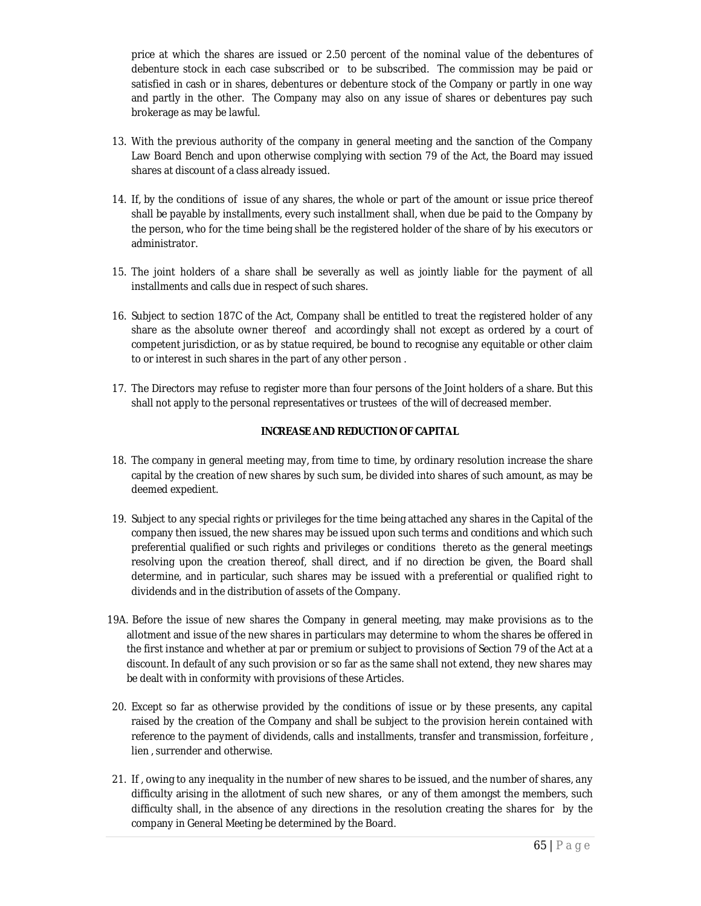price at which the shares are issued or 2.50 percent of the nominal value of the debentures of debenture stock in each case subscribed or to be subscribed. The commission may be paid or satisfied in cash or in shares, debentures or debenture stock of the Company or partly in one way and partly in the other. The Company may also on any issue of shares or debentures pay such brokerage as may be lawful.

- 13. With the previous authority of the company in general meeting and the sanction of the Company Law Board Bench and upon otherwise complying with section 79 of the Act, the Board may issued shares at discount of a class already issued.
- 14. If, by the conditions of issue of any shares, the whole or part of the amount or issue price thereof shall be payable by installments, every such installment shall, when due be paid to the Company by the person, who for the time being shall be the registered holder of the share of by his executors or administrator.
- 15. The joint holders of a share shall be severally as well as jointly liable for the payment of all installments and calls due in respect of such shares.
- 16. Subject to section 187C of the Act, Company shall be entitled to treat the registered holder of any share as the absolute owner thereof and accordingly shall not except as ordered by a court of competent jurisdiction, or as by statue required, be bound to recognise any equitable or other claim to or interest in such shares in the part of any other person .
- 17. The Directors may refuse to register more than four persons of the Joint holders of a share. But this shall not apply to the personal representatives or trustees of the will of decreased member.

#### **INCREASE AND REDUCTION OF CAPITAL**

- 18. The company in general meeting may, from time to time, by ordinary resolution increase the share capital by the creation of new shares by such sum, be divided into shares of such amount, as may be deemed expedient.
- 19. Subject to any special rights or privileges for the time being attached any shares in the Capital of the company then issued, the new shares may be issued upon such terms and conditions and which such preferential qualified or such rights and privileges or conditions thereto as the general meetings resolving upon the creation thereof, shall direct, and if no direction be given, the Board shall determine, and in particular, such shares may be issued with a preferential or qualified right to dividends and in the distribution of assets of the Company.
- 19A. Before the issue of new shares the Company in general meeting, may make provisions as to the allotment and issue of the new shares in particulars may determine to whom the shares be offered in the first instance and whether at par or premium or subject to provisions of Section 79 of the Act at a discount. In default of any such provision or so far as the same shall not extend, they new shares may be dealt with in conformity with provisions of these Articles.
- 20. Except so far as otherwise provided by the conditions of issue or by these presents, any capital raised by the creation of the Company and shall be subject to the provision herein contained with reference to the payment of dividends, calls and installments, transfer and transmission, forfeiture , lien , surrender and otherwise.
- 21. If , owing to any inequality in the number of new shares to be issued, and the number of shares, any difficulty arising in the allotment of such new shares, or any of them amongst the members, such difficulty shall, in the absence of any directions in the resolution creating the shares for by the company in General Meeting be determined by the Board.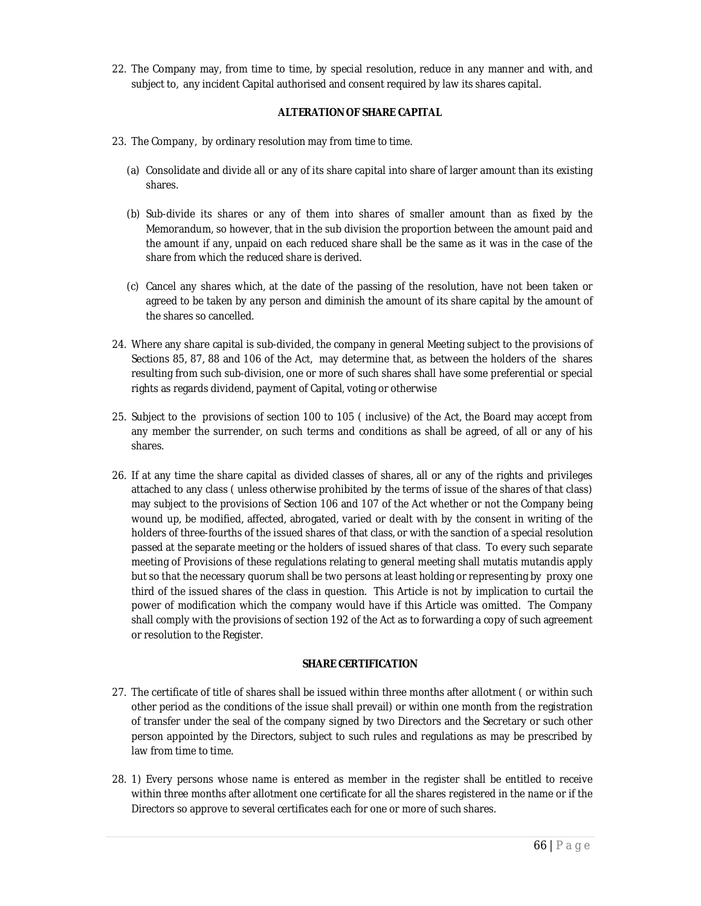22. The Company may, from time to time, by special resolution, reduce in any manner and with, and subject to, any incident Capital authorised and consent required by law its shares capital.

#### **ALTERATION OF SHARE CAPITAL**

- 23. The Company, by ordinary resolution may from time to time.
	- (a) Consolidate and divide all or any of its share capital into share of larger amount than its existing shares.
	- (b) Sub-divide its shares or any of them into shares of smaller amount than as fixed by the Memorandum, so however, that in the sub division the proportion between the amount paid and the amount if any, unpaid on each reduced share shall be the same as it was in the case of the share from which the reduced share is derived.
	- (c) Cancel any shares which, at the date of the passing of the resolution, have not been taken or agreed to be taken by any person and diminish the amount of its share capital by the amount of the shares so cancelled.
- 24. Where any share capital is sub-divided, the company in general Meeting subject to the provisions of Sections 85, 87, 88 and 106 of the Act, may determine that, as between the holders of the shares resulting from such sub-division, one or more of such shares shall have some preferential or special rights as regards dividend, payment of Capital, voting or otherwise
- 25. Subject to the provisions of section 100 to 105 ( inclusive) of the Act, the Board may accept from any member the surrender, on such terms and conditions as shall be agreed, of all or any of his shares.
- 26. If at any time the share capital as divided classes of shares, all or any of the rights and privileges attached to any class ( unless otherwise prohibited by the terms of issue of the shares of that class) may subject to the provisions of Section 106 and 107 of the Act whether or not the Company being wound up, be modified, affected, abrogated, varied or dealt with by the consent in writing of the holders of three-fourths of the issued shares of that class, or with the sanction of a special resolution passed at the separate meeting or the holders of issued shares of that class. To every such separate meeting of Provisions of these regulations relating to general meeting shall mutatis mutandis apply but so that the necessary quorum shall be two persons at least holding or representing by proxy one third of the issued shares of the class in question. This Article is not by implication to curtail the power of modification which the company would have if this Article was omitted. The Company shall comply with the provisions of section 192 of the Act as to forwarding a copy of such agreement or resolution to the Register.

#### **SHARE CERTIFICATION**

- 27. The certificate of title of shares shall be issued within three months after allotment ( or within such other period as the conditions of the issue shall prevail) or within one month from the registration of transfer under the seal of the company signed by two Directors and the Secretary or such other person appointed by the Directors, subject to such rules and regulations as may be prescribed by law from time to time.
- 28. 1) Every persons whose name is entered as member in the register shall be entitled to receive within three months after allotment one certificate for all the shares registered in the name or if the Directors so approve to several certificates each for one or more of such shares.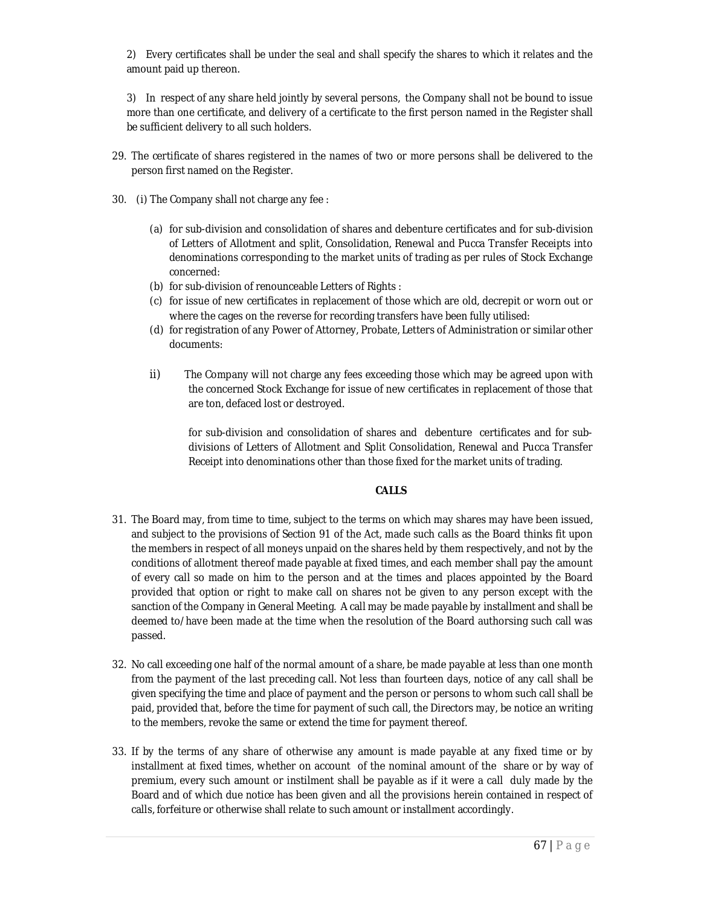2) Every certificates shall be under the seal and shall specify the shares to which it relates and the amount paid up thereon.

3) In respect of any share held jointly by several persons, the Company shall not be bound to issue more than one certificate, and delivery of a certificate to the first person named in the Register shall be sufficient delivery to all such holders.

- 29. The certificate of shares registered in the names of two or more persons shall be delivered to the person first named on the Register.
- 30. (i) The Company shall not charge any fee :
	- (a) for sub-division and consolidation of shares and debenture certificates and for sub-division of Letters of Allotment and split, Consolidation, Renewal and Pucca Transfer Receipts into denominations corresponding to the market units of trading as per rules of Stock Exchange concerned:
	- (b) for sub-division of renounceable Letters of Rights :
	- (c) for issue of new certificates in replacement of those which are old, decrepit or worn out or where the cages on the reverse for recording transfers have been fully utilised:
	- (d) for registration of any Power of Attorney, Probate, Letters of Administration or similar other documents:
	- ii) The Company will not charge any fees exceeding those which may be agreed upon with the concerned Stock Exchange for issue of new certificates in replacement of those that are ton, defaced lost or destroyed.

for sub-division and consolidation of shares and debenture certificates and for subdivisions of Letters of Allotment and Split Consolidation, Renewal and Pucca Transfer Receipt into denominations other than those fixed for the market units of trading.

#### **CALLS**

- 31. The Board may, from time to time, subject to the terms on which may shares may have been issued, and subject to the provisions of Section 91 of the Act, made such calls as the Board thinks fit upon the members in respect of all moneys unpaid on the shares held by them respectively, and not by the conditions of allotment thereof made payable at fixed times, and each member shall pay the amount of every call so made on him to the person and at the times and places appointed by the Board provided that option or right to make call on shares not be given to any person except with the sanction of the Company in General Meeting. A call may be made payable by installment and shall be deemed to/have been made at the time when the resolution of the Board authorsing such call was passed.
- 32. No call exceeding one half of the normal amount of a share, be made payable at less than one month from the payment of the last preceding call. Not less than fourteen days, notice of any call shall be given specifying the time and place of payment and the person or persons to whom such call shall be paid, provided that, before the time for payment of such call, the Directors may, be notice an writing to the members, revoke the same or extend the time for payment thereof.
- 33. If by the terms of any share of otherwise any amount is made payable at any fixed time or by installment at fixed times, whether on account of the nominal amount of the share or by way of premium, every such amount or instilment shall be payable as if it were a call duly made by the Board and of which due notice has been given and all the provisions herein contained in respect of calls, forfeiture or otherwise shall relate to such amount or installment accordingly.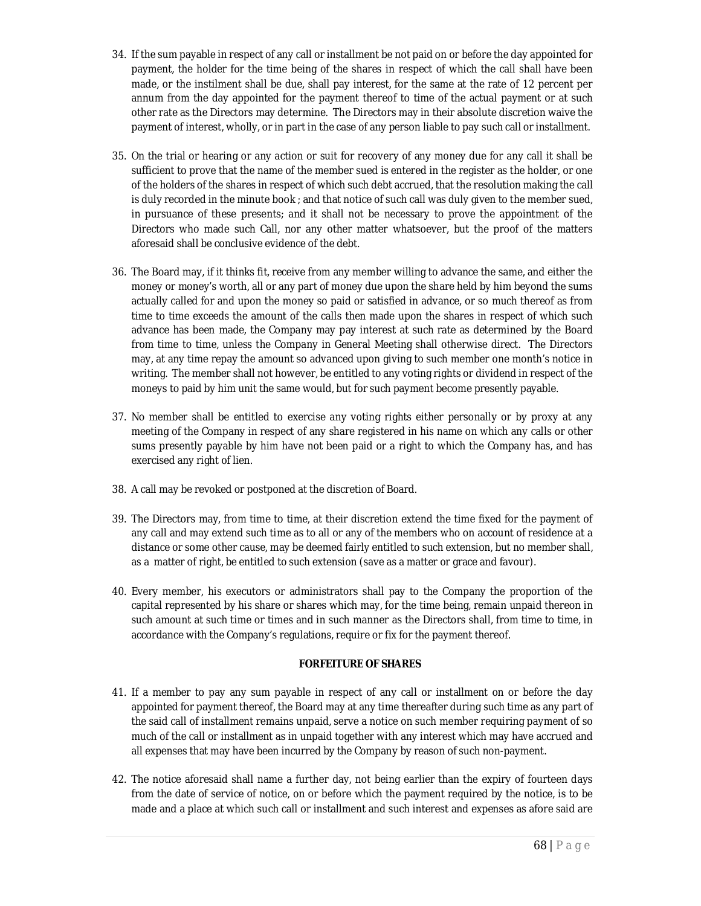- 34. If the sum payable in respect of any call or installment be not paid on or before the day appointed for payment, the holder for the time being of the shares in respect of which the call shall have been made, or the instilment shall be due, shall pay interest, for the same at the rate of 12 percent per annum from the day appointed for the payment thereof to time of the actual payment or at such other rate as the Directors may determine. The Directors may in their absolute discretion waive the payment of interest, wholly, or in part in the case of any person liable to pay such call or installment.
- 35. On the trial or hearing or any action or suit for recovery of any money due for any call it shall be sufficient to prove that the name of the member sued is entered in the register as the holder, or one of the holders of the shares in respect of which such debt accrued, that the resolution making the call is duly recorded in the minute book ; and that notice of such call was duly given to the member sued, in pursuance of these presents; and it shall not be necessary to prove the appointment of the Directors who made such Call, nor any other matter whatsoever, but the proof of the matters aforesaid shall be conclusive evidence of the debt.
- 36. The Board may, if it thinks fit, receive from any member willing to advance the same, and either the money or money's worth, all or any part of money due upon the share held by him beyond the sums actually called for and upon the money so paid or satisfied in advance, or so much thereof as from time to time exceeds the amount of the calls then made upon the shares in respect of which such advance has been made, the Company may pay interest at such rate as determined by the Board from time to time, unless the Company in General Meeting shall otherwise direct. The Directors may, at any time repay the amount so advanced upon giving to such member one month's notice in writing. The member shall not however, be entitled to any voting rights or dividend in respect of the moneys to paid by him unit the same would, but for such payment become presently payable.
- 37. No member shall be entitled to exercise any voting rights either personally or by proxy at any meeting of the Company in respect of any share registered in his name on which any calls or other sums presently payable by him have not been paid or a right to which the Company has, and has exercised any right of lien.
- 38. A call may be revoked or postponed at the discretion of Board.
- 39. The Directors may, from time to time, at their discretion extend the time fixed for the payment of any call and may extend such time as to all or any of the members who on account of residence at a distance or some other cause, may be deemed fairly entitled to such extension, but no member shall, as a matter of right, be entitled to such extension (save as a matter or grace and favour).
- 40. Every member, his executors or administrators shall pay to the Company the proportion of the capital represented by his share or shares which may, for the time being, remain unpaid thereon in such amount at such time or times and in such manner as the Directors shall, from time to time, in accordance with the Company's regulations, require or fix for the payment thereof.

### **FORFEITURE OF SHARES**

- 41. If a member to pay any sum payable in respect of any call or installment on or before the day appointed for payment thereof, the Board may at any time thereafter during such time as any part of the said call of installment remains unpaid, serve a notice on such member requiring payment of so much of the call or installment as in unpaid together with any interest which may have accrued and all expenses that may have been incurred by the Company by reason of such non-payment.
- 42. The notice aforesaid shall name a further day, not being earlier than the expiry of fourteen days from the date of service of notice, on or before which the payment required by the notice, is to be made and a place at which such call or installment and such interest and expenses as afore said are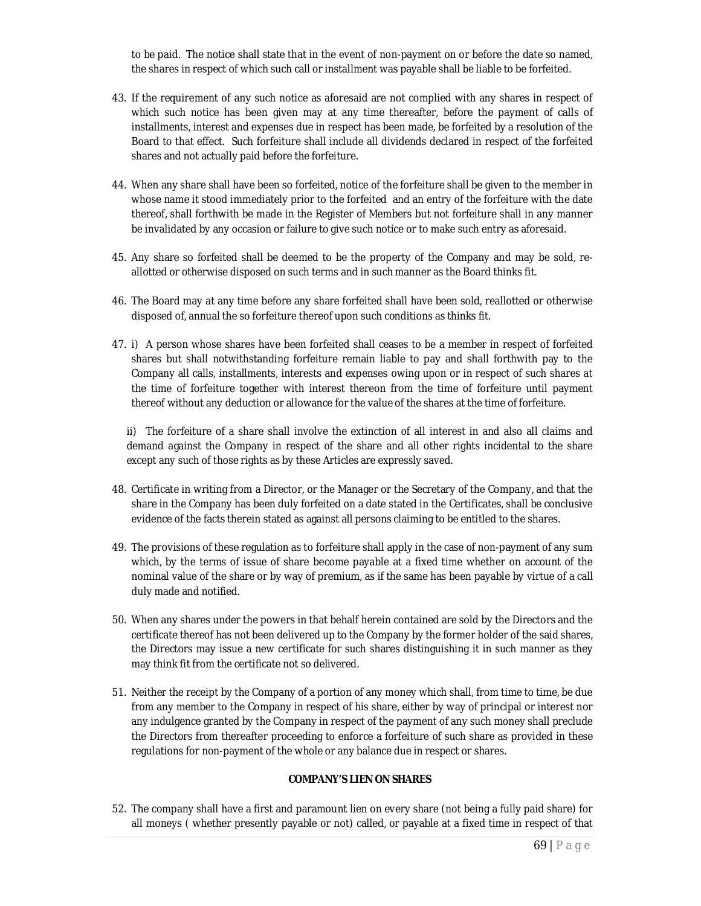to be paid. The notice shall state that in the event of non-payment on or before the date so named, the shares in respect of which such call or installment was payable shall be liable to be forfeited.

- 43. If the requirement of any such notice as aforesaid are not complied with any shares in respect of which such notice has been given may at any time thereafter, before the payment of calls of installments, interest and expenses due in respect has been made, be forfeited by a resolution of the Board to that effect. Such forfeiture shall include all dividends declared in respect of the forfeited shares and not actually paid before the forfeiture.
- 44. When any share shall have been so forfeited, notice of the forfeiture shall be given to the member in whose name it stood immediately prior to the forfeited and an entry of the forfeiture with the date thereof, shall forthwith be made in the Register of Members but not forfeiture shall in any manner be invalidated by any occasion or failure to give such notice or to make such entry as aforesaid.
- 45. Any share so forfeited shall be deemed to be the property of the Company and may be sold, reallotted or otherwise disposed on such terms and in such manner as the Board thinks fit.
- 46. The Board may at any time before any share forfeited shall have been sold, reallotted or otherwise disposed of, annual the so forfeiture thereof upon such conditions as thinks fit.
- 47. i) A person whose shares have been forfeited shall ceases to be a member in respect of forfeited shares but shall notwithstanding forfeiture remain liable to pay and shall forthwith pay to the Company all calls, installments, interests and expenses owing upon or in respect of such shares at the time of forfeiture together with interest thereon from the time of forfeiture until payment thereof without any deduction or allowance for the value of the shares at the time of forfeiture.

ii) The forfeiture of a share shall involve the extinction of all interest in and also all claims and demand against the Company in respect of the share and all other rights incidental to the share except any such of those rights as by these Articles are expressly saved.

- 48. Certificate in writing from a Director, or the Manager or the Secretary of the Company, and that the share in the Company has been duly forfeited on a date stated in the Certificates, shall be conclusive evidence of the facts therein stated as against all persons claiming to be entitled to the shares.
- 49. The provisions of these regulation as to forfeiture shall apply in the case of non-payment of any sum which, by the terms of issue of share become payable at a fixed time whether on account of the nominal value of the share or by way of premium, as if the same has been payable by virtue of a call duly made and notified.
- 50. When any shares under the powers in that behalf herein contained are sold by the Directors and the certificate thereof has not been delivered up to the Company by the former holder of the said shares, the Directors may issue a new certificate for such shares distinguishing it in such manner as they may think fit from the certificate not so delivered.
- 51. Neither the receipt by the Company of a portion of any money which shall, from time to time, be due from any member to the Company in respect of his share, either by way of principal or interest nor any indulgence granted by the Company in respect of the payment of any such money shall preclude the Directors from thereafter proceeding to enforce a forfeiture of such share as provided in these regulations for non-payment of the whole or any balance due in respect or shares.

#### **COMPANY'S LIEN ON SHARES**

52. The company shall have a first and paramount lien on every share (not being a fully paid share) for all moneys ( whether presently payable or not) called, or payable at a fixed time in respect of that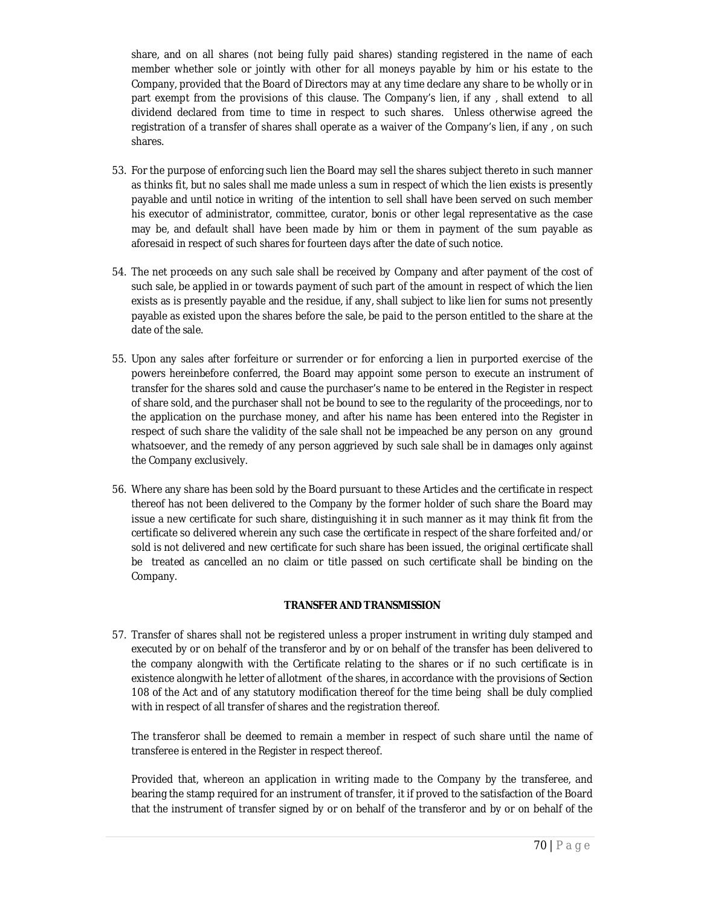share, and on all shares (not being fully paid shares) standing registered in the name of each member whether sole or jointly with other for all moneys payable by him or his estate to the Company, provided that the Board of Directors may at any time declare any share to be wholly or in part exempt from the provisions of this clause. The Company's lien, if any , shall extend to all dividend declared from time to time in respect to such shares. Unless otherwise agreed the registration of a transfer of shares shall operate as a waiver of the Company's lien, if any , on such shares.

- 53. For the purpose of enforcing such lien the Board may sell the shares subject thereto in such manner as thinks fit, but no sales shall me made unless a sum in respect of which the lien exists is presently payable and until notice in writing of the intention to sell shall have been served on such member his executor of administrator, committee, curator, bonis or other legal representative as the case may be, and default shall have been made by him or them in payment of the sum payable as aforesaid in respect of such shares for fourteen days after the date of such notice.
- 54. The net proceeds on any such sale shall be received by Company and after payment of the cost of such sale, be applied in or towards payment of such part of the amount in respect of which the lien exists as is presently payable and the residue, if any, shall subject to like lien for sums not presently payable as existed upon the shares before the sale, be paid to the person entitled to the share at the date of the sale.
- 55. Upon any sales after forfeiture or surrender or for enforcing a lien in purported exercise of the powers hereinbefore conferred, the Board may appoint some person to execute an instrument of transfer for the shares sold and cause the purchaser's name to be entered in the Register in respect of share sold, and the purchaser shall not be bound to see to the regularity of the proceedings, nor to the application on the purchase money, and after his name has been entered into the Register in respect of such share the validity of the sale shall not be impeached be any person on any ground whatsoever, and the remedy of any person aggrieved by such sale shall be in damages only against the Company exclusively.
- 56. Where any share has been sold by the Board pursuant to these Articles and the certificate in respect thereof has not been delivered to the Company by the former holder of such share the Board may issue a new certificate for such share, distinguishing it in such manner as it may think fit from the certificate so delivered wherein any such case the certificate in respect of the share forfeited and/or sold is not delivered and new certificate for such share has been issued, the original certificate shall be treated as cancelled an no claim or title passed on such certificate shall be binding on the Company.

#### **TRANSFER AND TRANSMISSION**

57. Transfer of shares shall not be registered unless a proper instrument in writing duly stamped and executed by or on behalf of the transferor and by or on behalf of the transfer has been delivered to the company alongwith with the Certificate relating to the shares or if no such certificate is in existence alongwith he letter of allotment of the shares, in accordance with the provisions of Section 108 of the Act and of any statutory modification thereof for the time being shall be duly complied with in respect of all transfer of shares and the registration thereof.

The transferor shall be deemed to remain a member in respect of such share until the name of transferee is entered in the Register in respect thereof.

Provided that, whereon an application in writing made to the Company by the transferee, and bearing the stamp required for an instrument of transfer, it if proved to the satisfaction of the Board that the instrument of transfer signed by or on behalf of the transferor and by or on behalf of the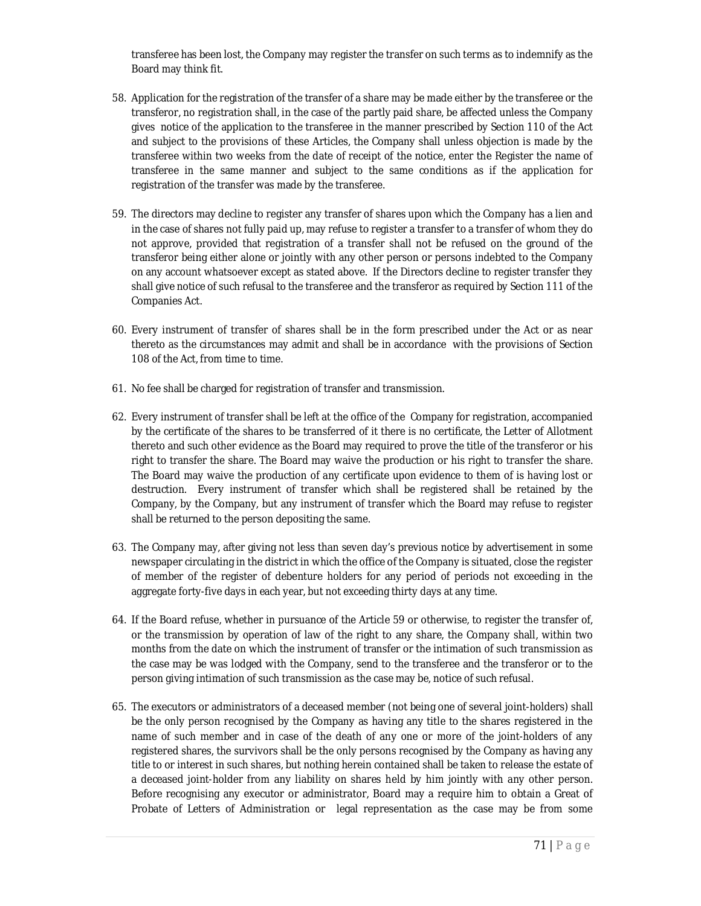transferee has been lost, the Company may register the transfer on such terms as to indemnify as the Board may think fit.

- 58. Application for the registration of the transfer of a share may be made either by the transferee or the transferor, no registration shall, in the case of the partly paid share, be affected unless the Company gives notice of the application to the transferee in the manner prescribed by Section 110 of the Act and subject to the provisions of these Articles, the Company shall unless objection is made by the transferee within two weeks from the date of receipt of the notice, enter the Register the name of transferee in the same manner and subject to the same conditions as if the application for registration of the transfer was made by the transferee.
- 59. The directors may decline to register any transfer of shares upon which the Company has a lien and in the case of shares not fully paid up, may refuse to register a transfer to a transfer of whom they do not approve, provided that registration of a transfer shall not be refused on the ground of the transferor being either alone or jointly with any other person or persons indebted to the Company on any account whatsoever except as stated above. If the Directors decline to register transfer they shall give notice of such refusal to the transferee and the transferor as required by Section 111 of the Companies Act.
- 60. Every instrument of transfer of shares shall be in the form prescribed under the Act or as near thereto as the circumstances may admit and shall be in accordance with the provisions of Section 108 of the Act, from time to time.
- 61. No fee shall be charged for registration of transfer and transmission.
- 62. Every instrument of transfer shall be left at the office of the Company for registration, accompanied by the certificate of the shares to be transferred of it there is no certificate, the Letter of Allotment thereto and such other evidence as the Board may required to prove the title of the transferor or his right to transfer the share. The Board may waive the production or his right to transfer the share. The Board may waive the production of any certificate upon evidence to them of is having lost or destruction. Every instrument of transfer which shall be registered shall be retained by the Company, by the Company, but any instrument of transfer which the Board may refuse to register shall be returned to the person depositing the same.
- 63. The Company may, after giving not less than seven day's previous notice by advertisement in some newspaper circulating in the district in which the office of the Company is situated, close the register of member of the register of debenture holders for any period of periods not exceeding in the aggregate forty-five days in each year, but not exceeding thirty days at any time.
- 64. If the Board refuse, whether in pursuance of the Article 59 or otherwise, to register the transfer of, or the transmission by operation of law of the right to any share, the Company shall, within two months from the date on which the instrument of transfer or the intimation of such transmission as the case may be was lodged with the Company, send to the transferee and the transferor or to the person giving intimation of such transmission as the case may be, notice of such refusal.
- 65. The executors or administrators of a deceased member (not being one of several joint-holders) shall be the only person recognised by the Company as having any title to the shares registered in the name of such member and in case of the death of any one or more of the joint-holders of any registered shares, the survivors shall be the only persons recognised by the Company as having any title to or interest in such shares, but nothing herein contained shall be taken to release the estate of a deceased joint-holder from any liability on shares held by him jointly with any other person. Before recognising any executor or administrator, Board may a require him to obtain a Great of Probate of Letters of Administration or legal representation as the case may be from some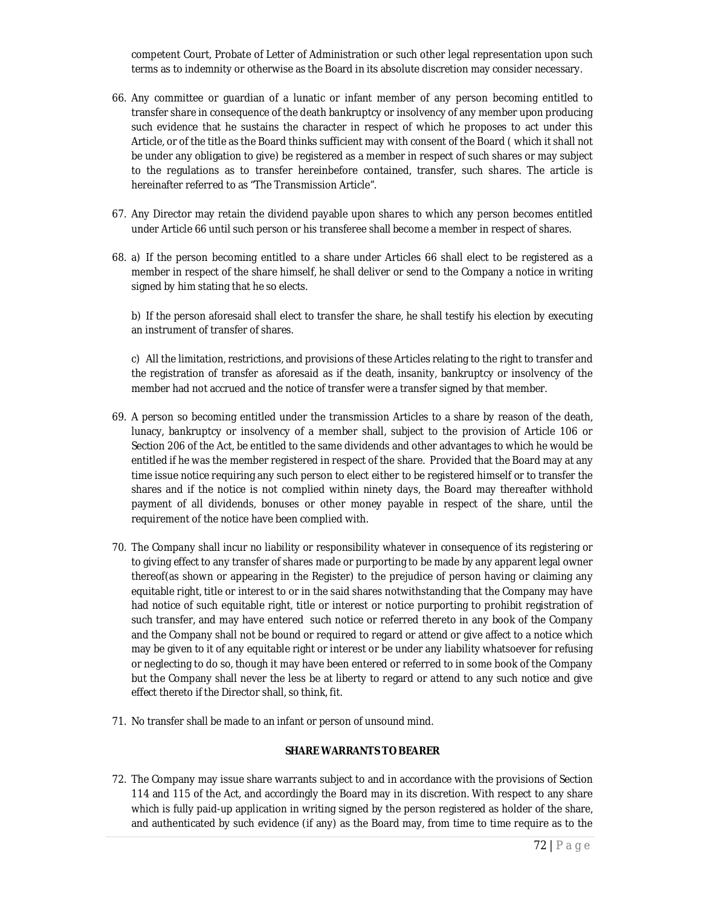competent Court, Probate of Letter of Administration or such other legal representation upon such terms as to indemnity or otherwise as the Board in its absolute discretion may consider necessary.

- 66. Any committee or guardian of a lunatic or infant member of any person becoming entitled to transfer share in consequence of the death bankruptcy or insolvency of any member upon producing such evidence that he sustains the character in respect of which he proposes to act under this Article, or of the title as the Board thinks sufficient may with consent of the Board ( which it shall not be under any obligation to give) be registered as a member in respect of such shares or may subject to the regulations as to transfer hereinbefore contained, transfer, such shares. The article is hereinafter referred to as "The Transmission Article".
- 67. Any Director may retain the dividend payable upon shares to which any person becomes entitled under Article 66 until such person or his transferee shall become a member in respect of shares.
- 68. a) If the person becoming entitled to a share under Articles 66 shall elect to be registered as a member in respect of the share himself, he shall deliver or send to the Company a notice in writing signed by him stating that he so elects.

b) If the person aforesaid shall elect to transfer the share, he shall testify his election by executing an instrument of transfer of shares.

c) All the limitation, restrictions, and provisions of these Articles relating to the right to transfer and the registration of transfer as aforesaid as if the death, insanity, bankruptcy or insolvency of the member had not accrued and the notice of transfer were a transfer signed by that member.

- 69. A person so becoming entitled under the transmission Articles to a share by reason of the death, lunacy, bankruptcy or insolvency of a member shall, subject to the provision of Article 106 or Section 206 of the Act, be entitled to the same dividends and other advantages to which he would be entitled if he was the member registered in respect of the share. Provided that the Board may at any time issue notice requiring any such person to elect either to be registered himself or to transfer the shares and if the notice is not complied within ninety days, the Board may thereafter withhold payment of all dividends, bonuses or other money payable in respect of the share, until the requirement of the notice have been complied with.
- 70. The Company shall incur no liability or responsibility whatever in consequence of its registering or to giving effect to any transfer of shares made or purporting to be made by any apparent legal owner thereof(as shown or appearing in the Register) to the prejudice of person having or claiming any equitable right, title or interest to or in the said shares notwithstanding that the Company may have had notice of such equitable right, title or interest or notice purporting to prohibit registration of such transfer, and may have entered such notice or referred thereto in any book of the Company and the Company shall not be bound or required to regard or attend or give affect to a notice which may be given to it of any equitable right or interest or be under any liability whatsoever for refusing or neglecting to do so, though it may have been entered or referred to in some book of the Company but the Company shall never the less be at liberty to regard or attend to any such notice and give effect thereto if the Director shall, so think, fit.
- 71. No transfer shall be made to an infant or person of unsound mind.

#### **SHARE WARRANTS TO BEARER**

72. The Company may issue share warrants subject to and in accordance with the provisions of Section 114 and 115 of the Act, and accordingly the Board may in its discretion. With respect to any share which is fully paid-up application in writing signed by the person registered as holder of the share, and authenticated by such evidence (if any) as the Board may, from time to time require as to the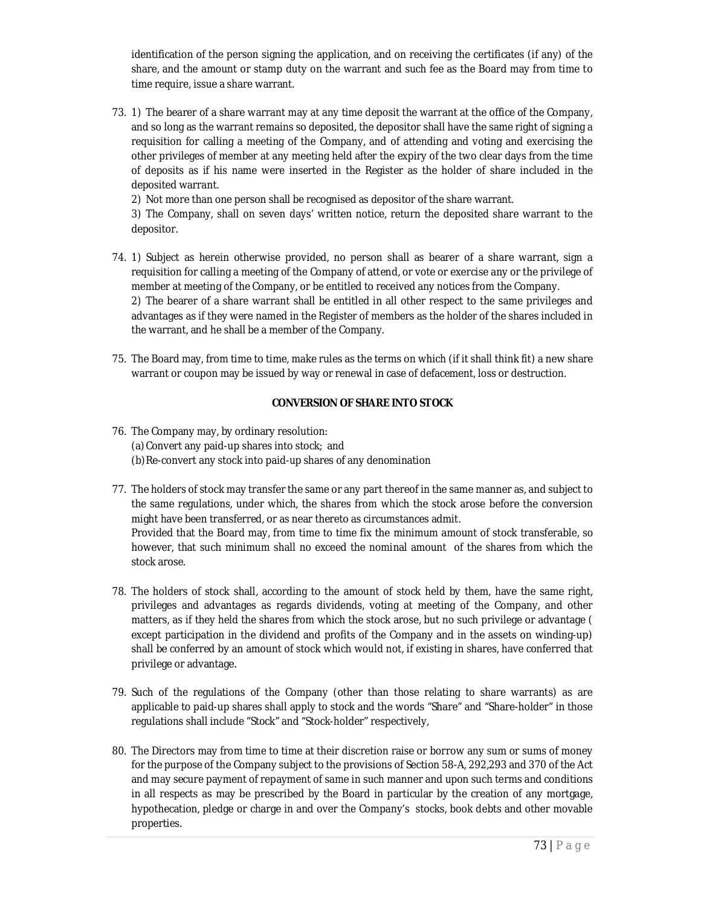identification of the person signing the application, and on receiving the certificates (if any) of the share, and the amount or stamp duty on the warrant and such fee as the Board may from time to time require, issue a share warrant.

73. 1) The bearer of a share warrant may at any time deposit the warrant at the office of the Company, and so long as the warrant remains so deposited, the depositor shall have the same right of signing a requisition for calling a meeting of the Company, and of attending and voting and exercising the other privileges of member at any meeting held after the expiry of the two clear days from the time of deposits as if his name were inserted in the Register as the holder of share included in the deposited warrant.

2) Not more than one person shall be recognised as depositor of the share warrant.

3) The Company, shall on seven days' written notice, return the deposited share warrant to the depositor.

- 74. 1) Subject as herein otherwise provided, no person shall as bearer of a share warrant, sign a requisition for calling a meeting of the Company of attend, or vote or exercise any or the privilege of member at meeting of the Company, or be entitled to received any notices from the Company. 2) The bearer of a share warrant shall be entitled in all other respect to the same privileges and advantages as if they were named in the Register of members as the holder of the shares included in the warrant, and he shall be a member of the Company.
- 75. The Board may, from time to time, make rules as the terms on which (if it shall think fit) a new share warrant or coupon may be issued by way or renewal in case of defacement, loss or destruction.

# **CONVERSION OF SHARE INTO STOCK**

- 76. The Company may, by ordinary resolution: (a)Convert any paid-up shares into stock; and (b)Re-convert any stock into paid-up shares of any denomination
- 77. The holders of stock may transfer the same or any part thereof in the same manner as, and subject to the same regulations, under which, the shares from which the stock arose before the conversion might have been transferred, or as near thereto as circumstances admit. Provided that the Board may, from time to time fix the minimum amount of stock transferable, so however, that such minimum shall no exceed the nominal amount of the shares from which the stock arose.
- 78. The holders of stock shall, according to the amount of stock held by them, have the same right, privileges and advantages as regards dividends, voting at meeting of the Company, and other matters, as if they held the shares from which the stock arose, but no such privilege or advantage ( except participation in the dividend and profits of the Company and in the assets on winding-up) shall be conferred by an amount of stock which would not, if existing in shares, have conferred that privilege or advantage.
- 79. Such of the regulations of the Company (other than those relating to share warrants) as are applicable to paid-up shares shall apply to stock and the words "Share" and "Share-holder" in those regulations shall include "Stock" and "Stock-holder" respectively,
- 80. The Directors may from time to time at their discretion raise or borrow any sum or sums of money for the purpose of the Company subject to the provisions of Section 58-A, 292,293 and 370 of the Act and may secure payment of repayment of same in such manner and upon such terms and conditions in all respects as may be prescribed by the Board in particular by the creation of any mortgage, hypothecation, pledge or charge in and over the Company's stocks, book debts and other movable properties.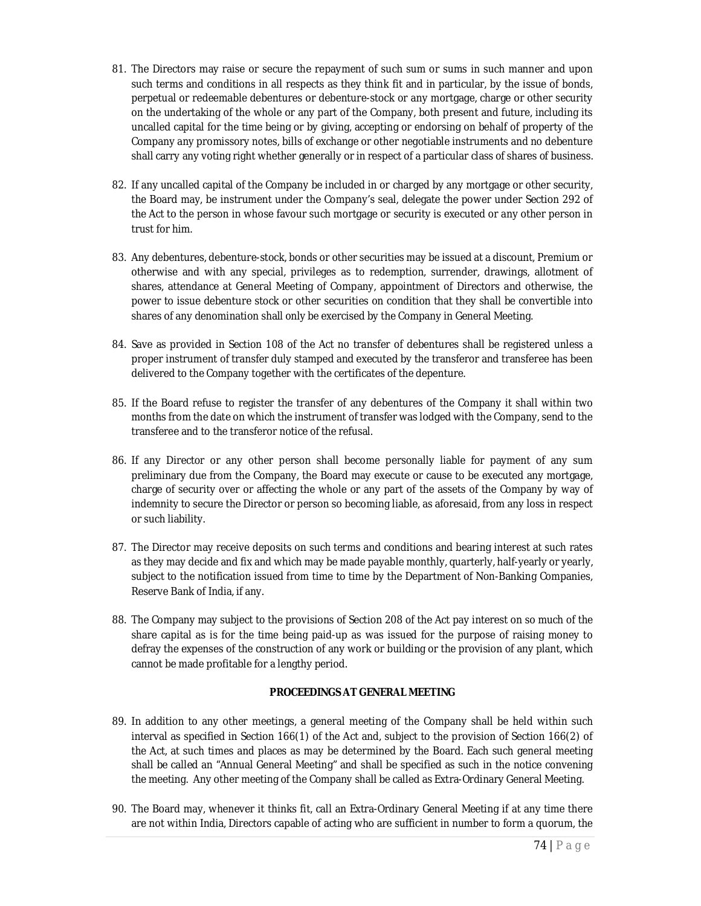- 81. The Directors may raise or secure the repayment of such sum or sums in such manner and upon such terms and conditions in all respects as they think fit and in particular, by the issue of bonds, perpetual or redeemable debentures or debenture-stock or any mortgage, charge or other security on the undertaking of the whole or any part of the Company, both present and future, including its uncalled capital for the time being or by giving, accepting or endorsing on behalf of property of the Company any promissory notes, bills of exchange or other negotiable instruments and no debenture shall carry any voting right whether generally or in respect of a particular class of shares of business.
- 82. If any uncalled capital of the Company be included in or charged by any mortgage or other security, the Board may, be instrument under the Company's seal, delegate the power under Section 292 of the Act to the person in whose favour such mortgage or security is executed or any other person in trust for him.
- 83. Any debentures, debenture-stock, bonds or other securities may be issued at a discount, Premium or otherwise and with any special, privileges as to redemption, surrender, drawings, allotment of shares, attendance at General Meeting of Company, appointment of Directors and otherwise, the power to issue debenture stock or other securities on condition that they shall be convertible into shares of any denomination shall only be exercised by the Company in General Meeting.
- 84. Save as provided in Section 108 of the Act no transfer of debentures shall be registered unless a proper instrument of transfer duly stamped and executed by the transferor and transferee has been delivered to the Company together with the certificates of the depenture.
- 85. If the Board refuse to register the transfer of any debentures of the Company it shall within two months from the date on which the instrument of transfer was lodged with the Company, send to the transferee and to the transferor notice of the refusal.
- 86. If any Director or any other person shall become personally liable for payment of any sum preliminary due from the Company, the Board may execute or cause to be executed any mortgage, charge of security over or affecting the whole or any part of the assets of the Company by way of indemnity to secure the Director or person so becoming liable, as aforesaid, from any loss in respect or such liability.
- 87. The Director may receive deposits on such terms and conditions and bearing interest at such rates as they may decide and fix and which may be made payable monthly, quarterly, half-yearly or yearly, subject to the notification issued from time to time by the Department of Non-Banking Companies, Reserve Bank of India, if any.
- 88. The Company may subject to the provisions of Section 208 of the Act pay interest on so much of the share capital as is for the time being paid-up as was issued for the purpose of raising money to defray the expenses of the construction of any work or building or the provision of any plant, which cannot be made profitable for a lengthy period.

# **PROCEEDINGS AT GENERAL MEETING**

- 89. In addition to any other meetings, a general meeting of the Company shall be held within such interval as specified in Section 166(1) of the Act and, subject to the provision of Section 166(2) of the Act, at such times and places as may be determined by the Board. Each such general meeting shall be called an "Annual General Meeting" and shall be specified as such in the notice convening the meeting. Any other meeting of the Company shall be called as Extra-Ordinary General Meeting.
- 90. The Board may, whenever it thinks fit, call an Extra-Ordinary General Meeting if at any time there are not within India, Directors capable of acting who are sufficient in number to form a quorum, the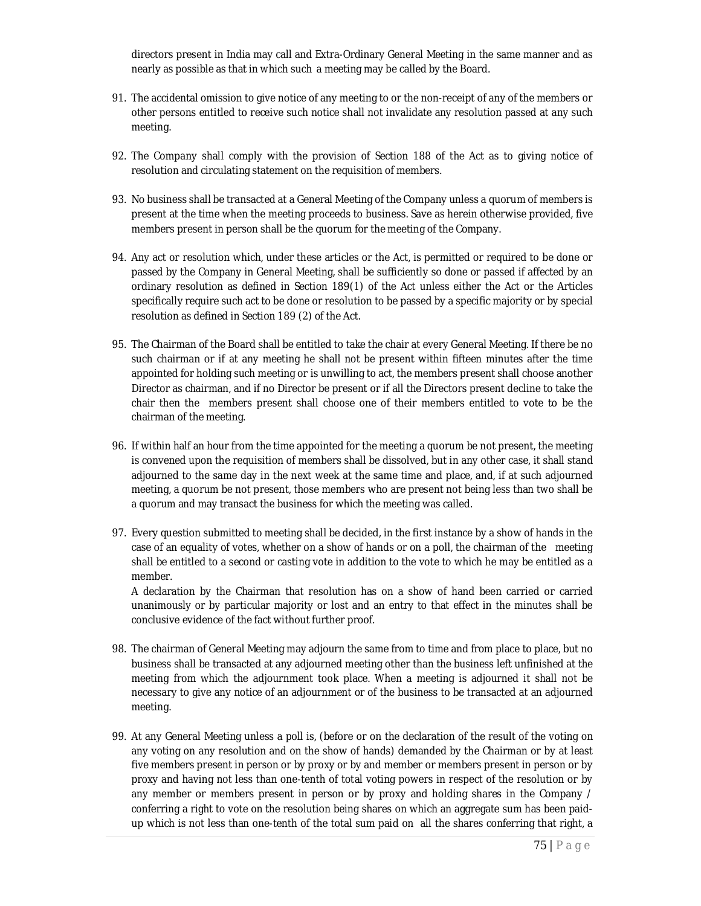directors present in India may call and Extra-Ordinary General Meeting in the same manner and as nearly as possible as that in which such a meeting may be called by the Board.

- 91. The accidental omission to give notice of any meeting to or the non-receipt of any of the members or other persons entitled to receive such notice shall not invalidate any resolution passed at any such meeting.
- 92. The Company shall comply with the provision of Section 188 of the Act as to giving notice of resolution and circulating statement on the requisition of members.
- 93. No business shall be transacted at a General Meeting of the Company unless a quorum of members is present at the time when the meeting proceeds to business. Save as herein otherwise provided, five members present in person shall be the quorum for the meeting of the Company.
- 94. Any act or resolution which, under these articles or the Act, is permitted or required to be done or passed by the Company in General Meeting, shall be sufficiently so done or passed if affected by an ordinary resolution as defined in Section 189(1) of the Act unless either the Act or the Articles specifically require such act to be done or resolution to be passed by a specific majority or by special resolution as defined in Section 189 (2) of the Act.
- 95. The Chairman of the Board shall be entitled to take the chair at every General Meeting. If there be no such chairman or if at any meeting he shall not be present within fifteen minutes after the time appointed for holding such meeting or is unwilling to act, the members present shall choose another Director as chairman, and if no Director be present or if all the Directors present decline to take the chair then the members present shall choose one of their members entitled to vote to be the chairman of the meeting.
- 96. If within half an hour from the time appointed for the meeting a quorum be not present, the meeting is convened upon the requisition of members shall be dissolved, but in any other case, it shall stand adjourned to the same day in the next week at the same time and place, and, if at such adjourned meeting, a quorum be not present, those members who are present not being less than two shall be a quorum and may transact the business for which the meeting was called.
- 97. Every question submitted to meeting shall be decided, in the first instance by a show of hands in the case of an equality of votes, whether on a show of hands or on a poll, the chairman of the meeting shall be entitled to a second or casting vote in addition to the vote to which he may be entitled as a member.

A declaration by the Chairman that resolution has on a show of hand been carried or carried unanimously or by particular majority or lost and an entry to that effect in the minutes shall be conclusive evidence of the fact without further proof.

- 98. The chairman of General Meeting may adjourn the same from to time and from place to place, but no business shall be transacted at any adjourned meeting other than the business left unfinished at the meeting from which the adjournment took place. When a meeting is adjourned it shall not be necessary to give any notice of an adjournment or of the business to be transacted at an adjourned meeting.
- 99. At any General Meeting unless a poll is, (before or on the declaration of the result of the voting on any voting on any resolution and on the show of hands) demanded by the Chairman or by at least five members present in person or by proxy or by and member or members present in person or by proxy and having not less than one-tenth of total voting powers in respect of the resolution or by any member or members present in person or by proxy and holding shares in the Company / conferring a right to vote on the resolution being shares on which an aggregate sum has been paidup which is not less than one-tenth of the total sum paid on all the shares conferring that right, a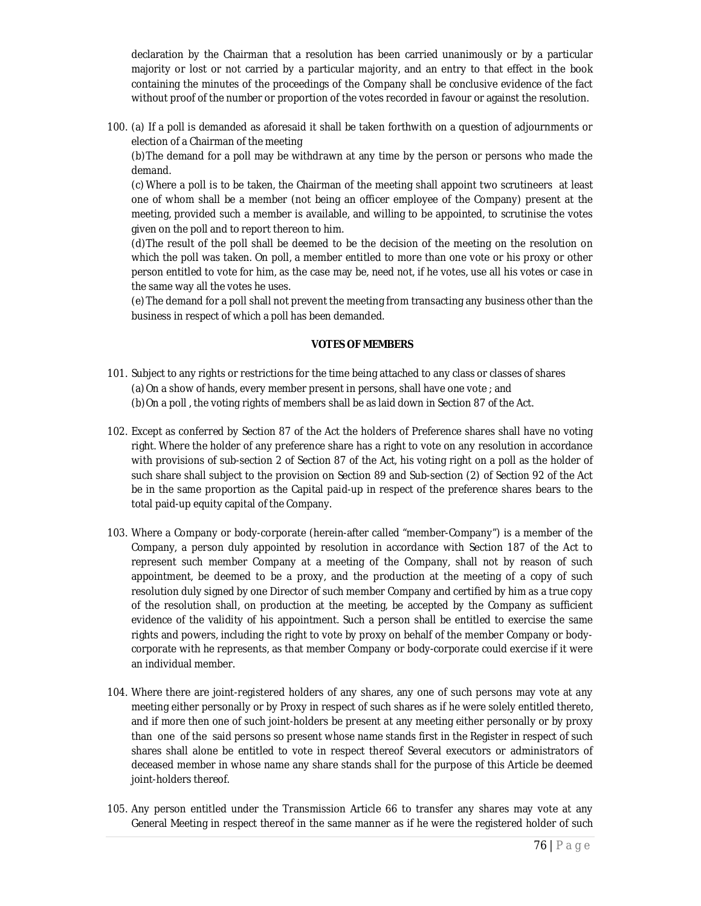declaration by the Chairman that a resolution has been carried unanimously or by a particular majority or lost or not carried by a particular majority, and an entry to that effect in the book containing the minutes of the proceedings of the Company shall be conclusive evidence of the fact without proof of the number or proportion of the votes recorded in favour or against the resolution.

100. (a) If a poll is demanded as aforesaid it shall be taken forthwith on a question of adjournments or election of a Chairman of the meeting

(b)The demand for a poll may be withdrawn at any time by the person or persons who made the demand.

(c)Where a poll is to be taken, the Chairman of the meeting shall appoint two scrutineers at least one of whom shall be a member (not being an officer employee of the Company) present at the meeting, provided such a member is available, and willing to be appointed, to scrutinise the votes given on the poll and to report thereon to him.

(d)The result of the poll shall be deemed to be the decision of the meeting on the resolution on which the poll was taken. On poll, a member entitled to more than one vote or his proxy or other person entitled to vote for him, as the case may be, need not, if he votes, use all his votes or case in the same way all the votes he uses.

(e)The demand for a poll shall not prevent the meeting from transacting any business other than the business in respect of which a poll has been demanded.

### **VOTES OF MEMBERS**

- 101. Subject to any rights or restrictions for the time being attached to any class or classes of shares (a)On a show of hands, every member present in persons, shall have one vote ; and (b)On a poll , the voting rights of members shall be as laid down in Section 87 of the Act.
- 102. Except as conferred by Section 87 of the Act the holders of Preference shares shall have no voting right. Where the holder of any preference share has a right to vote on any resolution in accordance with provisions of sub-section 2 of Section 87 of the Act, his voting right on a poll as the holder of such share shall subject to the provision on Section 89 and Sub-section (2) of Section 92 of the Act be in the same proportion as the Capital paid-up in respect of the preference shares bears to the total paid-up equity capital of the Company.
- 103. Where a Company or body-corporate (herein-after called "member-Company") is a member of the Company, a person duly appointed by resolution in accordance with Section 187 of the Act to represent such member Company at a meeting of the Company, shall not by reason of such appointment, be deemed to be a proxy, and the production at the meeting of a copy of such resolution duly signed by one Director of such member Company and certified by him as a true copy of the resolution shall, on production at the meeting, be accepted by the Company as sufficient evidence of the validity of his appointment. Such a person shall be entitled to exercise the same rights and powers, including the right to vote by proxy on behalf of the member Company or bodycorporate with he represents, as that member Company or body-corporate could exercise if it were an individual member.
- 104. Where there are joint-registered holders of any shares, any one of such persons may vote at any meeting either personally or by Proxy in respect of such shares as if he were solely entitled thereto, and if more then one of such joint-holders be present at any meeting either personally or by proxy than one of the said persons so present whose name stands first in the Register in respect of such shares shall alone be entitled to vote in respect thereof Several executors or administrators of deceased member in whose name any share stands shall for the purpose of this Article be deemed joint-holders thereof.
- 105. Any person entitled under the Transmission Article 66 to transfer any shares may vote at any General Meeting in respect thereof in the same manner as if he were the registered holder of such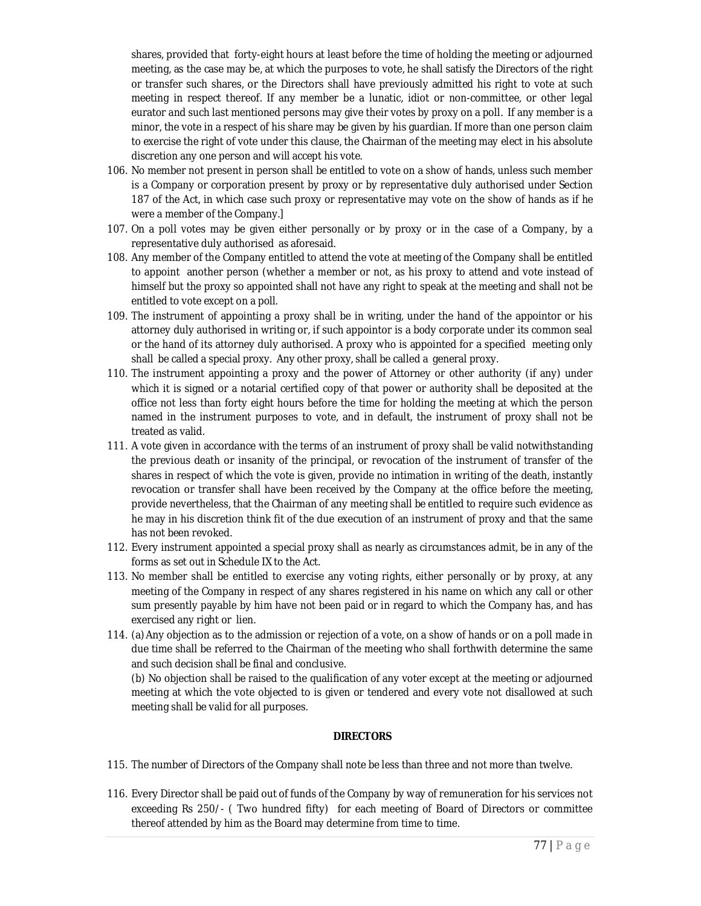shares, provided that forty-eight hours at least before the time of holding the meeting or adjourned meeting, as the case may be, at which the purposes to vote, he shall satisfy the Directors of the right or transfer such shares, or the Directors shall have previously admitted his right to vote at such meeting in respect thereof. If any member be a lunatic, idiot or non-committee, or other legal eurator and such last mentioned persons may give their votes by proxy on a poll. If any member is a minor, the vote in a respect of his share may be given by his guardian. If more than one person claim to exercise the right of vote under this clause, the Chairman of the meeting may elect in his absolute discretion any one person and will accept his vote.

- 106. No member not present in person shall be entitled to vote on a show of hands, unless such member is a Company or corporation present by proxy or by representative duly authorised under Section 187 of the Act, in which case such proxy or representative may vote on the show of hands as if he were a member of the Company.]
- 107. On a poll votes may be given either personally or by proxy or in the case of a Company, by a representative duly authorised as aforesaid.
- 108. Any member of the Company entitled to attend the vote at meeting of the Company shall be entitled to appoint another person (whether a member or not, as his proxy to attend and vote instead of himself but the proxy so appointed shall not have any right to speak at the meeting and shall not be entitled to vote except on a poll.
- 109. The instrument of appointing a proxy shall be in writing, under the hand of the appointor or his attorney duly authorised in writing or, if such appointor is a body corporate under its common seal or the hand of its attorney duly authorised. A proxy who is appointed for a specified meeting only shall be called a special proxy. Any other proxy, shall be called a general proxy.
- 110. The instrument appointing a proxy and the power of Attorney or other authority (if any) under which it is signed or a notarial certified copy of that power or authority shall be deposited at the office not less than forty eight hours before the time for holding the meeting at which the person named in the instrument purposes to vote, and in default, the instrument of proxy shall not be treated as valid.
- 111. A vote given in accordance with the terms of an instrument of proxy shall be valid notwithstanding the previous death or insanity of the principal, or revocation of the instrument of transfer of the shares in respect of which the vote is given, provide no intimation in writing of the death, instantly revocation or transfer shall have been received by the Company at the office before the meeting, provide nevertheless, that the Chairman of any meeting shall be entitled to require such evidence as he may in his discretion think fit of the due execution of an instrument of proxy and that the same has not been revoked.
- 112. Every instrument appointed a special proxy shall as nearly as circumstances admit, be in any of the forms as set out in Schedule IX to the Act.
- 113. No member shall be entitled to exercise any voting rights, either personally or by proxy, at any meeting of the Company in respect of any shares registered in his name on which any call or other sum presently payable by him have not been paid or in regard to which the Company has, and has exercised any right or lien.
- 114. (a)Any objection as to the admission or rejection of a vote, on a show of hands or on a poll made in due time shall be referred to the Chairman of the meeting who shall forthwith determine the same and such decision shall be final and conclusive.

(b) No objection shall be raised to the qualification of any voter except at the meeting or adjourned meeting at which the vote objected to is given or tendered and every vote not disallowed at such meeting shall be valid for all purposes.

## **DIRECTORS**

- 115. The number of Directors of the Company shall note be less than three and not more than twelve.
- 116. Every Director shall be paid out of funds of the Company by way of remuneration for his services not exceeding Rs 250/- ( Two hundred fifty) for each meeting of Board of Directors or committee thereof attended by him as the Board may determine from time to time.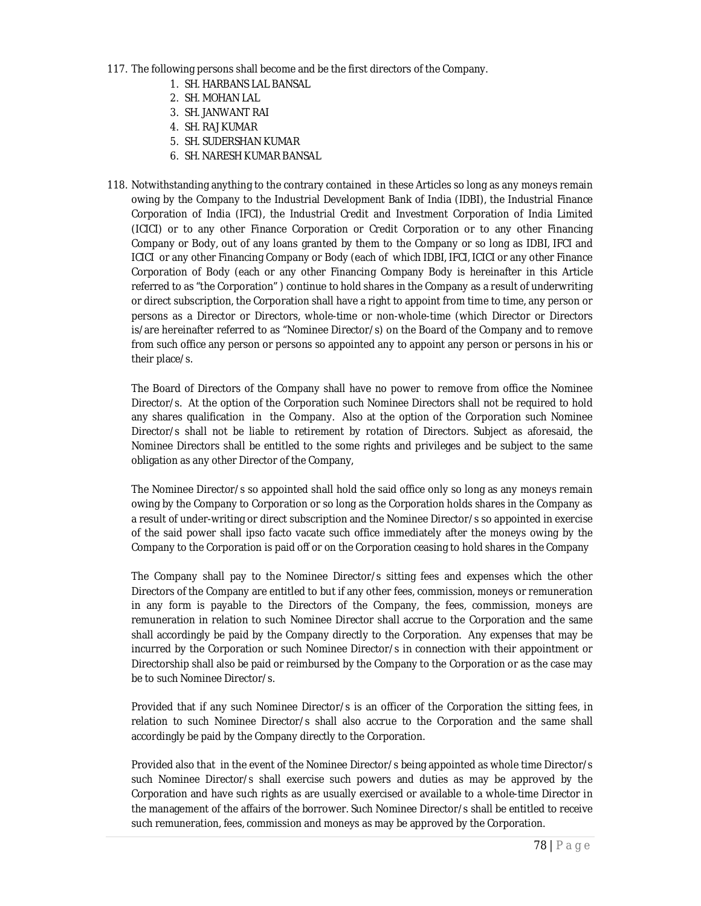- 117. The following persons shall become and be the first directors of the Company.
	- 1. SH. HARBANS LAL BANSAL
	- 2. SH. MOHAN LAL
	- 3. SH. JANWANT RAI
	- 4. SH. RAJ KUMAR
	- 5. SH. SUDERSHAN KUMAR
	- 6. SH. NARESH KUMAR BANSAL
- 118. Notwithstanding anything to the contrary contained in these Articles so long as any moneys remain owing by the Company to the Industrial Development Bank of India (IDBI), the Industrial Finance Corporation of India (IFCI), the Industrial Credit and Investment Corporation of India Limited (ICICI) or to any other Finance Corporation or Credit Corporation or to any other Financing Company or Body, out of any loans granted by them to the Company or so long as IDBI, IFCI and ICICI or any other Financing Company or Body (each of which IDBI, IFCI, ICICI or any other Finance Corporation of Body (each or any other Financing Company Body is hereinafter in this Article referred to as "the Corporation" ) continue to hold shares in the Company as a result of underwriting or direct subscription, the Corporation shall have a right to appoint from time to time, any person or persons as a Director or Directors, whole-time or non-whole-time (which Director or Directors is/are hereinafter referred to as "Nominee Director/s) on the Board of the Company and to remove from such office any person or persons so appointed any to appoint any person or persons in his or their place/s.

The Board of Directors of the Company shall have no power to remove from office the Nominee Director/s. At the option of the Corporation such Nominee Directors shall not be required to hold any shares qualification in the Company. Also at the option of the Corporation such Nominee Director/s shall not be liable to retirement by rotation of Directors. Subject as aforesaid, the Nominee Directors shall be entitled to the some rights and privileges and be subject to the same obligation as any other Director of the Company,

The Nominee Director/s so appointed shall hold the said office only so long as any moneys remain owing by the Company to Corporation or so long as the Corporation holds shares in the Company as a result of under-writing or direct subscription and the Nominee Director/s so appointed in exercise of the said power shall ipso facto vacate such office immediately after the moneys owing by the Company to the Corporation is paid off or on the Corporation ceasing to hold shares in the Company

The Company shall pay to the Nominee Director/s sitting fees and expenses which the other Directors of the Company are entitled to but if any other fees, commission, moneys or remuneration in any form is payable to the Directors of the Company, the fees, commission, moneys are remuneration in relation to such Nominee Director shall accrue to the Corporation and the same shall accordingly be paid by the Company directly to the Corporation. Any expenses that may be incurred by the Corporation or such Nominee Director/s in connection with their appointment or Directorship shall also be paid or reimbursed by the Company to the Corporation or as the case may be to such Nominee Director/s.

Provided that if any such Nominee Director/s is an officer of the Corporation the sitting fees, in relation to such Nominee Director/s shall also accrue to the Corporation and the same shall accordingly be paid by the Company directly to the Corporation.

Provided also that in the event of the Nominee Director/s being appointed as whole time Director/s such Nominee Director/s shall exercise such powers and duties as may be approved by the Corporation and have such rights as are usually exercised or available to a whole-time Director in the management of the affairs of the borrower. Such Nominee Director/s shall be entitled to receive such remuneration, fees, commission and moneys as may be approved by the Corporation.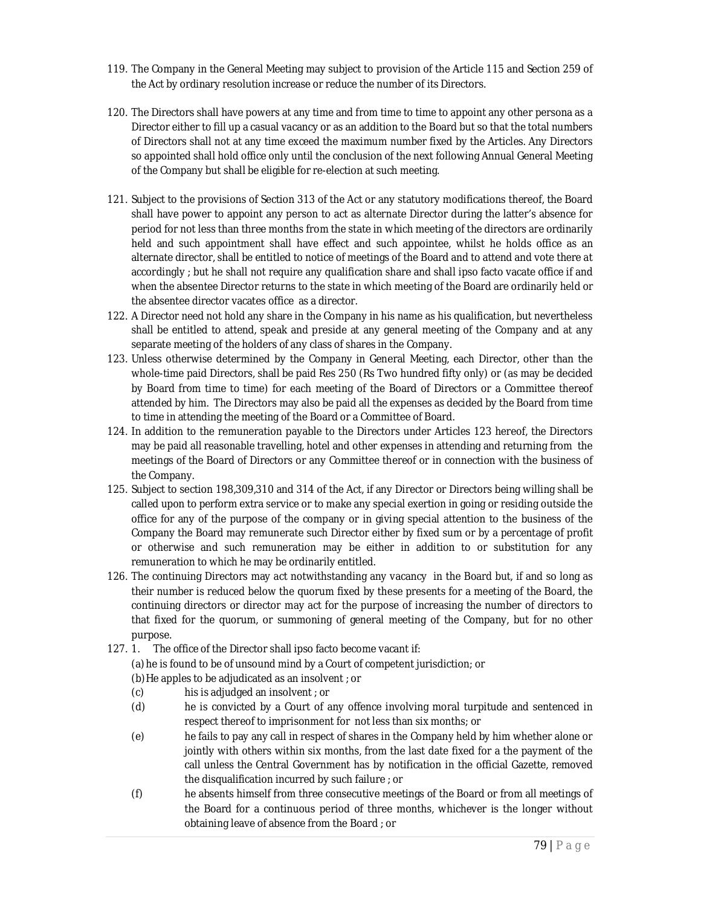- 119. The Company in the General Meeting may subject to provision of the Article 115 and Section 259 of the Act by ordinary resolution increase or reduce the number of its Directors.
- 120. The Directors shall have powers at any time and from time to time to appoint any other persona as a Director either to fill up a casual vacancy or as an addition to the Board but so that the total numbers of Directors shall not at any time exceed the maximum number fixed by the Articles. Any Directors so appointed shall hold office only until the conclusion of the next following Annual General Meeting of the Company but shall be eligible for re-election at such meeting.
- 121. Subject to the provisions of Section 313 of the Act or any statutory modifications thereof, the Board shall have power to appoint any person to act as alternate Director during the latter's absence for period for not less than three months from the state in which meeting of the directors are ordinarily held and such appointment shall have effect and such appointee, whilst he holds office as an alternate director, shall be entitled to notice of meetings of the Board and to attend and vote there at accordingly ; but he shall not require any qualification share and shall ipso facto vacate office if and when the absentee Director returns to the state in which meeting of the Board are ordinarily held or the absentee director vacates office as a director.
- 122. A Director need not hold any share in the Company in his name as his qualification, but nevertheless shall be entitled to attend, speak and preside at any general meeting of the Company and at any separate meeting of the holders of any class of shares in the Company.
- 123. Unless otherwise determined by the Company in General Meeting, each Director, other than the whole-time paid Directors, shall be paid Res 250 (Rs Two hundred fifty only) or (as may be decided by Board from time to time) for each meeting of the Board of Directors or a Committee thereof attended by him. The Directors may also be paid all the expenses as decided by the Board from time to time in attending the meeting of the Board or a Committee of Board.
- 124. In addition to the remuneration payable to the Directors under Articles 123 hereof, the Directors may be paid all reasonable travelling, hotel and other expenses in attending and returning from the meetings of the Board of Directors or any Committee thereof or in connection with the business of the Company.
- 125. Subject to section 198,309,310 and 314 of the Act, if any Director or Directors being willing shall be called upon to perform extra service or to make any special exertion in going or residing outside the office for any of the purpose of the company or in giving special attention to the business of the Company the Board may remunerate such Director either by fixed sum or by a percentage of profit or otherwise and such remuneration may be either in addition to or substitution for any remuneration to which he may be ordinarily entitled.
- 126. The continuing Directors may act notwithstanding any vacancy in the Board but, if and so long as their number is reduced below the quorum fixed by these presents for a meeting of the Board, the continuing directors or director may act for the purpose of increasing the number of directors to that fixed for the quorum, or summoning of general meeting of the Company, but for no other purpose.
- 127. 1. The office of the Director shall ipso facto become vacant if: (a)he is found to be of unsound mind by a Court of competent jurisdiction; or (b)He apples to be adjudicated as an insolvent ; or
	- (c) his is adjudged an insolvent ; or
	- (d) he is convicted by a Court of any offence involving moral turpitude and sentenced in respect thereof to imprisonment for not less than six months; or
	- (e) he fails to pay any call in respect of shares in the Company held by him whether alone or jointly with others within six months, from the last date fixed for a the payment of the call unless the Central Government has by notification in the official Gazette, removed the disqualification incurred by such failure ; or
	- (f) he absents himself from three consecutive meetings of the Board or from all meetings of the Board for a continuous period of three months, whichever is the longer without obtaining leave of absence from the Board ; or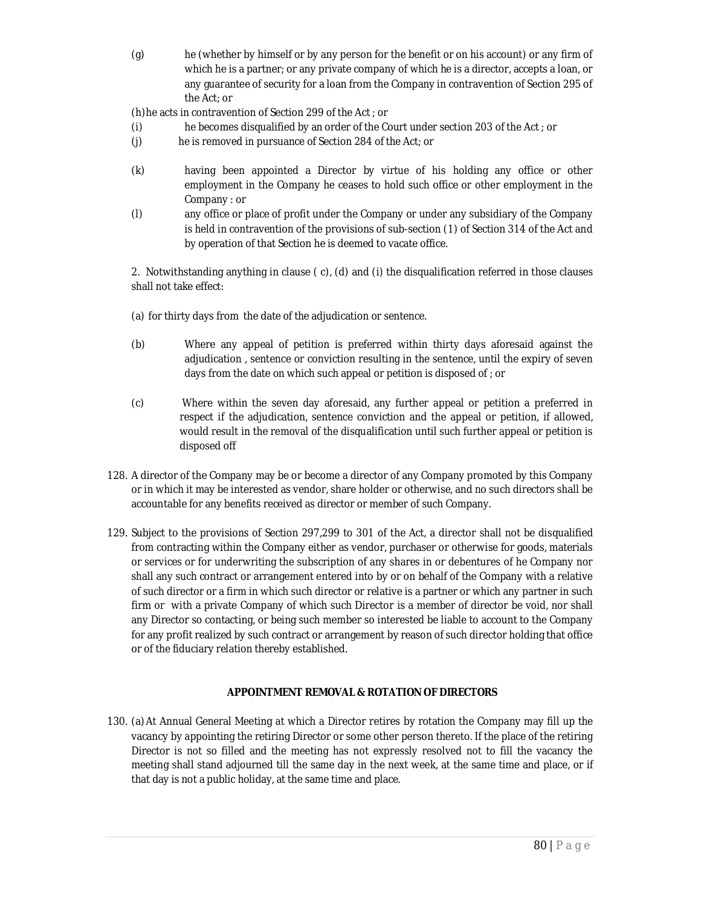(g) he (whether by himself or by any person for the benefit or on his account) or any firm of which he is a partner; or any private company of which he is a director, accepts a loan, or any guarantee of security for a loan from the Company in contravention of Section 295 of the Act; or

(h)he acts in contravention of Section 299 of the Act ; or

- (i) he becomes disqualified by an order of the Court under section 203 of the Act ; or
- (j) he is removed in pursuance of Section 284 of the Act; or
- (k) having been appointed a Director by virtue of his holding any office or other employment in the Company he ceases to hold such office or other employment in the Company : or
- (l) any office or place of profit under the Company or under any subsidiary of the Company is held in contravention of the provisions of sub-section (1) of Section 314 of the Act and by operation of that Section he is deemed to vacate office.

2. Notwithstanding anything in clause ( c), (d) and (i) the disqualification referred in those clauses shall not take effect:

- (a) for thirty days from the date of the adjudication or sentence.
- (b) Where any appeal of petition is preferred within thirty days aforesaid against the adjudication , sentence or conviction resulting in the sentence, until the expiry of seven days from the date on which such appeal or petition is disposed of ; or
- (c) Where within the seven day aforesaid, any further appeal or petition a preferred in respect if the adjudication, sentence conviction and the appeal or petition, if allowed, would result in the removal of the disqualification until such further appeal or petition is disposed off
- 128. A director of the Company may be or become a director of any Company promoted by this Company or in which it may be interested as vendor, share holder or otherwise, and no such directors shall be accountable for any benefits received as director or member of such Company.
- 129. Subject to the provisions of Section 297,299 to 301 of the Act, a director shall not be disqualified from contracting within the Company either as vendor, purchaser or otherwise for goods, materials or services or for underwriting the subscription of any shares in or debentures of he Company nor shall any such contract or arrangement entered into by or on behalf of the Company with a relative of such director or a firm in which such director or relative is a partner or which any partner in such firm or with a private Company of which such Director is a member of director be void, nor shall any Director so contacting, or being such member so interested be liable to account to the Company for any profit realized by such contract or arrangement by reason of such director holding that office or of the fiduciary relation thereby established.

## **APPOINTMENT REMOVAL & ROTATION OF DIRECTORS**

130. (a)At Annual General Meeting at which a Director retires by rotation the Company may fill up the vacancy by appointing the retiring Director or some other person thereto. If the place of the retiring Director is not so filled and the meeting has not expressly resolved not to fill the vacancy the meeting shall stand adjourned till the same day in the next week, at the same time and place, or if that day is not a public holiday, at the same time and place.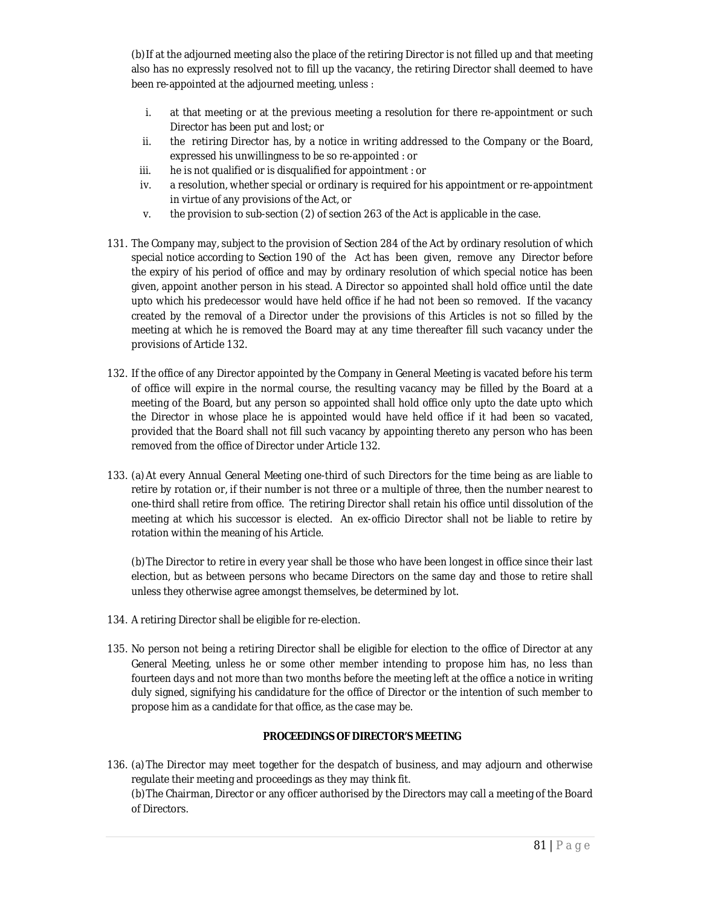(b)If at the adjourned meeting also the place of the retiring Director is not filled up and that meeting also has no expressly resolved not to fill up the vacancy, the retiring Director shall deemed to have been re-appointed at the adjourned meeting, unless :

- i. at that meeting or at the previous meeting a resolution for there re-appointment or such Director has been put and lost; or
- ii. the retiring Director has, by a notice in writing addressed to the Company or the Board, expressed his unwillingness to be so re-appointed : or
- iii. he is not qualified or is disqualified for appointment : or
- iv. a resolution, whether special or ordinary is required for his appointment or re-appointment in virtue of any provisions of the Act, or
- v. the provision to sub-section (2) of section 263 of the Act is applicable in the case.
- 131. The Company may, subject to the provision of Section 284 of the Act by ordinary resolution of which special notice according to Section 190 of the Act has been given, remove any Director before the expiry of his period of office and may by ordinary resolution of which special notice has been given, appoint another person in his stead. A Director so appointed shall hold office until the date upto which his predecessor would have held office if he had not been so removed. If the vacancy created by the removal of a Director under the provisions of this Articles is not so filled by the meeting at which he is removed the Board may at any time thereafter fill such vacancy under the provisions of Article 132.
- 132. If the office of any Director appointed by the Company in General Meeting is vacated before his term of office will expire in the normal course, the resulting vacancy may be filled by the Board at a meeting of the Board, but any person so appointed shall hold office only upto the date upto which the Director in whose place he is appointed would have held office if it had been so vacated, provided that the Board shall not fill such vacancy by appointing thereto any person who has been removed from the office of Director under Article 132.
- 133. (a)At every Annual General Meeting one-third of such Directors for the time being as are liable to retire by rotation or, if their number is not three or a multiple of three, then the number nearest to one-third shall retire from office. The retiring Director shall retain his office until dissolution of the meeting at which his successor is elected. An ex-officio Director shall not be liable to retire by rotation within the meaning of his Article.

(b)The Director to retire in every year shall be those who have been longest in office since their last election, but as between persons who became Directors on the same day and those to retire shall unless they otherwise agree amongst themselves, be determined by lot.

- 134. A retiring Director shall be eligible for re-election.
- 135. No person not being a retiring Director shall be eligible for election to the office of Director at any General Meeting, unless he or some other member intending to propose him has, no less than fourteen days and not more than two months before the meeting left at the office a notice in writing duly signed, signifying his candidature for the office of Director or the intention of such member to propose him as a candidate for that office, as the case may be.

# **PROCEEDINGS OF DIRECTOR'S MEETING**

136. (a)The Director may meet together for the despatch of business, and may adjourn and otherwise regulate their meeting and proceedings as they may think fit. (b)The Chairman, Director or any officer authorised by the Directors may call a meeting of the Board of Directors.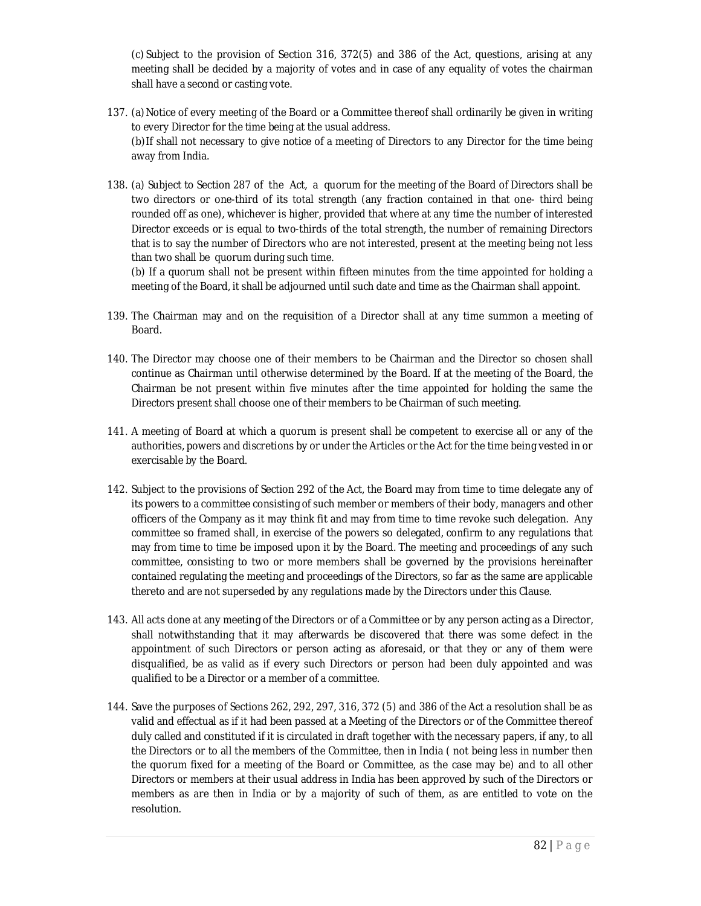(c) Subject to the provision of Section 316, 372(5) and 386 of the Act, questions, arising at any meeting shall be decided by a majority of votes and in case of any equality of votes the chairman shall have a second or casting vote.

- 137. (a)Notice of every meeting of the Board or a Committee thereof shall ordinarily be given in writing to every Director for the time being at the usual address. (b)If shall not necessary to give notice of a meeting of Directors to any Director for the time being away from India.
- 138. (a) Subject to Section 287 of the Act, a quorum for the meeting of the Board of Directors shall be two directors or one-third of its total strength (any fraction contained in that one- third being rounded off as one), whichever is higher, provided that where at any time the number of interested Director exceeds or is equal to two-thirds of the total strength, the number of remaining Directors that is to say the number of Directors who are not interested, present at the meeting being not less than two shall be quorum during such time.

(b) If a quorum shall not be present within fifteen minutes from the time appointed for holding a meeting of the Board, it shall be adjourned until such date and time as the Chairman shall appoint.

- 139. The Chairman may and on the requisition of a Director shall at any time summon a meeting of Board.
- 140. The Director may choose one of their members to be Chairman and the Director so chosen shall continue as Chairman until otherwise determined by the Board. If at the meeting of the Board, the Chairman be not present within five minutes after the time appointed for holding the same the Directors present shall choose one of their members to be Chairman of such meeting.
- 141. A meeting of Board at which a quorum is present shall be competent to exercise all or any of the authorities, powers and discretions by or under the Articles or the Act for the time being vested in or exercisable by the Board.
- 142. Subject to the provisions of Section 292 of the Act, the Board may from time to time delegate any of its powers to a committee consisting of such member or members of their body, managers and other officers of the Company as it may think fit and may from time to time revoke such delegation. Any committee so framed shall, in exercise of the powers so delegated, confirm to any regulations that may from time to time be imposed upon it by the Board. The meeting and proceedings of any such committee, consisting to two or more members shall be governed by the provisions hereinafter contained regulating the meeting and proceedings of the Directors, so far as the same are applicable thereto and are not superseded by any regulations made by the Directors under this Clause.
- 143. All acts done at any meeting of the Directors or of a Committee or by any person acting as a Director, shall notwithstanding that it may afterwards be discovered that there was some defect in the appointment of such Directors or person acting as aforesaid, or that they or any of them were disqualified, be as valid as if every such Directors or person had been duly appointed and was qualified to be a Director or a member of a committee.
- 144. Save the purposes of Sections 262, 292, 297, 316, 372 (5) and 386 of the Act a resolution shall be as valid and effectual as if it had been passed at a Meeting of the Directors or of the Committee thereof duly called and constituted if it is circulated in draft together with the necessary papers, if any, to all the Directors or to all the members of the Committee, then in India ( not being less in number then the quorum fixed for a meeting of the Board or Committee, as the case may be) and to all other Directors or members at their usual address in India has been approved by such of the Directors or members as are then in India or by a majority of such of them, as are entitled to vote on the resolution.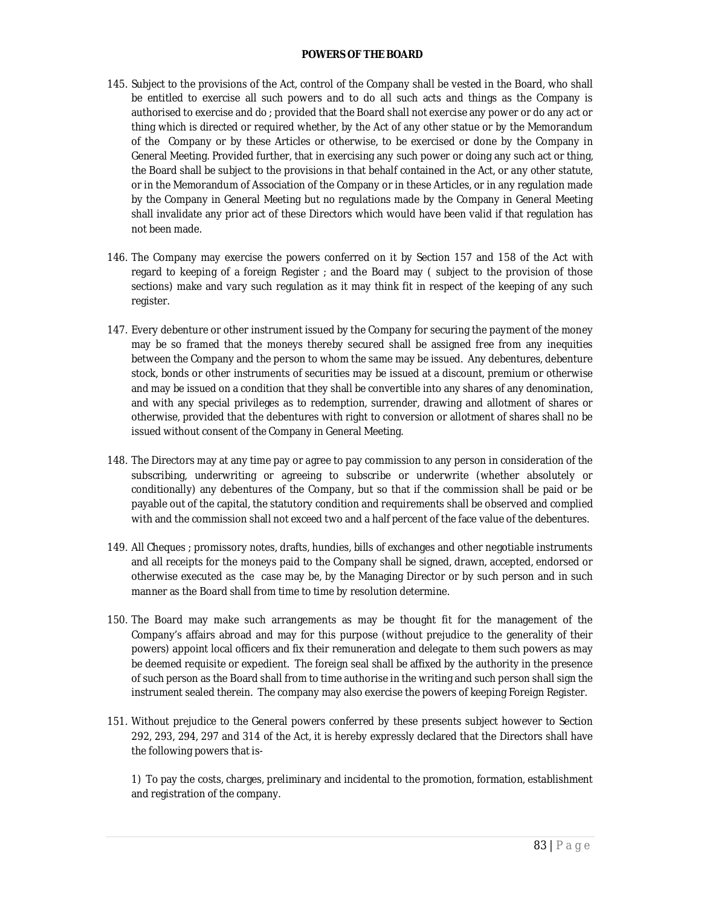#### **POWERS OF THE BOARD**

- 145. Subject to the provisions of the Act, control of the Company shall be vested in the Board, who shall be entitled to exercise all such powers and to do all such acts and things as the Company is authorised to exercise and do ; provided that the Board shall not exercise any power or do any act or thing which is directed or required whether, by the Act of any other statue or by the Memorandum of the Company or by these Articles or otherwise, to be exercised or done by the Company in General Meeting. Provided further, that in exercising any such power or doing any such act or thing, the Board shall be subject to the provisions in that behalf contained in the Act, or any other statute, or in the Memorandum of Association of the Company or in these Articles, or in any regulation made by the Company in General Meeting but no regulations made by the Company in General Meeting shall invalidate any prior act of these Directors which would have been valid if that regulation has not been made.
- 146. The Company may exercise the powers conferred on it by Section 157 and 158 of the Act with regard to keeping of a foreign Register ; and the Board may ( subject to the provision of those sections) make and vary such regulation as it may think fit in respect of the keeping of any such register.
- 147. Every debenture or other instrument issued by the Company for securing the payment of the money may be so framed that the moneys thereby secured shall be assigned free from any inequities between the Company and the person to whom the same may be issued. Any debentures, debenture stock, bonds or other instruments of securities may be issued at a discount, premium or otherwise and may be issued on a condition that they shall be convertible into any shares of any denomination, and with any special privileges as to redemption, surrender, drawing and allotment of shares or otherwise, provided that the debentures with right to conversion or allotment of shares shall no be issued without consent of the Company in General Meeting.
- 148. The Directors may at any time pay or agree to pay commission to any person in consideration of the subscribing, underwriting or agreeing to subscribe or underwrite (whether absolutely or conditionally) any debentures of the Company, but so that if the commission shall be paid or be payable out of the capital, the statutory condition and requirements shall be observed and complied with and the commission shall not exceed two and a half percent of the face value of the debentures.
- 149. All Cheques ; promissory notes, drafts, hundies, bills of exchanges and other negotiable instruments and all receipts for the moneys paid to the Company shall be signed, drawn, accepted, endorsed or otherwise executed as the case may be, by the Managing Director or by such person and in such manner as the Board shall from time to time by resolution determine.
- 150. The Board may make such arrangements as may be thought fit for the management of the Company's affairs abroad and may for this purpose (without prejudice to the generality of their powers) appoint local officers and fix their remuneration and delegate to them such powers as may be deemed requisite or expedient. The foreign seal shall be affixed by the authority in the presence of such person as the Board shall from to time authorise in the writing and such person shall sign the instrument sealed therein. The company may also exercise the powers of keeping Foreign Register.
- 151. Without prejudice to the General powers conferred by these presents subject however to Section 292, 293, 294, 297 and 314 of the Act, it is hereby expressly declared that the Directors shall have the following powers that is-

1) To pay the costs, charges, preliminary and incidental to the promotion, formation, establishment and registration of the company.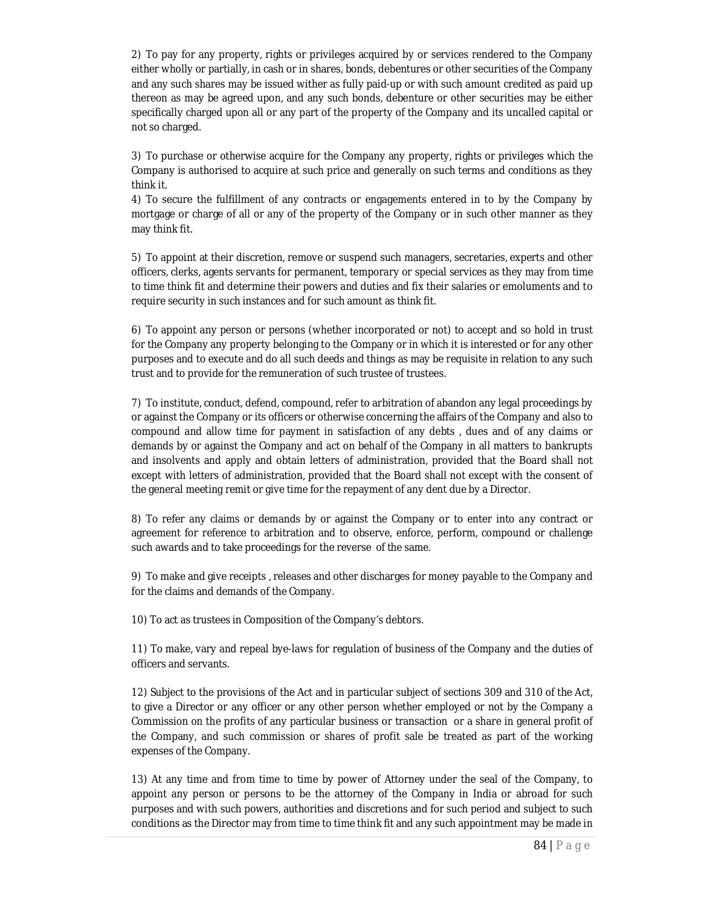2) To pay for any property, rights or privileges acquired by or services rendered to the Company either wholly or partially, in cash or in shares, bonds, debentures or other securities of the Company and any such shares may be issued wither as fully paid-up or with such amount credited as paid up thereon as may be agreed upon, and any such bonds, debenture or other securities may be either specifically charged upon all or any part of the property of the Company and its uncalled capital or not so charged.

3) To purchase or otherwise acquire for the Company any property, rights or privileges which the Company is authorised to acquire at such price and generally on such terms and conditions as they think it.

4) To secure the fulfillment of any contracts or engagements entered in to by the Company by mortgage or charge of all or any of the property of the Company or in such other manner as they may think fit.

5) To appoint at their discretion, remove or suspend such managers, secretaries, experts and other officers, clerks, agents servants for permanent, temporary or special services as they may from time to time think fit and determine their powers and duties and fix their salaries or emoluments and to require security in such instances and for such amount as think fit.

6) To appoint any person or persons (whether incorporated or not) to accept and so hold in trust for the Company any property belonging to the Company or in which it is interested or for any other purposes and to execute and do all such deeds and things as may be requisite in relation to any such trust and to provide for the remuneration of such trustee of trustees.

7) To institute, conduct, defend, compound, refer to arbitration of abandon any legal proceedings by or against the Company or its officers or otherwise concerning the affairs of the Company and also to compound and allow time for payment in satisfaction of any debts , dues and of any claims or demands by or against the Company and act on behalf of the Company in all matters to bankrupts and insolvents and apply and obtain letters of administration, provided that the Board shall not except with letters of administration, provided that the Board shall not except with the consent of the general meeting remit or give time for the repayment of any dent due by a Director.

8) To refer any claims or demands by or against the Company or to enter into any contract or agreement for reference to arbitration and to observe, enforce, perform, compound or challenge such awards and to take proceedings for the reverse of the same.

9) To make and give receipts , releases and other discharges for money payable to the Company and for the claims and demands of the Company.

10) To act as trustees in Composition of the Company's debtors.

11) To make, vary and repeal bye-laws for regulation of business of the Company and the duties of officers and servants.

12) Subject to the provisions of the Act and in particular subject of sections 309 and 310 of the Act, to give a Director or any officer or any other person whether employed or not by the Company a Commission on the profits of any particular business or transaction or a share in general profit of the Company, and such commission or shares of profit sale be treated as part of the working expenses of the Company.

13) At any time and from time to time by power of Attorney under the seal of the Company, to appoint any person or persons to be the attorney of the Company in India or abroad for such purposes and with such powers, authorities and discretions and for such period and subject to such conditions as the Director may from time to time think fit and any such appointment may be made in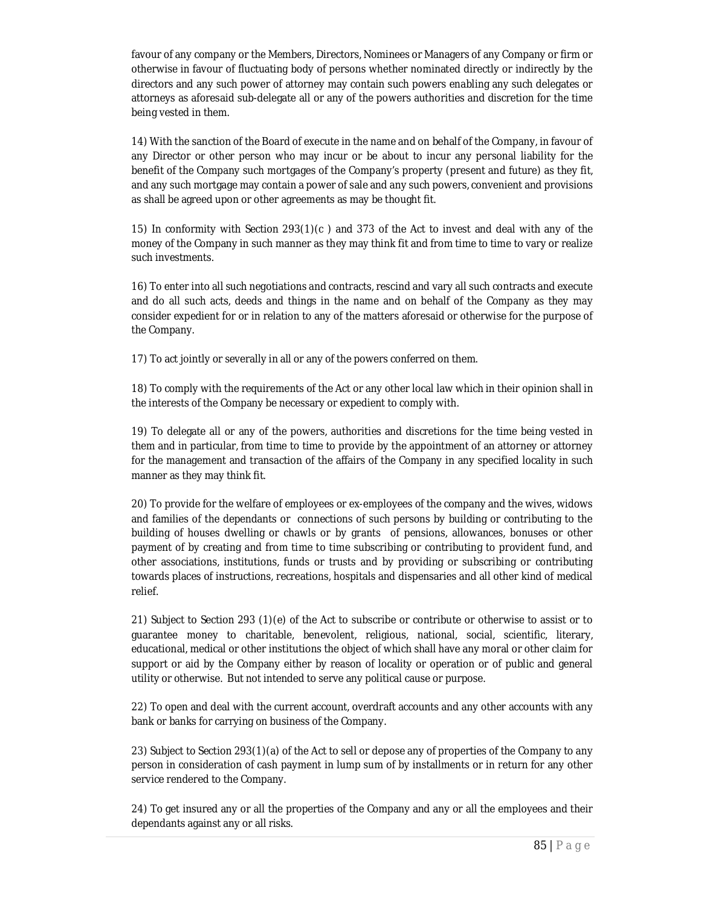favour of any company or the Members, Directors, Nominees or Managers of any Company or firm or otherwise in favour of fluctuating body of persons whether nominated directly or indirectly by the directors and any such power of attorney may contain such powers enabling any such delegates or attorneys as aforesaid sub-delegate all or any of the powers authorities and discretion for the time being vested in them.

14) With the sanction of the Board of execute in the name and on behalf of the Company, in favour of any Director or other person who may incur or be about to incur any personal liability for the benefit of the Company such mortgages of the Company's property (present and future) as they fit, and any such mortgage may contain a power of sale and any such powers, convenient and provisions as shall be agreed upon or other agreements as may be thought fit.

15) In conformity with Section 293(1)(c ) and 373 of the Act to invest and deal with any of the money of the Company in such manner as they may think fit and from time to time to vary or realize such investments.

16) To enter into all such negotiations and contracts, rescind and vary all such contracts and execute and do all such acts, deeds and things in the name and on behalf of the Company as they may consider expedient for or in relation to any of the matters aforesaid or otherwise for the purpose of the Company.

17) To act jointly or severally in all or any of the powers conferred on them.

18) To comply with the requirements of the Act or any other local law which in their opinion shall in the interests of the Company be necessary or expedient to comply with.

19) To delegate all or any of the powers, authorities and discretions for the time being vested in them and in particular, from time to time to provide by the appointment of an attorney or attorney for the management and transaction of the affairs of the Company in any specified locality in such manner as they may think fit.

20) To provide for the welfare of employees or ex-employees of the company and the wives, widows and families of the dependants or connections of such persons by building or contributing to the building of houses dwelling or chawls or by grants of pensions, allowances, bonuses or other payment of by creating and from time to time subscribing or contributing to provident fund, and other associations, institutions, funds or trusts and by providing or subscribing or contributing towards places of instructions, recreations, hospitals and dispensaries and all other kind of medical relief.

21) Subject to Section 293 (1)(e) of the Act to subscribe or contribute or otherwise to assist or to guarantee money to charitable, benevolent, religious, national, social, scientific, literary, educational, medical or other institutions the object of which shall have any moral or other claim for support or aid by the Company either by reason of locality or operation or of public and general utility or otherwise. But not intended to serve any political cause or purpose.

22) To open and deal with the current account, overdraft accounts and any other accounts with any bank or banks for carrying on business of the Company.

23) Subject to Section 293(1)(a) of the Act to sell or depose any of properties of the Company to any person in consideration of cash payment in lump sum of by installments or in return for any other service rendered to the Company.

24) To get insured any or all the properties of the Company and any or all the employees and their dependants against any or all risks.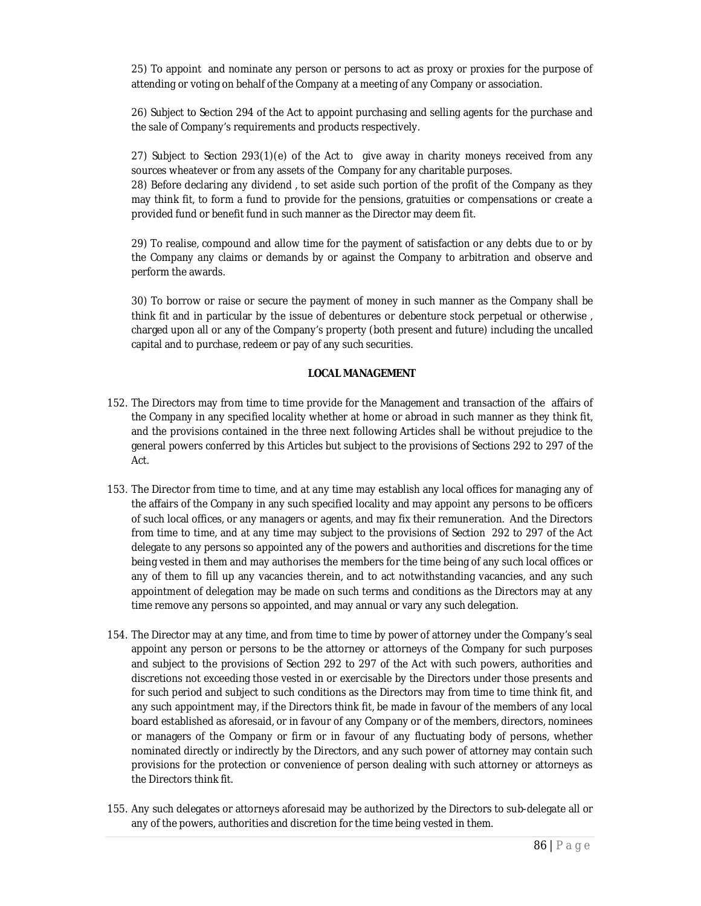25) To appoint and nominate any person or persons to act as proxy or proxies for the purpose of attending or voting on behalf of the Company at a meeting of any Company or association.

26) Subject to Section 294 of the Act to appoint purchasing and selling agents for the purchase and the sale of Company's requirements and products respectively.

27) Subject to Section 293(1)(e) of the Act to give away in charity moneys received from any sources wheatever or from any assets of the Company for any charitable purposes. 28) Before declaring any dividend , to set aside such portion of the profit of the Company as they may think fit, to form a fund to provide for the pensions, gratuities or compensations or create a provided fund or benefit fund in such manner as the Director may deem fit.

29) To realise, compound and allow time for the payment of satisfaction or any debts due to or by the Company any claims or demands by or against the Company to arbitration and observe and perform the awards.

30) To borrow or raise or secure the payment of money in such manner as the Company shall be think fit and in particular by the issue of debentures or debenture stock perpetual or otherwise , charged upon all or any of the Company's property (both present and future) including the uncalled capital and to purchase, redeem or pay of any such securities.

### **LOCAL MANAGEMENT**

- 152. The Directors may from time to time provide for the Management and transaction of the affairs of the Company in any specified locality whether at home or abroad in such manner as they think fit, and the provisions contained in the three next following Articles shall be without prejudice to the general powers conferred by this Articles but subject to the provisions of Sections 292 to 297 of the Act.
- 153. The Director from time to time, and at any time may establish any local offices for managing any of the affairs of the Company in any such specified locality and may appoint any persons to be officers of such local offices, or any managers or agents, and may fix their remuneration. And the Directors from time to time, and at any time may subject to the provisions of Section 292 to 297 of the Act delegate to any persons so appointed any of the powers and authorities and discretions for the time being vested in them and may authorises the members for the time being of any such local offices or any of them to fill up any vacancies therein, and to act notwithstanding vacancies, and any such appointment of delegation may be made on such terms and conditions as the Directors may at any time remove any persons so appointed, and may annual or vary any such delegation.
- 154. The Director may at any time, and from time to time by power of attorney under the Company's seal appoint any person or persons to be the attorney or attorneys of the Company for such purposes and subject to the provisions of Section 292 to 297 of the Act with such powers, authorities and discretions not exceeding those vested in or exercisable by the Directors under those presents and for such period and subject to such conditions as the Directors may from time to time think fit, and any such appointment may, if the Directors think fit, be made in favour of the members of any local board established as aforesaid, or in favour of any Company or of the members, directors, nominees or managers of the Company or firm or in favour of any fluctuating body of persons, whether nominated directly or indirectly by the Directors, and any such power of attorney may contain such provisions for the protection or convenience of person dealing with such attorney or attorneys as the Directors think fit.
- 155. Any such delegates or attorneys aforesaid may be authorized by the Directors to sub-delegate all or any of the powers, authorities and discretion for the time being vested in them.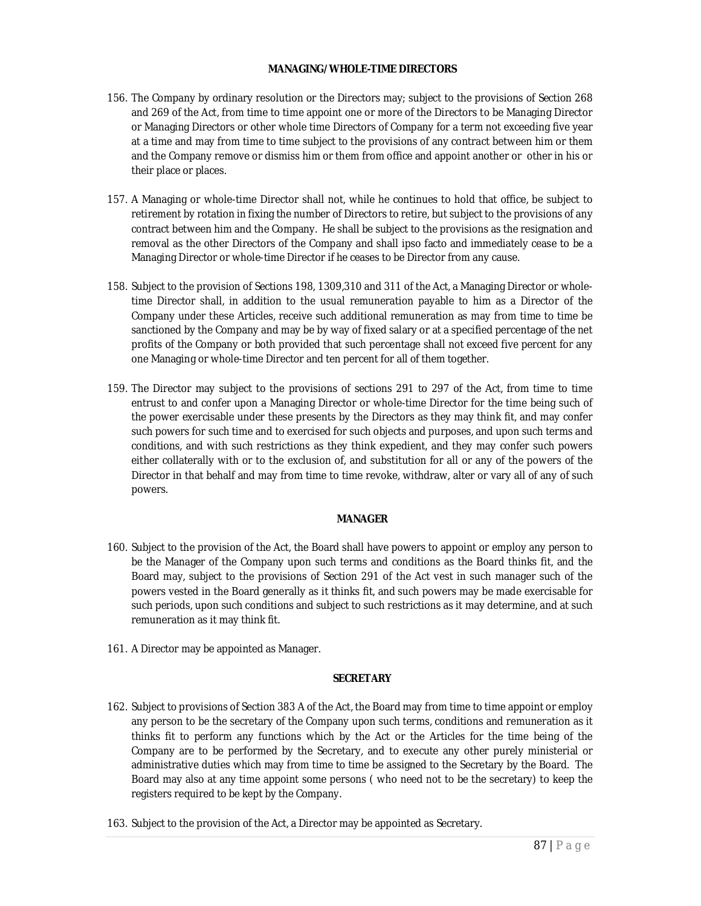### **MANAGING/WHOLE-TIME DIRECTORS**

- 156. The Company by ordinary resolution or the Directors may; subject to the provisions of Section 268 and 269 of the Act, from time to time appoint one or more of the Directors to be Managing Director or Managing Directors or other whole time Directors of Company for a term not exceeding five year at a time and may from time to time subject to the provisions of any contract between him or them and the Company remove or dismiss him or them from office and appoint another or other in his or their place or places.
- 157. A Managing or whole-time Director shall not, while he continues to hold that office, be subject to retirement by rotation in fixing the number of Directors to retire, but subject to the provisions of any contract between him and the Company. He shall be subject to the provisions as the resignation and removal as the other Directors of the Company and shall ipso facto and immediately cease to be a Managing Director or whole-time Director if he ceases to be Director from any cause.
- 158. Subject to the provision of Sections 198, 1309,310 and 311 of the Act, a Managing Director or wholetime Director shall, in addition to the usual remuneration payable to him as a Director of the Company under these Articles, receive such additional remuneration as may from time to time be sanctioned by the Company and may be by way of fixed salary or at a specified percentage of the net profits of the Company or both provided that such percentage shall not exceed five percent for any one Managing or whole-time Director and ten percent for all of them together.
- 159. The Director may subject to the provisions of sections 291 to 297 of the Act, from time to time entrust to and confer upon a Managing Director or whole-time Director for the time being such of the power exercisable under these presents by the Directors as they may think fit, and may confer such powers for such time and to exercised for such objects and purposes, and upon such terms and conditions, and with such restrictions as they think expedient, and they may confer such powers either collaterally with or to the exclusion of, and substitution for all or any of the powers of the Director in that behalf and may from time to time revoke, withdraw, alter or vary all of any of such powers.

## **MANAGER**

- 160. Subject to the provision of the Act, the Board shall have powers to appoint or employ any person to be the Manager of the Company upon such terms and conditions as the Board thinks fit, and the Board may, subject to the provisions of Section 291 of the Act vest in such manager such of the powers vested in the Board generally as it thinks fit, and such powers may be made exercisable for such periods, upon such conditions and subject to such restrictions as it may determine, and at such remuneration as it may think fit.
- 161. A Director may be appointed as Manager.

## **SECRETARY**

- 162. Subject to provisions of Section 383 A of the Act, the Board may from time to time appoint or employ any person to be the secretary of the Company upon such terms, conditions and remuneration as it thinks fit to perform any functions which by the Act or the Articles for the time being of the Company are to be performed by the Secretary, and to execute any other purely ministerial or administrative duties which may from time to time be assigned to the Secretary by the Board. The Board may also at any time appoint some persons ( who need not to be the secretary) to keep the registers required to be kept by the Company.
- 163. Subject to the provision of the Act, a Director may be appointed as Secretary.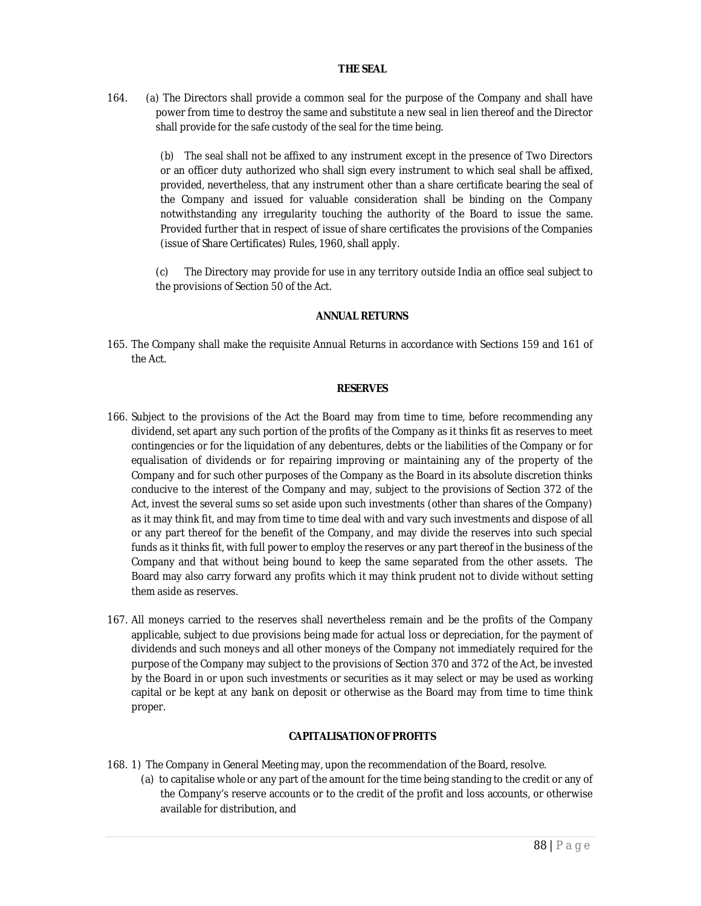### **THE SEAL**

164. (a) The Directors shall provide a common seal for the purpose of the Company and shall have power from time to destroy the same and substitute a new seal in lien thereof and the Director shall provide for the safe custody of the seal for the time being.

> (b) The seal shall not be affixed to any instrument except in the presence of Two Directors or an officer duty authorized who shall sign every instrument to which seal shall be affixed, provided, nevertheless, that any instrument other than a share certificate bearing the seal of the Company and issued for valuable consideration shall be binding on the Company notwithstanding any irregularity touching the authority of the Board to issue the same. Provided further that in respect of issue of share certificates the provisions of the Companies (issue of Share Certificates) Rules, 1960, shall apply.

> (c) The Directory may provide for use in any territory outside India an office seal subject to the provisions of Section 50 of the Act.

### **ANNUAL RETURNS**

165. The Company shall make the requisite Annual Returns in accordance with Sections 159 and 161 of the Act.

#### **RESERVES**

- 166. Subject to the provisions of the Act the Board may from time to time, before recommending any dividend, set apart any such portion of the profits of the Company as it thinks fit as reserves to meet contingencies or for the liquidation of any debentures, debts or the liabilities of the Company or for equalisation of dividends or for repairing improving or maintaining any of the property of the Company and for such other purposes of the Company as the Board in its absolute discretion thinks conducive to the interest of the Company and may, subject to the provisions of Section 372 of the Act, invest the several sums so set aside upon such investments (other than shares of the Company) as it may think fit, and may from time to time deal with and vary such investments and dispose of all or any part thereof for the benefit of the Company, and may divide the reserves into such special funds as it thinks fit, with full power to employ the reserves or any part thereof in the business of the Company and that without being bound to keep the same separated from the other assets. The Board may also carry forward any profits which it may think prudent not to divide without setting them aside as reserves.
- 167. All moneys carried to the reserves shall nevertheless remain and be the profits of the Company applicable, subject to due provisions being made for actual loss or depreciation, for the payment of dividends and such moneys and all other moneys of the Company not immediately required for the purpose of the Company may subject to the provisions of Section 370 and 372 of the Act, be invested by the Board in or upon such investments or securities as it may select or may be used as working capital or be kept at any bank on deposit or otherwise as the Board may from time to time think proper.

# **CAPITALISATION OF PROFITS**

- 168. 1) The Company in General Meeting may, upon the recommendation of the Board, resolve.
	- (a) to capitalise whole or any part of the amount for the time being standing to the credit or any of the Company's reserve accounts or to the credit of the profit and loss accounts, or otherwise available for distribution, and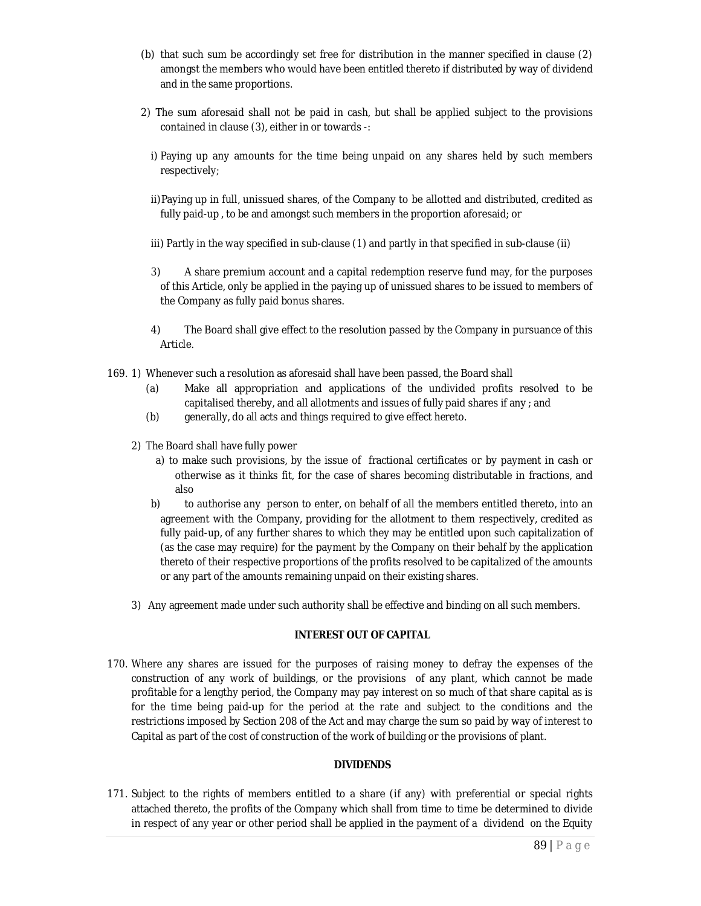- (b) that such sum be accordingly set free for distribution in the manner specified in clause (2) amongst the members who would have been entitled thereto if distributed by way of dividend and in the same proportions.
- 2) The sum aforesaid shall not be paid in cash, but shall be applied subject to the provisions contained in clause (3), either in or towards -:
	- i) Paying up any amounts for the time being unpaid on any shares held by such members respectively;
	- ii)Paying up in full, unissued shares, of the Company to be allotted and distributed, credited as fully paid-up , to be and amongst such members in the proportion aforesaid; or
	- iii) Partly in the way specified in sub-clause (1) and partly in that specified in sub-clause (ii)
	- 3) A share premium account and a capital redemption reserve fund may, for the purposes of this Article, only be applied in the paying up of unissued shares to be issued to members of the Company as fully paid bonus shares.
	- 4) The Board shall give effect to the resolution passed by the Company in pursuance of this Article.
- 169. 1) Whenever such a resolution as aforesaid shall have been passed, the Board shall
	- (a) Make all appropriation and applications of the undivided profits resolved to be capitalised thereby, and all allotments and issues of fully paid shares if any ; and
	- (b) generally, do all acts and things required to give effect hereto.
	- 2) The Board shall have fully power
		- a) to make such provisions, by the issue of fractional certificates or by payment in cash or otherwise as it thinks fit, for the case of shares becoming distributable in fractions, and also
		- b) to authorise any person to enter, on behalf of all the members entitled thereto, into an agreement with the Company, providing for the allotment to them respectively, credited as fully paid-up, of any further shares to which they may be entitled upon such capitalization of (as the case may require) for the payment by the Company on their behalf by the application thereto of their respective proportions of the profits resolved to be capitalized of the amounts or any part of the amounts remaining unpaid on their existing shares.
	- 3) Any agreement made under such authority shall be effective and binding on all such members.

#### **INTEREST OUT OF CAPITAL**

170. Where any shares are issued for the purposes of raising money to defray the expenses of the construction of any work of buildings, or the provisions of any plant, which cannot be made profitable for a lengthy period, the Company may pay interest on so much of that share capital as is for the time being paid-up for the period at the rate and subject to the conditions and the restrictions imposed by Section 208 of the Act and may charge the sum so paid by way of interest to Capital as part of the cost of construction of the work of building or the provisions of plant.

## **DIVIDENDS**

171. Subject to the rights of members entitled to a share (if any) with preferential or special rights attached thereto, the profits of the Company which shall from time to time be determined to divide in respect of any year or other period shall be applied in the payment of a dividend on the Equity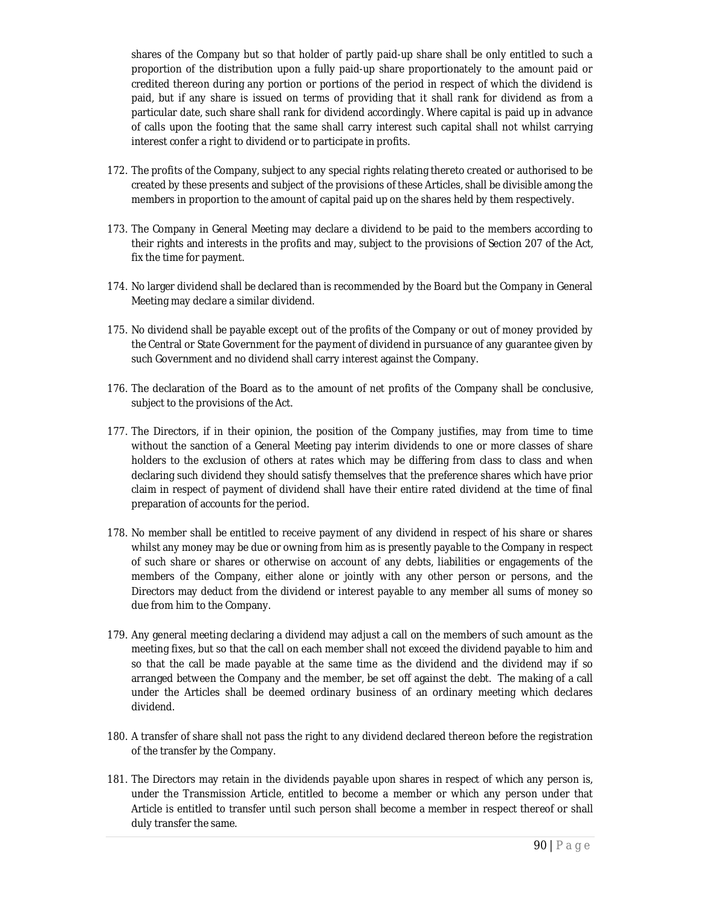shares of the Company but so that holder of partly paid-up share shall be only entitled to such a proportion of the distribution upon a fully paid-up share proportionately to the amount paid or credited thereon during any portion or portions of the period in respect of which the dividend is paid, but if any share is issued on terms of providing that it shall rank for dividend as from a particular date, such share shall rank for dividend accordingly. Where capital is paid up in advance of calls upon the footing that the same shall carry interest such capital shall not whilst carrying interest confer a right to dividend or to participate in profits.

- 172. The profits of the Company, subject to any special rights relating thereto created or authorised to be created by these presents and subject of the provisions of these Articles, shall be divisible among the members in proportion to the amount of capital paid up on the shares held by them respectively.
- 173. The Company in General Meeting may declare a dividend to be paid to the members according to their rights and interests in the profits and may, subject to the provisions of Section 207 of the Act, fix the time for payment.
- 174. No larger dividend shall be declared than is recommended by the Board but the Company in General Meeting may declare a similar dividend.
- 175. No dividend shall be payable except out of the profits of the Company or out of money provided by the Central or State Government for the payment of dividend in pursuance of any guarantee given by such Government and no dividend shall carry interest against the Company.
- 176. The declaration of the Board as to the amount of net profits of the Company shall be conclusive, subject to the provisions of the Act.
- 177. The Directors, if in their opinion, the position of the Company justifies, may from time to time without the sanction of a General Meeting pay interim dividends to one or more classes of share holders to the exclusion of others at rates which may be differing from class to class and when declaring such dividend they should satisfy themselves that the preference shares which have prior claim in respect of payment of dividend shall have their entire rated dividend at the time of final preparation of accounts for the period.
- 178. No member shall be entitled to receive payment of any dividend in respect of his share or shares whilst any money may be due or owning from him as is presently payable to the Company in respect of such share or shares or otherwise on account of any debts, liabilities or engagements of the members of the Company, either alone or jointly with any other person or persons, and the Directors may deduct from the dividend or interest payable to any member all sums of money so due from him to the Company.
- 179. Any general meeting declaring a dividend may adjust a call on the members of such amount as the meeting fixes, but so that the call on each member shall not exceed the dividend payable to him and so that the call be made payable at the same time as the dividend and the dividend may if so arranged between the Company and the member, be set off against the debt. The making of a call under the Articles shall be deemed ordinary business of an ordinary meeting which declares dividend.
- 180. A transfer of share shall not pass the right to any dividend declared thereon before the registration of the transfer by the Company.
- 181. The Directors may retain in the dividends payable upon shares in respect of which any person is, under the Transmission Article, entitled to become a member or which any person under that Article is entitled to transfer until such person shall become a member in respect thereof or shall duly transfer the same.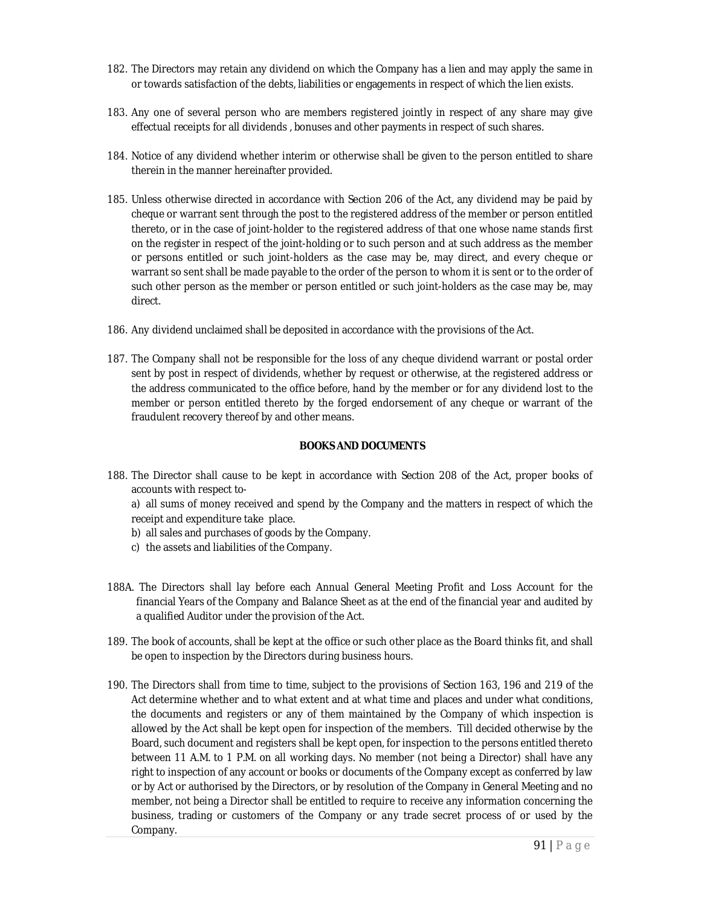- 182. The Directors may retain any dividend on which the Company has a lien and may apply the same in or towards satisfaction of the debts, liabilities or engagements in respect of which the lien exists.
- 183. Any one of several person who are members registered jointly in respect of any share may give effectual receipts for all dividends , bonuses and other payments in respect of such shares.
- 184. Notice of any dividend whether interim or otherwise shall be given to the person entitled to share therein in the manner hereinafter provided.
- 185. Unless otherwise directed in accordance with Section 206 of the Act, any dividend may be paid by cheque or warrant sent through the post to the registered address of the member or person entitled thereto, or in the case of joint-holder to the registered address of that one whose name stands first on the register in respect of the joint-holding or to such person and at such address as the member or persons entitled or such joint-holders as the case may be, may direct, and every cheque or warrant so sent shall be made payable to the order of the person to whom it is sent or to the order of such other person as the member or person entitled or such joint-holders as the case may be, may direct.
- 186. Any dividend unclaimed shall be deposited in accordance with the provisions of the Act.
- 187. The Company shall not be responsible for the loss of any cheque dividend warrant or postal order sent by post in respect of dividends, whether by request or otherwise, at the registered address or the address communicated to the office before, hand by the member or for any dividend lost to the member or person entitled thereto by the forged endorsement of any cheque or warrant of the fraudulent recovery thereof by and other means.

### **BOOKS AND DOCUMENTS**

188. The Director shall cause to be kept in accordance with Section 208 of the Act, proper books of accounts with respect to-

a) all sums of money received and spend by the Company and the matters in respect of which the receipt and expenditure take place.

- b) all sales and purchases of goods by the Company.
- c) the assets and liabilities of the Company.
- 188A. The Directors shall lay before each Annual General Meeting Profit and Loss Account for the financial Years of the Company and Balance Sheet as at the end of the financial year and audited by a qualified Auditor under the provision of the Act.
- 189. The book of accounts, shall be kept at the office or such other place as the Board thinks fit, and shall be open to inspection by the Directors during business hours.
- 190. The Directors shall from time to time, subject to the provisions of Section 163, 196 and 219 of the Act determine whether and to what extent and at what time and places and under what conditions, the documents and registers or any of them maintained by the Company of which inspection is allowed by the Act shall be kept open for inspection of the members. Till decided otherwise by the Board, such document and registers shall be kept open, for inspection to the persons entitled thereto between 11 A.M. to 1 P.M. on all working days. No member (not being a Director) shall have any right to inspection of any account or books or documents of the Company except as conferred by law or by Act or authorised by the Directors, or by resolution of the Company in General Meeting and no member, not being a Director shall be entitled to require to receive any information concerning the business, trading or customers of the Company or any trade secret process of or used by the Company.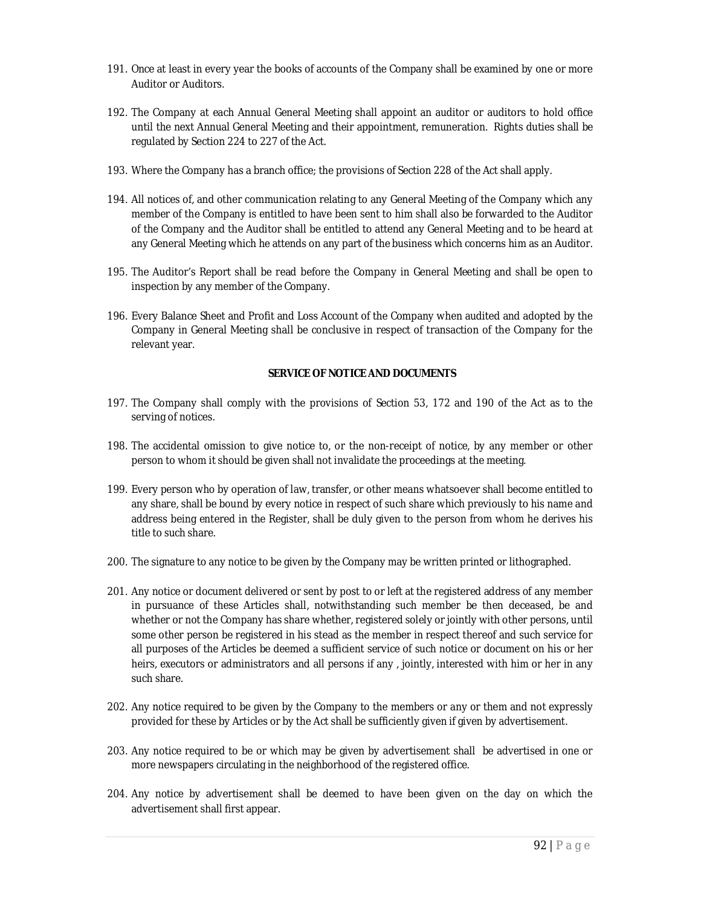- 191. Once at least in every year the books of accounts of the Company shall be examined by one or more Auditor or Auditors.
- 192. The Company at each Annual General Meeting shall appoint an auditor or auditors to hold office until the next Annual General Meeting and their appointment, remuneration. Rights duties shall be regulated by Section 224 to 227 of the Act.
- 193. Where the Company has a branch office; the provisions of Section 228 of the Act shall apply.
- 194. All notices of, and other communication relating to any General Meeting of the Company which any member of the Company is entitled to have been sent to him shall also be forwarded to the Auditor of the Company and the Auditor shall be entitled to attend any General Meeting and to be heard at any General Meeting which he attends on any part of the business which concerns him as an Auditor.
- 195. The Auditor's Report shall be read before the Company in General Meeting and shall be open to inspection by any member of the Company.
- 196. Every Balance Sheet and Profit and Loss Account of the Company when audited and adopted by the Company in General Meeting shall be conclusive in respect of transaction of the Company for the relevant year.

## **SERVICE OF NOTICE AND DOCUMENTS**

- 197. The Company shall comply with the provisions of Section 53, 172 and 190 of the Act as to the serving of notices.
- 198. The accidental omission to give notice to, or the non-receipt of notice, by any member or other person to whom it should be given shall not invalidate the proceedings at the meeting.
- 199. Every person who by operation of law, transfer, or other means whatsoever shall become entitled to any share, shall be bound by every notice in respect of such share which previously to his name and address being entered in the Register, shall be duly given to the person from whom he derives his title to such share.
- 200. The signature to any notice to be given by the Company may be written printed or lithographed.
- 201. Any notice or document delivered or sent by post to or left at the registered address of any member in pursuance of these Articles shall, notwithstanding such member be then deceased, be and whether or not the Company has share whether, registered solely or jointly with other persons, until some other person be registered in his stead as the member in respect thereof and such service for all purposes of the Articles be deemed a sufficient service of such notice or document on his or her heirs, executors or administrators and all persons if any , jointly, interested with him or her in any such share.
- 202. Any notice required to be given by the Company to the members or any or them and not expressly provided for these by Articles or by the Act shall be sufficiently given if given by advertisement.
- 203. Any notice required to be or which may be given by advertisement shall be advertised in one or more newspapers circulating in the neighborhood of the registered office.
- 204. Any notice by advertisement shall be deemed to have been given on the day on which the advertisement shall first appear.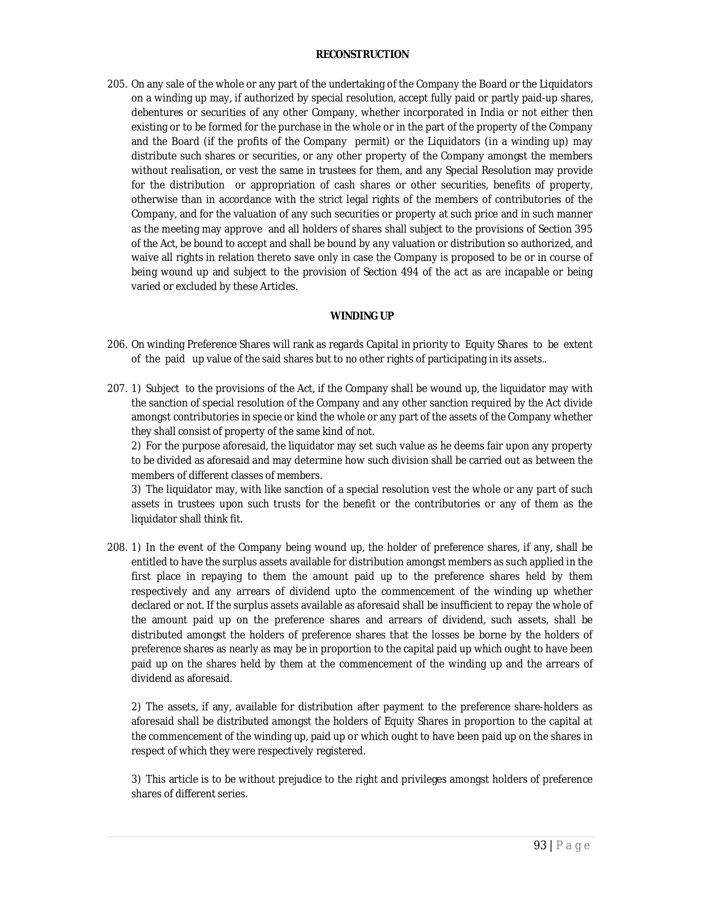#### **RECONSTRUCTION**

205. On any sale of the whole or any part of the undertaking of the Company the Board or the Liquidators on a winding up may, if authorized by special resolution, accept fully paid or partly paid-up shares, debentures or securities of any other Company, whether incorporated in India or not either then existing or to be formed for the purchase in the whole or in the part of the property of the Company and the Board (if the profits of the Company permit) or the Liquidators (in a winding up) may distribute such shares or securities, or any other property of the Company amongst the members without realisation, or vest the same in trustees for them, and any Special Resolution may provide for the distribution or appropriation of cash shares or other securities, benefits of property, otherwise than in accordance with the strict legal rights of the members of contributories of the Company, and for the valuation of any such securities or property at such price and in such manner as the meeting may approve and all holders of shares shall subject to the provisions of Section 395 of the Act, be bound to accept and shall be bound by any valuation or distribution so authorized, and waive all rights in relation thereto save only in case the Company is proposed to be or in course of being wound up and subject to the provision of Section 494 of the act as are incapable or being varied or excluded by these Articles.

## **WINDING UP**

- 206. On winding Preference Shares will rank as regards Capital in priority to Equity Shares to be extent of the paid up value of the said shares but to no other rights of participating in its assets..
- 207. 1) Subject to the provisions of the Act, if the Company shall be wound up, the liquidator may with the sanction of special resolution of the Company and any other sanction required by the Act divide amongst contributories in specie or kind the whole or any part of the assets of the Company whether they shall consist of property of the same kind of not.

2) For the purpose aforesaid, the liquidator may set such value as he deems fair upon any property to be divided as aforesaid and may determine how such division shall be carried out as between the members of different classes of members.

3) The liquidator may, with like sanction of a special resolution vest the whole or any part of such assets in trustees upon such trusts for the benefit or the contributories or any of them as the liquidator shall think fit.

208. 1) In the event of the Company being wound up, the holder of preference shares, if any, shall be entitled to have the surplus assets available for distribution amongst members as such applied in the first place in repaying to them the amount paid up to the preference shares held by them respectively and any arrears of dividend upto the commencement of the winding up whether declared or not. If the surplus assets available as aforesaid shall be insufficient to repay the whole of the amount paid up on the preference shares and arrears of dividend, such assets, shall be distributed amongst the holders of preference shares that the losses be borne by the holders of preference shares as nearly as may be in proportion to the capital paid up which ought to have been paid up on the shares held by them at the commencement of the winding up and the arrears of dividend as aforesaid.

2) The assets, if any, available for distribution after payment to the preference share-holders as aforesaid shall be distributed amongst the holders of Equity Shares in proportion to the capital at the commencement of the winding up, paid up or which ought to have been paid up on the shares in respect of which they were respectively registered.

3) This article is to be without prejudice to the right and privileges amongst holders of preference shares of different series.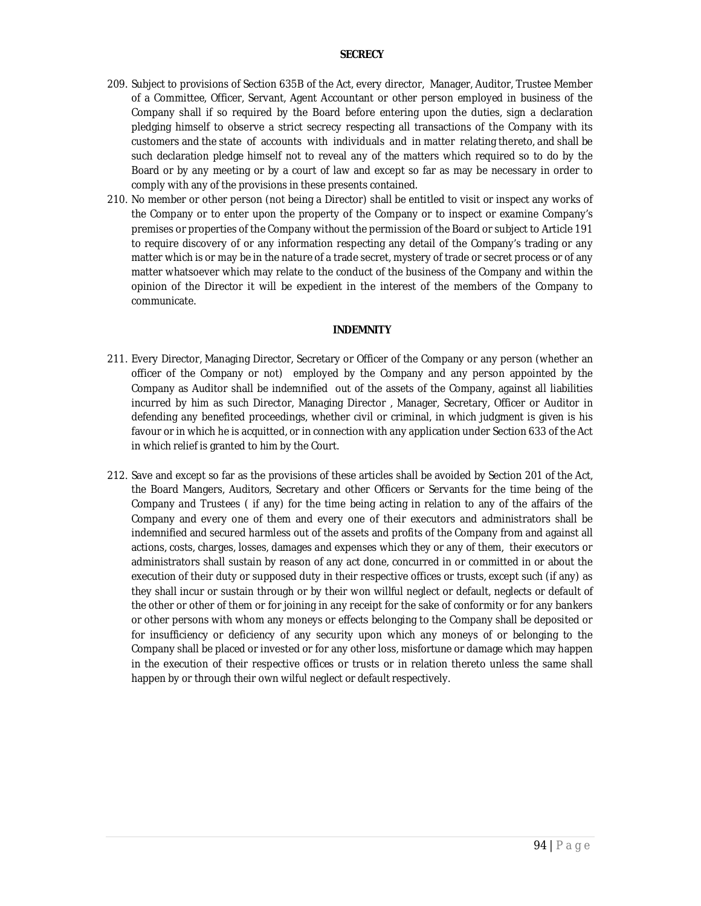#### **SECRECY**

- 209. Subject to provisions of Section 635B of the Act, every director, Manager, Auditor, Trustee Member of a Committee, Officer, Servant, Agent Accountant or other person employed in business of the Company shall if so required by the Board before entering upon the duties, sign a declaration pledging himself to observe a strict secrecy respecting all transactions of the Company with its customers and the state of accounts with individuals and in matter relating thereto, and shall be such declaration pledge himself not to reveal any of the matters which required so to do by the Board or by any meeting or by a court of law and except so far as may be necessary in order to comply with any of the provisions in these presents contained.
- 210. No member or other person (not being a Director) shall be entitled to visit or inspect any works of the Company or to enter upon the property of the Company or to inspect or examine Company's premises or properties of the Company without the permission of the Board or subject to Article 191 to require discovery of or any information respecting any detail of the Company's trading or any matter which is or may be in the nature of a trade secret, mystery of trade or secret process or of any matter whatsoever which may relate to the conduct of the business of the Company and within the opinion of the Director it will be expedient in the interest of the members of the Company to communicate.

#### **INDEMNITY**

- 211. Every Director, Managing Director, Secretary or Officer of the Company or any person (whether an officer of the Company or not) employed by the Company and any person appointed by the Company as Auditor shall be indemnified out of the assets of the Company, against all liabilities incurred by him as such Director, Managing Director , Manager, Secretary, Officer or Auditor in defending any benefited proceedings, whether civil or criminal, in which judgment is given is his favour or in which he is acquitted, or in connection with any application under Section 633 of the Act in which relief is granted to him by the Court.
- 212. Save and except so far as the provisions of these articles shall be avoided by Section 201 of the Act, the Board Mangers, Auditors, Secretary and other Officers or Servants for the time being of the Company and Trustees ( if any) for the time being acting in relation to any of the affairs of the Company and every one of them and every one of their executors and administrators shall be indemnified and secured harmless out of the assets and profits of the Company from and against all actions, costs, charges, losses, damages and expenses which they or any of them, their executors or administrators shall sustain by reason of any act done, concurred in or committed in or about the execution of their duty or supposed duty in their respective offices or trusts, except such (if any) as they shall incur or sustain through or by their won willful neglect or default, neglects or default of the other or other of them or for joining in any receipt for the sake of conformity or for any bankers or other persons with whom any moneys or effects belonging to the Company shall be deposited or for insufficiency or deficiency of any security upon which any moneys of or belonging to the Company shall be placed or invested or for any other loss, misfortune or damage which may happen in the execution of their respective offices or trusts or in relation thereto unless the same shall happen by or through their own wilful neglect or default respectively.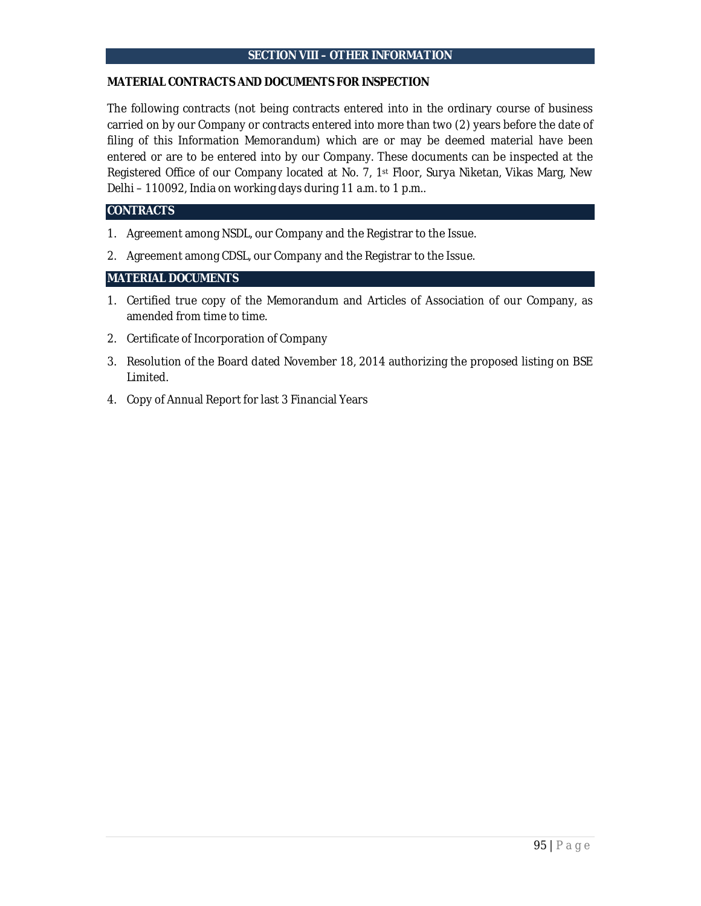#### **SECTION VIII – OTHER INFORMATION**

### **MATERIAL CONTRACTS AND DOCUMENTS FOR INSPECTION**

The following contracts (not being contracts entered into in the ordinary course of business carried on by our Company or contracts entered into more than two (2) years before the date of filing of this Information Memorandum) which are or may be deemed material have been entered or are to be entered into by our Company. These documents can be inspected at the Registered Office of our Company located at No. 7, 1st Floor, Surya Niketan, Vikas Marg, New Delhi – 110092, India on working days during 11 a.m. to 1 p.m..

# **CONTRACTS**

- 1. Agreement among NSDL, our Company and the Registrar to the Issue.
- 2. Agreement among CDSL, our Company and the Registrar to the Issue.

# **MATERIAL DOCUMENTS**

- 1. Certified true copy of the Memorandum and Articles of Association of our Company, as amended from time to time.
- 2. Certificate of Incorporation of Company
- 3. Resolution of the Board dated November 18, 2014 authorizing the proposed listing on BSE Limited.
- 4. Copy of Annual Report for last 3 Financial Years